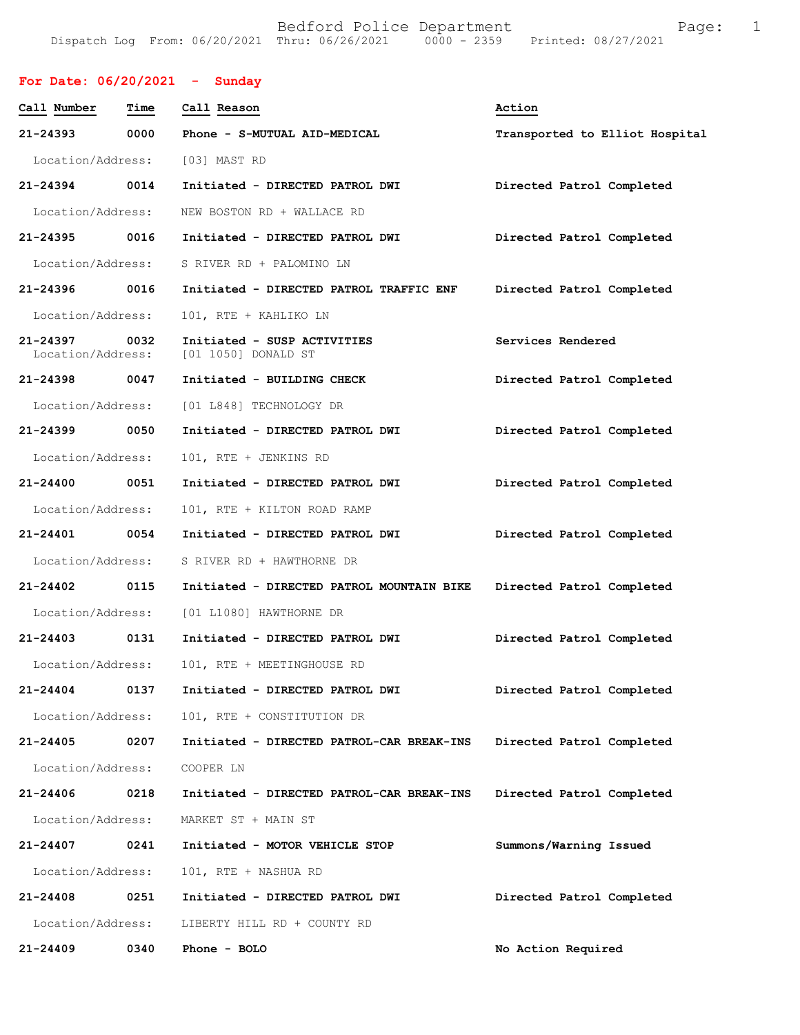## **For Date: 06/20/2021 - Sunday**

| Call Number                   | Time | Call Reason                                        | Action                         |
|-------------------------------|------|----------------------------------------------------|--------------------------------|
| 21-24393                      | 0000 | Phone - S-MUTUAL AID-MEDICAL                       | Transported to Elliot Hospital |
| Location/Address:             |      | [03] MAST RD                                       |                                |
| 21-24394 0014                 |      | Initiated - DIRECTED PATROL DWI                    | Directed Patrol Completed      |
| Location/Address:             |      | NEW BOSTON RD + WALLACE RD                         |                                |
| 21-24395 0016                 |      | Initiated - DIRECTED PATROL DWI                    | Directed Patrol Completed      |
| Location/Address:             |      | S RIVER RD + PALOMINO LN                           |                                |
| 21-24396                      | 0016 | Initiated - DIRECTED PATROL TRAFFIC ENF            | Directed Patrol Completed      |
| Location/Address:             |      | 101, RTE + KAHLIKO LN                              |                                |
| 21-24397<br>Location/Address: | 0032 | Initiated - SUSP ACTIVITIES<br>[01 1050] DONALD ST | Services Rendered              |
| 21-24398                      | 0047 | Initiated - BUILDING CHECK                         | Directed Patrol Completed      |
| Location/Address:             |      | [01 L848] TECHNOLOGY DR                            |                                |
| 21-24399 0050                 |      | Initiated - DIRECTED PATROL DWI                    | Directed Patrol Completed      |
| Location/Address:             |      | 101, RTE + JENKINS RD                              |                                |
| 21-24400 0051                 |      | Initiated - DIRECTED PATROL DWI                    | Directed Patrol Completed      |
| Location/Address:             |      | 101, RTE + KILTON ROAD RAMP                        |                                |
| 21-24401 0054                 |      | Initiated - DIRECTED PATROL DWI                    | Directed Patrol Completed      |
| Location/Address:             |      | S RIVER RD + HAWTHORNE DR                          |                                |
| $21 - 24402$                  | 0115 | Initiated - DIRECTED PATROL MOUNTAIN BIKE          | Directed Patrol Completed      |
| Location/Address:             |      | [01 L1080] HAWTHORNE DR                            |                                |
| $21 - 24403$                  | 0131 | Initiated - DIRECTED PATROL DWI                    | Directed Patrol Completed      |
| Location/Address:             |      | 101, RTE + MEETINGHOUSE RD                         |                                |
| 21-24404                      |      | 0137 Initiated - DIRECTED PATROL DWI               | Directed Patrol Completed      |
| Location/Address:             |      | 101, RTE + CONSTITUTION DR                         |                                |
| 21-24405                      | 0207 | Initiated - DIRECTED PATROL-CAR BREAK-INS          | Directed Patrol Completed      |
| Location/Address:             |      | COOPER LN                                          |                                |
| 21-24406                      | 0218 | Initiated - DIRECTED PATROL-CAR BREAK-INS          | Directed Patrol Completed      |
| Location/Address:             |      | MARKET ST + MAIN ST                                |                                |
| 21-24407                      | 0241 | Initiated - MOTOR VEHICLE STOP                     | Summons/Warning Issued         |
| Location/Address:             |      | 101, RTE + NASHUA RD                               |                                |
| 21-24408                      | 0251 | Initiated - DIRECTED PATROL DWI                    | Directed Patrol Completed      |
| Location/Address:             |      | LIBERTY HILL RD + COUNTY RD                        |                                |
| 21-24409                      | 0340 | Phone - BOLO                                       | No Action Required             |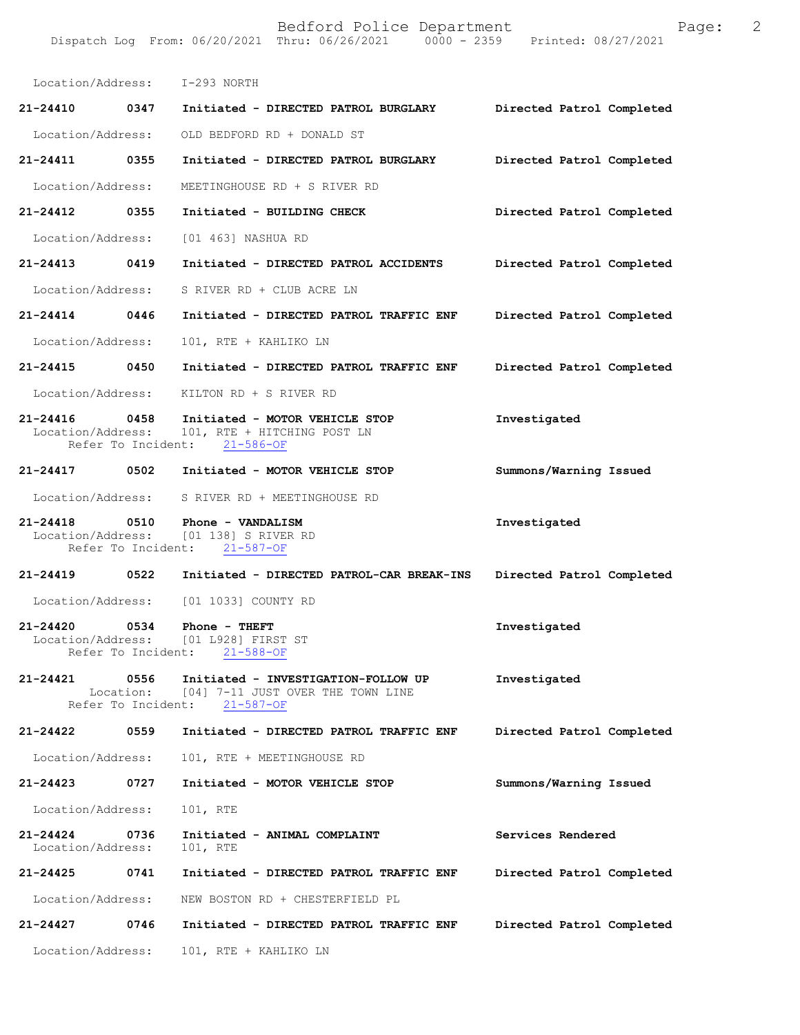Bedford Police Department Page: 2 Dispatch Log From: 06/20/2021 Thru: 06/26/2021 0000 - 2359 Location/Address: I-293 NORTH **21-24410 0347 Initiated - DIRECTED PATROL BURGLARY Directed Patrol Completed**  Location/Address: OLD BEDFORD RD + DONALD ST **21-24411 0355 Initiated - DIRECTED PATROL BURGLARY Directed Patrol Completed**  Location/Address: MEETINGHOUSE RD + S RIVER RD **21-24412 0355 Initiated - BUILDING CHECK Directed Patrol Completed**  Location/Address: [01 463] NASHUA RD **21-24413 0419 Initiated - DIRECTED PATROL ACCIDENTS Directed Patrol Completed**  Location/Address: S RIVER RD + CLUB ACRE LN **21-24414 0446 Initiated - DIRECTED PATROL TRAFFIC ENF Directed Patrol Completed**  Location/Address: 101, RTE + KAHLIKO LN **21-24415 0450 Initiated - DIRECTED PATROL TRAFFIC ENF Directed Patrol Completed**  Location/Address: KILTON RD + S RIVER RD **21-24416 0458 Initiated - MOTOR VEHICLE STOP Investigated**  101, RTE + HITCHING POST LN<br>ent:  $21-586-OF$ Refer To Incident: **21-24417 0502 Initiated - MOTOR VEHICLE STOP Summons/Warning Issued**  Location/Address: S RIVER RD + MEETINGHOUSE RD **21-24418 0510 Phone - VANDALISM Investigated**  [01 138] S RIVER RD<br>nt: 21-587-OF Refer To Incident: **21-24419 0522 Initiated - DIRECTED PATROL-CAR BREAK-INS Directed Patrol Completed**  Location/Address: [01 1033] COUNTY RD 21-24420 0534 Phone - THEFT **Investigated** Location/Address: [01 L928] FIRST ST<br>Refer To Incident: 21-588-OF Refer To Incident: **21-24421 0556 Initiated - INVESTIGATION-FOLLOW UP Investigated**  Location: [04] 7-11 JUST OVER THE TOWN LINE<br>fer To Incident: 21-587-OF Refer To Incident: **21-24422 0559 Initiated - DIRECTED PATROL TRAFFIC ENF Directed Patrol Completed**  Location/Address: 101, RTE + MEETINGHOUSE RD **21-24423 0727 Initiated - MOTOR VEHICLE STOP Summons/Warning Issued** 

Location/Address: 101, RTE

**21-24424 0736 Initiated - ANIMAL COMPLAINT Services Rendered**  Location/Address: 101, RTE

**21-24425 0741 Initiated - DIRECTED PATROL TRAFFIC ENF Directed Patrol Completed**  Location/Address: NEW BOSTON RD + CHESTERFIELD PL

**21-24427 0746 Initiated - DIRECTED PATROL TRAFFIC ENF Directed Patrol Completed** 

Location/Address: 101, RTE + KAHLIKO LN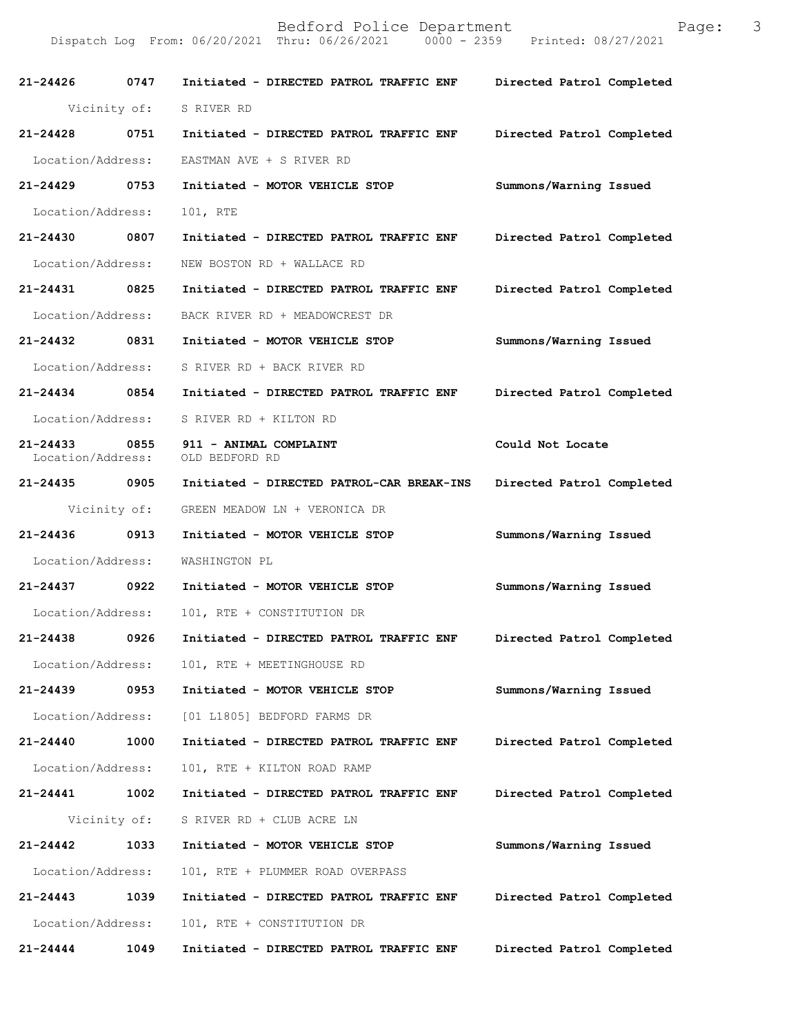| 21-24426 0747                      |              | Initiated - DIRECTED PATROL TRAFFIC ENF                                         | Directed Patrol Completed |
|------------------------------------|--------------|---------------------------------------------------------------------------------|---------------------------|
|                                    | Vicinity of: | S RIVER RD                                                                      |                           |
| 21-24428 0751                      |              | Initiated - DIRECTED PATROL TRAFFIC ENF                                         | Directed Patrol Completed |
| Location/Address:                  |              | EASTMAN AVE + S RIVER RD                                                        |                           |
| 21-24429 0753                      |              | Initiated - MOTOR VEHICLE STOP                                                  | Summons/Warning Issued    |
| Location/Address:                  |              | 101, RTE                                                                        |                           |
| 21-24430 0807                      |              | Initiated - DIRECTED PATROL TRAFFIC ENF                                         | Directed Patrol Completed |
| Location/Address:                  |              | NEW BOSTON RD + WALLACE RD                                                      |                           |
| 21-24431 0825                      |              | Initiated - DIRECTED PATROL TRAFFIC ENF                                         | Directed Patrol Completed |
| Location/Address:                  |              | BACK RIVER RD + MEADOWCREST DR                                                  |                           |
| 21-24432 0831                      |              | Initiated - MOTOR VEHICLE STOP                                                  | Summons/Warning Issued    |
| Location/Address:                  |              | S RIVER RD + BACK RIVER RD                                                      |                           |
| 21-24434 0854                      |              | Initiated - DIRECTED PATROL TRAFFIC ENF                                         | Directed Patrol Completed |
| Location/Address:                  |              | S RIVER RD + KILTON RD                                                          |                           |
| 21-24433 0855<br>Location/Address: |              | 911 - ANIMAL COMPLAINT<br>OLD BEDFORD RD                                        | Could Not Locate          |
| 21-24435 0905                      |              | Initiated - DIRECTED PATROL-CAR BREAK-INS                                       | Directed Patrol Completed |
|                                    | Vicinity of: | GREEN MEADOW LN + VERONICA DR                                                   |                           |
| 21-24436 0913                      |              | Initiated - MOTOR VEHICLE STOP                                                  | Summons/Warning Issued    |
| Location/Address:                  |              | WASHINGTON PL                                                                   |                           |
| 21-24437 0922                      |              | Initiated - MOTOR VEHICLE STOP                                                  | Summons/Warning Issued    |
|                                    |              | Location/Address: 101, RTE + CONSTITUTION DR                                    |                           |
|                                    |              | 21-24438 0926 Initiated - DIRECTED PATROL TRAFFIC ENF Directed Patrol Completed |                           |
| Location/Address:                  |              | 101, RTE + MEETINGHOUSE RD                                                      |                           |
| 21-24439                           | 0953         | Initiated - MOTOR VEHICLE STOP                                                  | Summons/Warning Issued    |
|                                    |              | Location/Address: [01 L1805] BEDFORD FARMS DR                                   |                           |
| 21-24440                           | 1000         | Initiated - DIRECTED PATROL TRAFFIC ENF                                         | Directed Patrol Completed |
| Location/Address:                  |              | 101, RTE + KILTON ROAD RAMP                                                     |                           |
| 21-24441                           | 1002         | Initiated - DIRECTED PATROL TRAFFIC ENF                                         | Directed Patrol Completed |
|                                    | Vicinity of: | S RIVER RD + CLUB ACRE LN                                                       |                           |
| 21-24442                           | 1033         | Initiated - MOTOR VEHICLE STOP                                                  | Summons/Warning Issued    |
| Location/Address:                  |              | 101, RTE + PLUMMER ROAD OVERPASS                                                |                           |
| $21 - 24443$                       | 1039         | Initiated - DIRECTED PATROL TRAFFIC ENF                                         | Directed Patrol Completed |
| Location/Address:                  |              | 101, RTE + CONSTITUTION DR                                                      |                           |
| 21-24444                           | 1049         | Initiated - DIRECTED PATROL TRAFFIC ENF                                         | Directed Patrol Completed |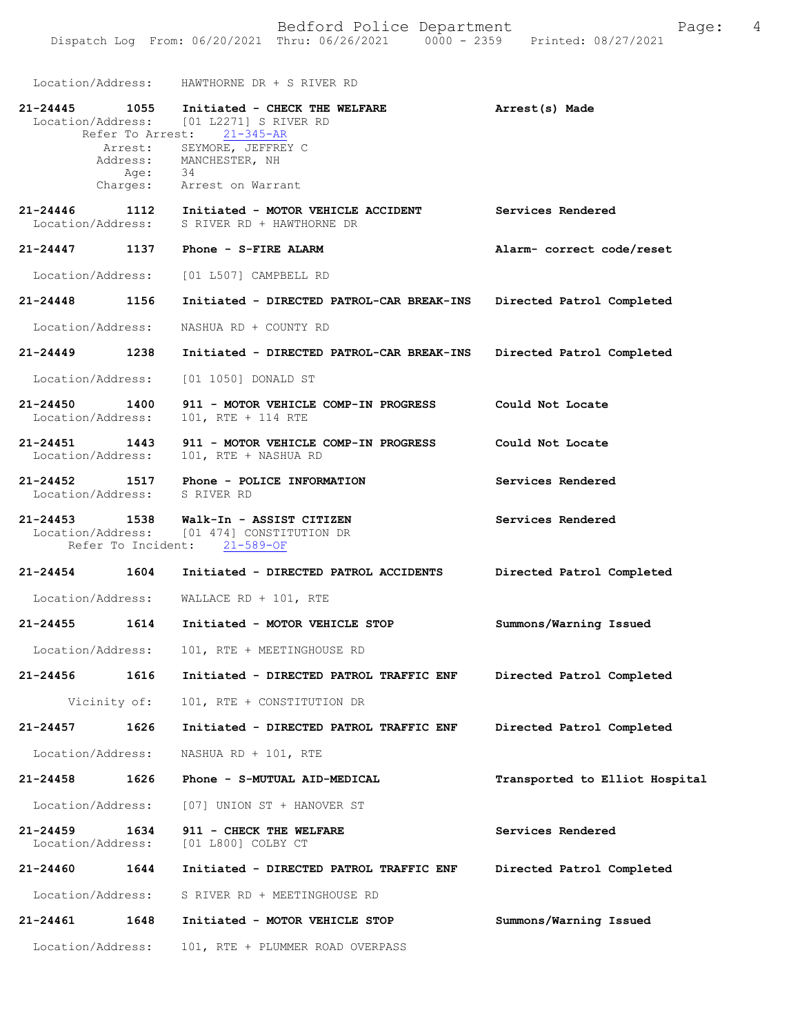Location/Address: HAWTHORNE DR + S RIVER RD

| 21-24445                           | 1055<br>Refer To Arrest:<br>Age: 34 | Initiated - CHECK THE WELFARE<br>Location/Address: [01 L2271] S RIVER RD<br>$21 - 345 - AR$<br>Arrest: SEYMORE, JEFFREY C<br>Address: MANCHESTER, NH<br>Charges: Arrest on Warrant | Arrest(s) Made                 |
|------------------------------------|-------------------------------------|------------------------------------------------------------------------------------------------------------------------------------------------------------------------------------|--------------------------------|
| 21-24446<br>Location/Address:      | 1112                                | Initiated - MOTOR VEHICLE ACCIDENT<br>S RIVER RD + HAWTHORNE DR                                                                                                                    | Services Rendered              |
| $21 - 24447$                       | 1137                                | Phone - S-FIRE ALARM                                                                                                                                                               | Alarm- correct code/reset      |
| Location/Address:                  |                                     | [01 L507] CAMPBELL RD                                                                                                                                                              |                                |
| $21 - 24448$                       | 1156                                | Initiated - DIRECTED PATROL-CAR BREAK-INS                                                                                                                                          | Directed Patrol Completed      |
| Location/Address:                  |                                     | NASHUA RD + COUNTY RD                                                                                                                                                              |                                |
| 21-24449 1238                      |                                     | Initiated - DIRECTED PATROL-CAR BREAK-INS                                                                                                                                          | Directed Patrol Completed      |
| Location/Address:                  |                                     | [01 1050] DONALD ST                                                                                                                                                                |                                |
| 21-24450<br>Location/Address:      | 1400                                | 911 - MOTOR VEHICLE COMP-IN PROGRESS<br>101, RTE + 114 RTE                                                                                                                         | Could Not Locate               |
| 21-24451 1443<br>Location/Address: |                                     | 911 - MOTOR VEHICLE COMP-IN PROGRESS<br>101, RTE + NASHUA RD                                                                                                                       | Could Not Locate               |
| $21 - 24452$<br>Location/Address:  | 1517                                | Phone - POLICE INFORMATION<br>S RIVER RD                                                                                                                                           | Services Rendered              |
| $21 - 24453$                       | 1538                                | Walk-In - ASSIST CITIZEN<br>Location/Address: [01 474] CONSTITUTION DR<br>Refer To Incident: 21-589-OF                                                                             | Services Rendered              |
| 21-24454 1604                      |                                     | Initiated - DIRECTED PATROL ACCIDENTS                                                                                                                                              | Directed Patrol Completed      |
| Location/Address:                  |                                     | WALLACE RD + 101, RTE                                                                                                                                                              |                                |
| 21-24455                           | 1614                                | Initiated - MOTOR VEHICLE STOP                                                                                                                                                     | Summons/Warning Issued         |
| Location/Address:                  |                                     | 101, RTE + MEETINGHOUSE RD                                                                                                                                                         |                                |
| 21-24456                           | 1616                                | Initiated - DIRECTED PATROL TRAFFIC ENF                                                                                                                                            | Directed Patrol Completed      |
|                                    | Vicinity of:                        | 101, RTE + CONSTITUTION DR                                                                                                                                                         |                                |
| 21-24457                           | 1626                                | Initiated - DIRECTED PATROL TRAFFIC ENF                                                                                                                                            | Directed Patrol Completed      |
| Location/Address:                  |                                     | NASHUA RD + 101, RTE                                                                                                                                                               |                                |
| 21-24458                           | 1626                                | Phone - S-MUTUAL AID-MEDICAL                                                                                                                                                       | Transported to Elliot Hospital |
| Location/Address:                  |                                     | [07] UNION ST + HANOVER ST                                                                                                                                                         |                                |
| 21-24459<br>Location/Address:      | 1634                                | 911 - CHECK THE WELFARE<br>[01 L800] COLBY CT                                                                                                                                      | Services Rendered              |
| 21-24460                           | 1644                                | Initiated - DIRECTED PATROL TRAFFIC ENF                                                                                                                                            | Directed Patrol Completed      |
| Location/Address:                  |                                     | S RIVER RD + MEETINGHOUSE RD                                                                                                                                                       |                                |
| 21-24461                           | 1648                                | Initiated - MOTOR VEHICLE STOP                                                                                                                                                     | Summons/Warning Issued         |
| Location/Address:                  |                                     | 101, RTE + PLUMMER ROAD OVERPASS                                                                                                                                                   |                                |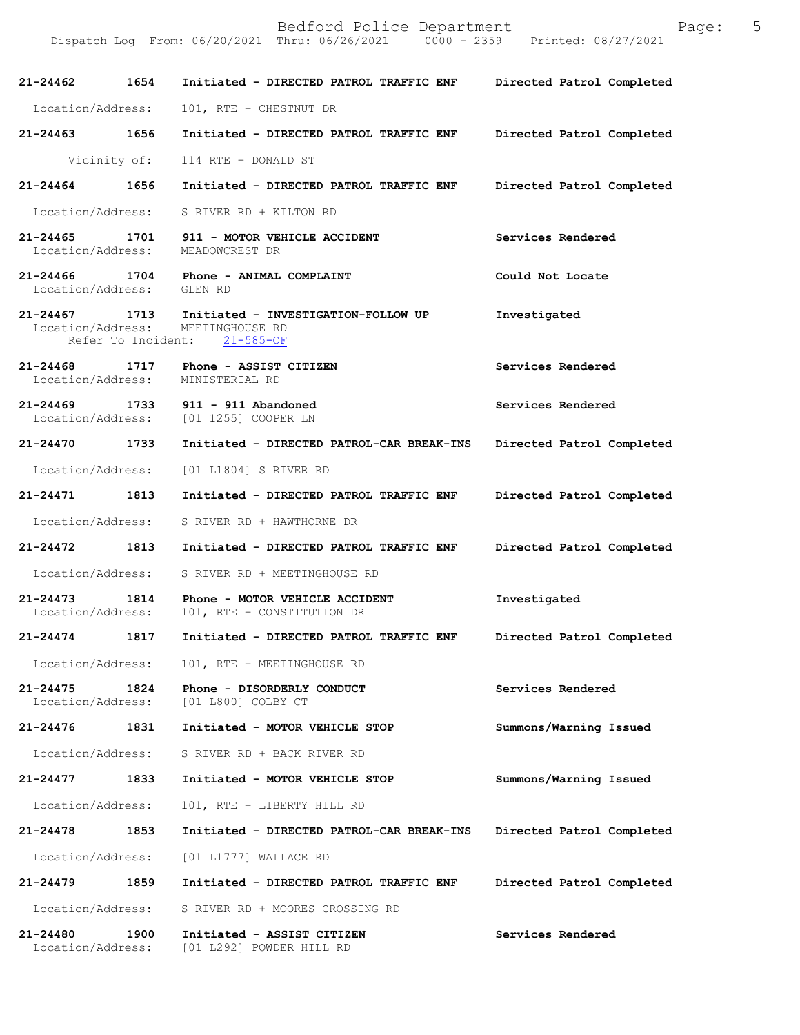| 21-24462 1654             |      | Initiated - DIRECTED PATROL TRAFFIC ENF                                                                                | Directed Patrol Completed |
|---------------------------|------|------------------------------------------------------------------------------------------------------------------------|---------------------------|
| Location/Address:         |      | 101, RTE + CHESTNUT DR                                                                                                 |                           |
| 21-24463 1656             |      | Initiated - DIRECTED PATROL TRAFFIC ENF                                                                                | Directed Patrol Completed |
|                           |      | Vicinity of: 114 RTE + DONALD ST                                                                                       |                           |
| 21-24464 1656             |      | Initiated - DIRECTED PATROL TRAFFIC ENF                                                                                | Directed Patrol Completed |
| Location/Address:         |      | S RIVER RD + KILTON RD                                                                                                 |                           |
|                           |      | 21-24465 1701 911 - MOTOR VEHICLE ACCIDENT<br>Location/Address: MEADOWCREST DR                                         | Services Rendered         |
| Location/Address: GLEN RD |      | 21-24466 1704 Phone - ANIMAL COMPLAINT                                                                                 | Could Not Locate          |
|                           |      | 21-24467 1713 Initiated - INVESTIGATION-FOLLOW UP<br>Location/Address: MEETINGHOUSE RD<br>Refer To Incident: 21-585-OF | Investigated              |
|                           |      | 21-24468 1717 Phone - ASSIST CITIZEN<br>Location/Address: MINISTERIAL RD                                               | Services Rendered         |
|                           |      | 21-24469 1733 911 - 911 Abandoned<br>Location/Address: [01 1255] COOPER LN                                             | Services Rendered         |
| 21-24470 1733             |      | Initiated - DIRECTED PATROL-CAR BREAK-INS Directed Patrol Completed                                                    |                           |
|                           |      | Location/Address: [01 L1804] S RIVER RD                                                                                |                           |
| 21-24471 1813             |      | Initiated - DIRECTED PATROL TRAFFIC ENF                                                                                | Directed Patrol Completed |
|                           |      | Location/Address: S RIVER RD + HAWTHORNE DR                                                                            |                           |
| 21-24472 1813             |      | Initiated - DIRECTED PATROL TRAFFIC ENF                                                                                | Directed Patrol Completed |
|                           |      | Location/Address: S RIVER RD + MEETINGHOUSE RD                                                                         |                           |
|                           |      | 21-24473 1814 Phone - MOTOR VEHICLE ACCIDENT<br>Location/Address: 101, RTE + CONSTITUTION DR                           | Investigated              |
|                           |      | 21-24474 1817 Initiated - DIRECTED PATROL TRAFFIC ENF Directed Patrol Completed                                        |                           |
|                           |      | Location/Address: 101, RTE + MEETINGHOUSE RD                                                                           |                           |
| 21-24475                  |      | 1824 Phone - DISORDERLY CONDUCT<br>Location/Address: [01 L800] COLBY CT                                                | Services Rendered         |
|                           |      | 21-24476 1831 Initiated - MOTOR VEHICLE STOP                                                                           | Summons/Warning Issued    |
| Location/Address:         |      | S RIVER RD + BACK RIVER RD                                                                                             |                           |
| 21-24477                  | 1833 | Initiated - MOTOR VEHICLE STOP                                                                                         | Summons/Warning Issued    |
| Location/Address:         |      | 101, RTE + LIBERTY HILL RD                                                                                             |                           |
| 21-24478                  | 1853 | Initiated - DIRECTED PATROL-CAR BREAK-INS                                                                              | Directed Patrol Completed |
|                           |      | Location/Address: [01 L1777] WALLACE RD                                                                                |                           |
| 21-24479 1859             |      | Initiated - DIRECTED PATROL TRAFFIC ENF                                                                                | Directed Patrol Completed |
| Location/Address:         |      | S RIVER RD + MOORES CROSSING RD                                                                                        |                           |
| 21-24480                  | 1900 | Initiated - ASSIST CITIZEN<br>Location/Address: [01 L292] POWDER HILL RD                                               | Services Rendered         |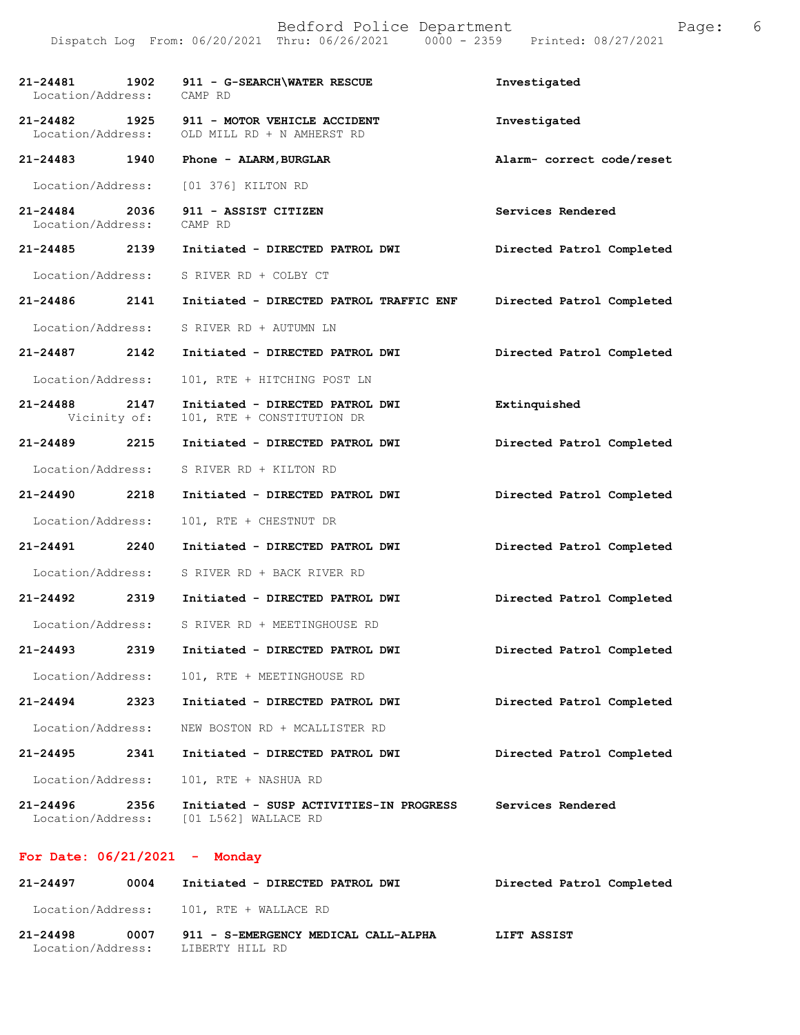| 21-24481 1902<br>Location/Address: |      | 911 - G-SEARCH\WATER RESCUE<br>CAMP RD                                            | Investigated              |
|------------------------------------|------|-----------------------------------------------------------------------------------|---------------------------|
| 21-24482                           |      | 1925 911 - MOTOR VEHICLE ACCIDENT<br>Location/Address: OLD MILL RD + N AMHERST RD | Investigated              |
| 21-24483 1940                      |      | Phone - ALARM, BURGLAR                                                            | Alarm- correct code/reset |
| Location/Address:                  |      | [01 376] KILTON RD                                                                |                           |
| 21-24484 2036<br>Location/Address: |      | 911 - ASSIST CITIZEN<br>CAMP RD                                                   | Services Rendered         |
|                                    |      | 21-24485 2139 Initiated - DIRECTED PATROL DWI                                     | Directed Patrol Completed |
| Location/Address:                  |      | S RIVER RD + COLBY CT                                                             |                           |
| 21-24486 2141                      |      | Initiated - DIRECTED PATROL TRAFFIC ENF                                           | Directed Patrol Completed |
| Location/Address:                  |      | S RIVER RD + AUTUMN LN                                                            |                           |
| $21 - 24487$ 2142                  |      | Initiated - DIRECTED PATROL DWI                                                   | Directed Patrol Completed |
| Location/Address:                  |      | 101, RTE + HITCHING POST LN                                                       |                           |
| 21-24488 2147<br>Vicinity of:      |      | Initiated - DIRECTED PATROL DWI<br>101, RTE + CONSTITUTION DR                     | Extinquished              |
| 21-24489 2215                      |      | Initiated - DIRECTED PATROL DWI                                                   | Directed Patrol Completed |
| Location/Address:                  |      | S RIVER RD + KILTON RD                                                            |                           |
| 21-24490 2218                      |      | Initiated - DIRECTED PATROL DWI                                                   | Directed Patrol Completed |
| Location/Address:                  |      | 101, RTE + CHESTNUT DR                                                            |                           |
| 21-24491                           | 2240 | Initiated - DIRECTED PATROL DWI                                                   | Directed Patrol Completed |
| Location/Address:                  |      | S RIVER RD + BACK RIVER RD                                                        |                           |
| 21-24492 2319                      |      | Initiated - DIRECTED PATROL DWI                                                   | Directed Patrol Completed |
|                                    |      | Location/Address: S RIVER RD + MEETINGHOUSE RD                                    |                           |
| 21-24493                           | 2319 | Initiated - DIRECTED PATROL DWI                                                   | Directed Patrol Completed |
| Location/Address:                  |      | 101, RTE + MEETINGHOUSE RD                                                        |                           |
| 21-24494                           | 2323 | Initiated - DIRECTED PATROL DWI                                                   | Directed Patrol Completed |
| Location/Address:                  |      | NEW BOSTON RD + MCALLISTER RD                                                     |                           |
| 21-24495                           | 2341 | Initiated - DIRECTED PATROL DWI                                                   | Directed Patrol Completed |
| Location/Address:                  |      | 101, RTE + NASHUA RD                                                              |                           |
| $21 - 24496$<br>Location/Address:  | 2356 | Initiated - SUSP ACTIVITIES-IN PROGRESS<br>[01 L562] WALLACE RD                   | Services Rendered         |

## **For Date: 06/21/2021 - Monday**

| 21-24497                      | 0004 | Initiated - DIRECTED PATROL DWI                         | Directed Patrol Completed |
|-------------------------------|------|---------------------------------------------------------|---------------------------|
|                               |      | Location/Address: 101, RTE + WALLACE RD                 |                           |
| 21-24498<br>Location/Address: | 0007 | 911 - S-EMERGENCY MEDICAL CALL-ALPHA<br>LIBERTY HILL RD | LIFT ASSIST               |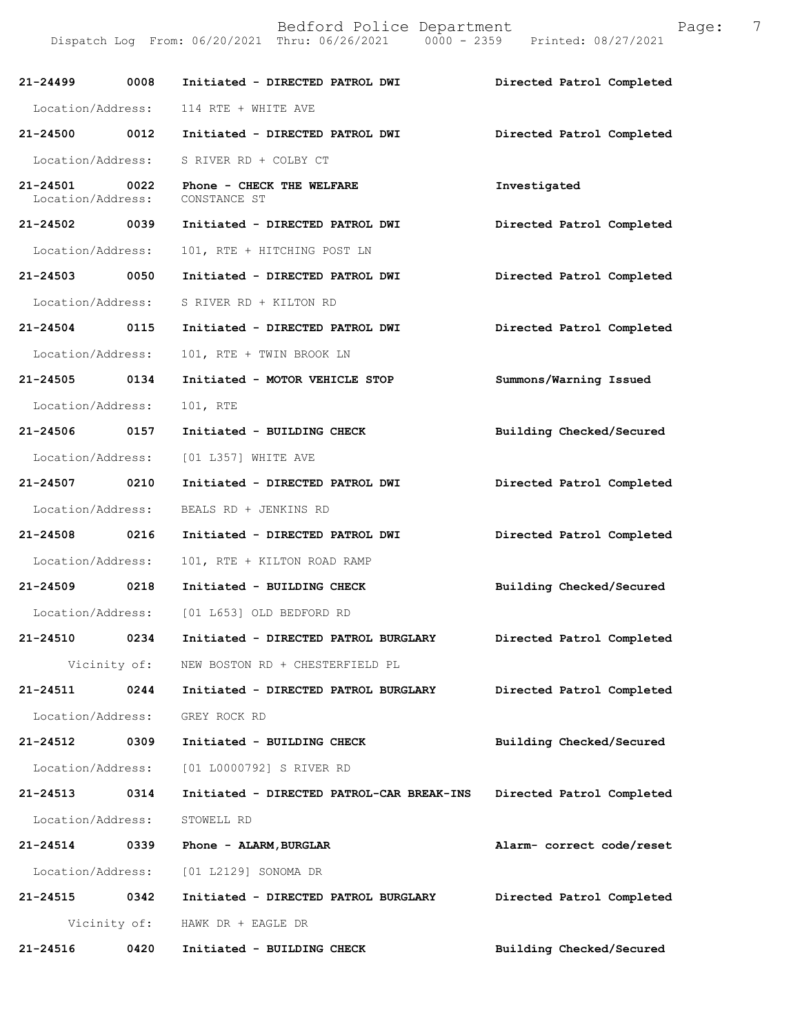| $21 - 24499$                  | 0008         | Initiated - DIRECTED PATROL DWI              | Directed Patrol Completed |
|-------------------------------|--------------|----------------------------------------------|---------------------------|
| Location/Address:             |              | 114 RTE + WHITE AVE                          |                           |
| 21-24500 0012                 |              | Initiated - DIRECTED PATROL DWI              | Directed Patrol Completed |
| Location/Address:             |              | S RIVER RD + COLBY CT                        |                           |
| 21-24501<br>Location/Address: | 0022         | Phone - CHECK THE WELFARE<br>CONSTANCE ST    | Investigated              |
| 21-24502 0039                 |              | Initiated - DIRECTED PATROL DWI              | Directed Patrol Completed |
| Location/Address:             |              | 101, RTE + HITCHING POST LN                  |                           |
| 21-24503 0050                 |              | Initiated - DIRECTED PATROL DWI              | Directed Patrol Completed |
| Location/Address:             |              | S RIVER RD + KILTON RD                       |                           |
| 21-24504 0115                 |              | Initiated - DIRECTED PATROL DWI              | Directed Patrol Completed |
| Location/Address:             |              | 101, RTE + TWIN BROOK LN                     |                           |
| 21-24505 0134                 |              | Initiated - MOTOR VEHICLE STOP               | Summons/Warning Issued    |
| Location/Address:             |              | 101, RTE                                     |                           |
| 21-24506 0157                 |              | Initiated - BUILDING CHECK                   | Building Checked/Secured  |
| Location/Address:             |              | [01 L357] WHITE AVE                          |                           |
| 21-24507 0210                 |              | Initiated - DIRECTED PATROL DWI              | Directed Patrol Completed |
| Location/Address:             |              | BEALS RD + JENKINS RD                        |                           |
| 21-24508 0216                 |              | Initiated - DIRECTED PATROL DWI              | Directed Patrol Completed |
| Location/Address:             |              | 101, RTE + KILTON ROAD RAMP                  |                           |
| 21-24509 0218                 |              | Initiated - BUILDING CHECK                   | Building Checked/Secured  |
|                               |              | Location/Address: [01 L653] OLD BEDFORD RD   |                           |
| $21 - 24510$                  | 0234         | Initiated - DIRECTED PATROL BURGLARY         | Directed Patrol Completed |
|                               |              | Vicinity of: NEW BOSTON RD + CHESTERFIELD PL |                           |
| 21-24511                      | 0244         | Initiated - DIRECTED PATROL BURGLARY         | Directed Patrol Completed |
|                               |              | Location/Address: GREY ROCK RD               |                           |
| 21-24512                      | 0309         | Initiated - BUILDING CHECK                   | Building Checked/Secured  |
|                               |              | Location/Address: [01 L0000792] S RIVER RD   |                           |
| 21-24513                      | 0314         | Initiated - DIRECTED PATROL-CAR BREAK-INS    | Directed Patrol Completed |
| Location/Address:             |              | STOWELL RD                                   |                           |
| 21-24514 0339                 |              | Phone - ALARM, BURGLAR                       | Alarm- correct code/reset |
|                               |              | Location/Address: [01 L2129] SONOMA DR       |                           |
| 21-24515                      | 0342         | Initiated - DIRECTED PATROL BURGLARY         | Directed Patrol Completed |
|                               | Vicinity of: | HAWK DR + EAGLE DR                           |                           |
| 21-24516                      | 0420         | Initiated - BUILDING CHECK                   | Building Checked/Secured  |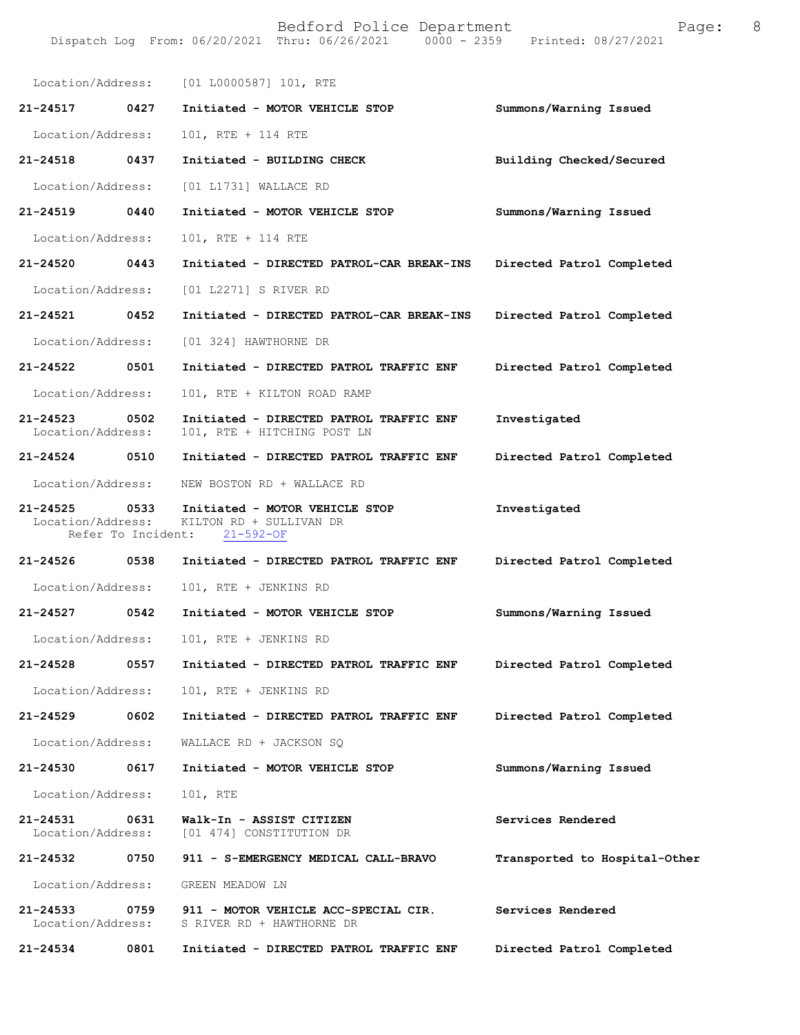|                                    |                    | Location/Address: [01 L0000587] 101, RTE                                     |                               |
|------------------------------------|--------------------|------------------------------------------------------------------------------|-------------------------------|
| 21-24517 0427                      |                    | Initiated - MOTOR VEHICLE STOP                                               | Summons/Warning Issued        |
| Location/Address:                  |                    | 101, RTE + 114 RTE                                                           |                               |
| 21-24518                           | 0437               | Initiated - BUILDING CHECK                                                   | Building Checked/Secured      |
| Location/Address:                  |                    | [01 L1731] WALLACE RD                                                        |                               |
| 21-24519 0440                      |                    | Initiated - MOTOR VEHICLE STOP                                               | Summons/Warning Issued        |
| Location/Address:                  |                    | 101, RTE + 114 RTE                                                           |                               |
| 21-24520 0443                      |                    | Initiated - DIRECTED PATROL-CAR BREAK-INS                                    | Directed Patrol Completed     |
| Location/Address:                  |                    | [01 L2271] S RIVER RD                                                        |                               |
| 21-24521 0452                      |                    | Initiated - DIRECTED PATROL-CAR BREAK-INS                                    | Directed Patrol Completed     |
| Location/Address:                  |                    | [01 324] HAWTHORNE DR                                                        |                               |
| 21-24522                           | 0501               | Initiated - DIRECTED PATROL TRAFFIC ENF                                      | Directed Patrol Completed     |
| Location/Address:                  |                    | 101, RTE + KILTON ROAD RAMP                                                  |                               |
| $21 - 24523$<br>Location/Address:  | 0502               | Initiated - DIRECTED PATROL TRAFFIC ENF<br>101, RTE + HITCHING POST LN       | Investigated                  |
| $21 - 24524$                       | 0510               | Initiated - DIRECTED PATROL TRAFFIC ENF                                      | Directed Patrol Completed     |
| Location/Address:                  |                    | NEW BOSTON RD + WALLACE RD                                                   |                               |
| 21-24525 0533<br>Location/Address: | Refer To Incident: | Initiated - MOTOR VEHICLE STOP<br>KILTON RD + SULLIVAN DR<br>$21 - 592 - OF$ | Investigated                  |
| 21-24526 0538                      |                    | Initiated - DIRECTED PATROL TRAFFIC ENF                                      | Directed Patrol Completed     |
| Location/Address:                  |                    | 101, RTE + JENKINS RD                                                        |                               |
| 21-24527 0542                      |                    | Initiated - MOTOR VEHICLE STOP                                               | Summons/Warning Issued        |
| Location/Address:                  |                    | 101, RTE + JENKINS RD                                                        |                               |
| 21-24528                           | 0557               | Initiated - DIRECTED PATROL TRAFFIC ENF                                      | Directed Patrol Completed     |
| Location/Address:                  |                    | 101, RTE + JENKINS RD                                                        |                               |
| $21 - 24529$                       | 0602               | Initiated - DIRECTED PATROL TRAFFIC ENF                                      | Directed Patrol Completed     |
| Location/Address:                  |                    | WALLACE RD + JACKSON SQ                                                      |                               |
| 21-24530                           | 0617               | Initiated - MOTOR VEHICLE STOP                                               | Summons/Warning Issued        |
| Location/Address:                  |                    | 101, RTE                                                                     |                               |
| 21-24531<br>Location/Address:      | 0631               | Walk-In - ASSIST CITIZEN<br>[01 474] CONSTITUTION DR                         | Services Rendered             |
| 21-24532                           | 0750               | 911 - S-EMERGENCY MEDICAL CALL-BRAVO                                         | Transported to Hospital-Other |
| Location/Address:                  |                    | GREEN MEADOW LN                                                              |                               |
| $21 - 24533$<br>Location/Address:  | 0759               | 911 - MOTOR VEHICLE ACC-SPECIAL CIR.<br>S RIVER RD + HAWTHORNE DR            | Services Rendered             |
| 21-24534                           | 0801               | Initiated - DIRECTED PATROL TRAFFIC ENF                                      | Directed Patrol Completed     |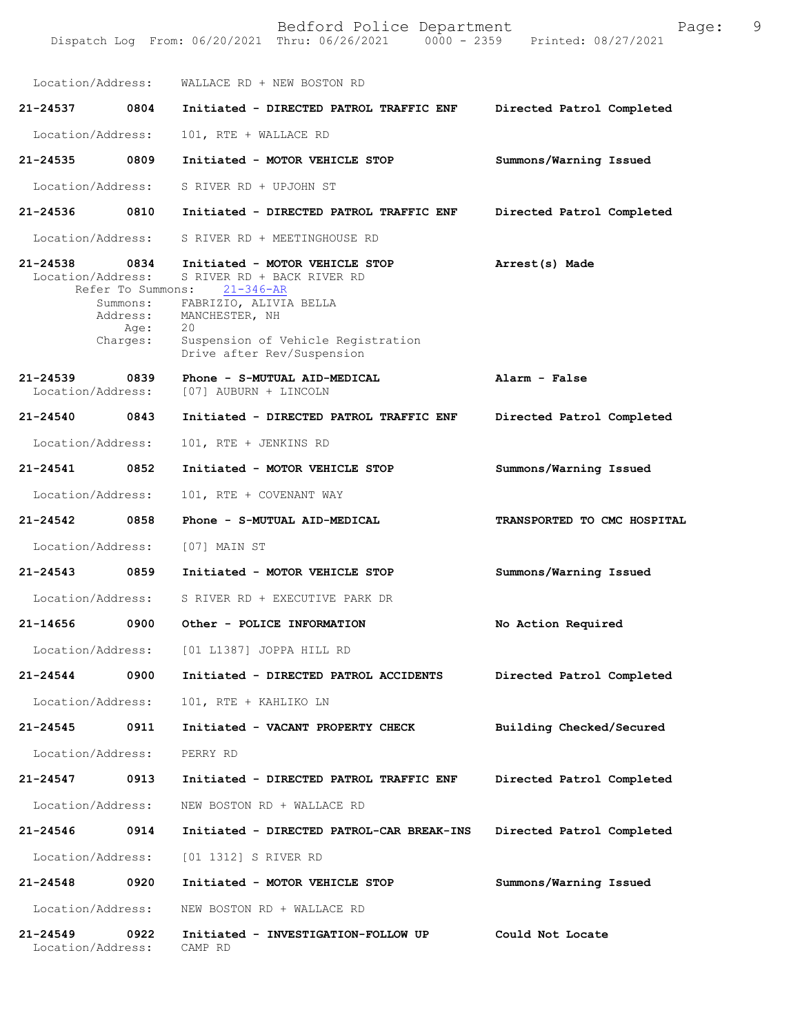Bedford Police Department Page: 9 Dispatch Log From: 06/20/2021 Thru: 06/26/2021 Location/Address: WALLACE RD + NEW BOSTON RD **21-24537 0804 Initiated - DIRECTED PATROL TRAFFIC ENF Directed Patrol Completed**  Location/Address: 101, RTE + WALLACE RD **21-24535 0809 Initiated - MOTOR VEHICLE STOP Summons/Warning Issued**  Location/Address: S RIVER RD + UPJOHN ST **21-24536 0810 Initiated - DIRECTED PATROL TRAFFIC ENF Directed Patrol Completed**  Location/Address: S RIVER RD + MEETINGHOUSE RD **21-24538 0834 Initiated - MOTOR VEHICLE STOP Arrest(s) Made**  Location/Address: S RIVER RD + BACK RIVER RD Refer To Summons: 21-346-AR **Alarm - False Directed Patrol Completed Summons/Warning Issued TRANSPORTED TO CMC HOSPITAL Summons/Warning Issued No Action Required Directed Patrol Completed Building Checked/Secured Directed Patrol Completed Directed Patrol Completed Summons/Warning Issued Could Not Locate**  Summons: FABRIZIO, ALIVIA BELLA Address: MANCHESTER, NH Age: 20 Charges: Suspension of Vehicle Registration Drive after Rev/Suspension **21-24539 0839 Phone - S-MUTUAL AID-MEDICAL** Location/Address: [07] AUBURN + LINCOLN **21-24540 0843 Initiated - DIRECTED PATROL TRAFFIC ENF** Location/Address: 101, RTE + JENKINS RD **21-24541 0852 Initiated - MOTOR VEHICLE STOP** Location/Address: 101, RTE + COVENANT WAY **21-24542 0858 Phone - S-MUTUAL AID-MEDICAL** Location/Address: [07] MAIN ST **21-24543 0859 Initiated - MOTOR VEHICLE STOP** Location/Address: S RIVER RD + EXECUTIVE PARK DR **21-14656 0900 Other - POLICE INFORMATION** Location/Address: [01 L1387] JOPPA HILL RD **21-24544 0900 Initiated - DIRECTED PATROL ACCIDENTS** Location/Address: 101, RTE + KAHLIKO LN **21-24545 0911 Initiated - VACANT PROPERTY CHECK** Location/Address: PERRY RD **21-24547 0913 Initiated - DIRECTED PATROL TRAFFIC ENF** Location/Address: NEW BOSTON RD + WALLACE RD **21-24546 0914 Initiated - DIRECTED PATROL-CAR BREAK-INS** Location/Address: [01 1312] S RIVER RD **21-24548 0920 Initiated - MOTOR VEHICLE STOP** Location/Address: NEW BOSTON RD + WALLACE RD **21-24549 0922 Initiated - INVESTIGATION-FOLLOW UP** Location/Address: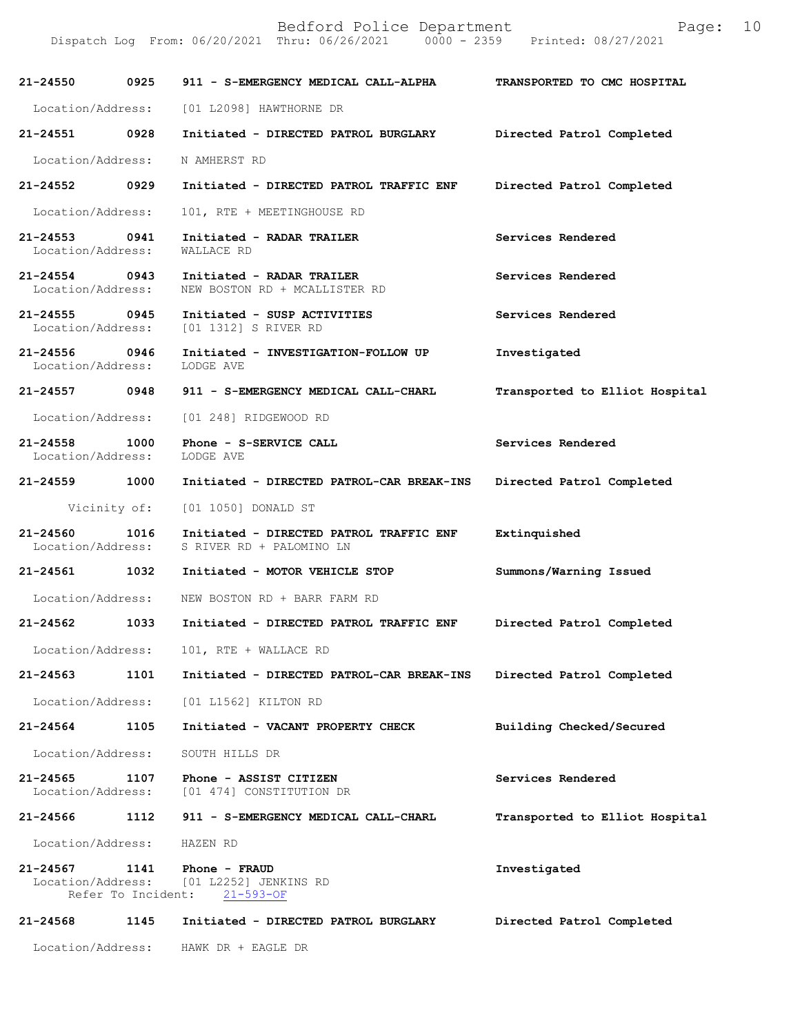| 21-24550                                     | 0925                       | 911 - S-EMERGENCY MEDICAL CALL-ALPHA                                  | TRANSPORTED TO CMC HOSPITAL    |
|----------------------------------------------|----------------------------|-----------------------------------------------------------------------|--------------------------------|
| Location/Address:                            |                            | [01 L2098] HAWTHORNE DR                                               |                                |
| 21-24551 0928                                |                            | Initiated - DIRECTED PATROL BURGLARY Directed Patrol Completed        |                                |
| Location/Address:                            |                            | N AMHERST RD                                                          |                                |
| 21-24552 0929                                |                            | Initiated - DIRECTED PATROL TRAFFIC ENF                               | Directed Patrol Completed      |
| Location/Address:                            |                            | 101, RTE + MEETINGHOUSE RD                                            |                                |
| 21-24553 0941<br>Location/Address:           |                            | Initiated - RADAR TRAILER<br>WALLACE RD                               | Services Rendered              |
| 21-24554 0943<br>Location/Address:           |                            | Initiated - RADAR TRAILER<br>NEW BOSTON RD + MCALLISTER RD            | Services Rendered              |
| 21-24555 0945                                |                            | Initiated - SUSP ACTIVITIES<br>Location/Address: [01 1312] S RIVER RD | Services Rendered              |
| 21-24556 0946<br>Location/Address: LODGE AVE |                            | Initiated - INVESTIGATION-FOLLOW UP                                   | Investigated                   |
| 21-24557 0948                                |                            | 911 - S-EMERGENCY MEDICAL CALL-CHARL                                  | Transported to Elliot Hospital |
| Location/Address:                            |                            | [01 248] RIDGEWOOD RD                                                 |                                |
| 21-24558 1000<br>Location/Address:           |                            | Phone - S-SERVICE CALL<br>LODGE AVE                                   | Services Rendered              |
| 21-24559 1000                                |                            | Initiated - DIRECTED PATROL-CAR BREAK-INS                             | Directed Patrol Completed      |
|                                              |                            | Vicinity of: [01 1050] DONALD ST                                      |                                |
| 21-24560 1016<br>Location/Address:           |                            | Initiated - DIRECTED PATROL TRAFFIC ENF<br>S RIVER RD + PALOMINO LN   | Extinquished                   |
| 21-24561 1032                                |                            | Initiated - MOTOR VEHICLE STOP                                        | Summons/Warning Issued         |
| Location/Address:                            |                            | NEW BOSTON RD + BARR FARM RD                                          |                                |
| 21-24562 1033                                |                            | Initiated - DIRECTED PATROL TRAFFIC ENF                               | Directed Patrol Completed      |
|                                              |                            | Location/Address: 101, RTE + WALLACE RD                               |                                |
| 21-24563                                     | 1101                       | Initiated - DIRECTED PATROL-CAR BREAK-INS                             | Directed Patrol Completed      |
| Location/Address:                            |                            | [01 L1562] KILTON RD                                                  |                                |
| 21-24564                                     | 1105                       | Initiated - VACANT PROPERTY CHECK                                     | Building Checked/Secured       |
| Location/Address:                            |                            | SOUTH HILLS DR                                                        |                                |
| 21-24565<br>Location/Address:                | 1107                       | Phone - ASSIST CITIZEN<br>[01 474] CONSTITUTION DR                    | Services Rendered              |
| 21-24566                                     | 1112                       | 911 - S-EMERGENCY MEDICAL CALL-CHARL                                  | Transported to Elliot Hospital |
| Location/Address:                            |                            | HAZEN RD                                                              |                                |
| 21-24567<br>Location/Address:                | 1141<br>Refer To Incident: | Phone - FRAUD<br>[01 L2252] JENKINS RD<br>$21 - 593 - OF$             | Investigated                   |
| 21-24568                                     | 1145                       | Initiated - DIRECTED PATROL BURGLARY                                  | Directed Patrol Completed      |
| Location/Address:                            |                            | HAWK DR + EAGLE DR                                                    |                                |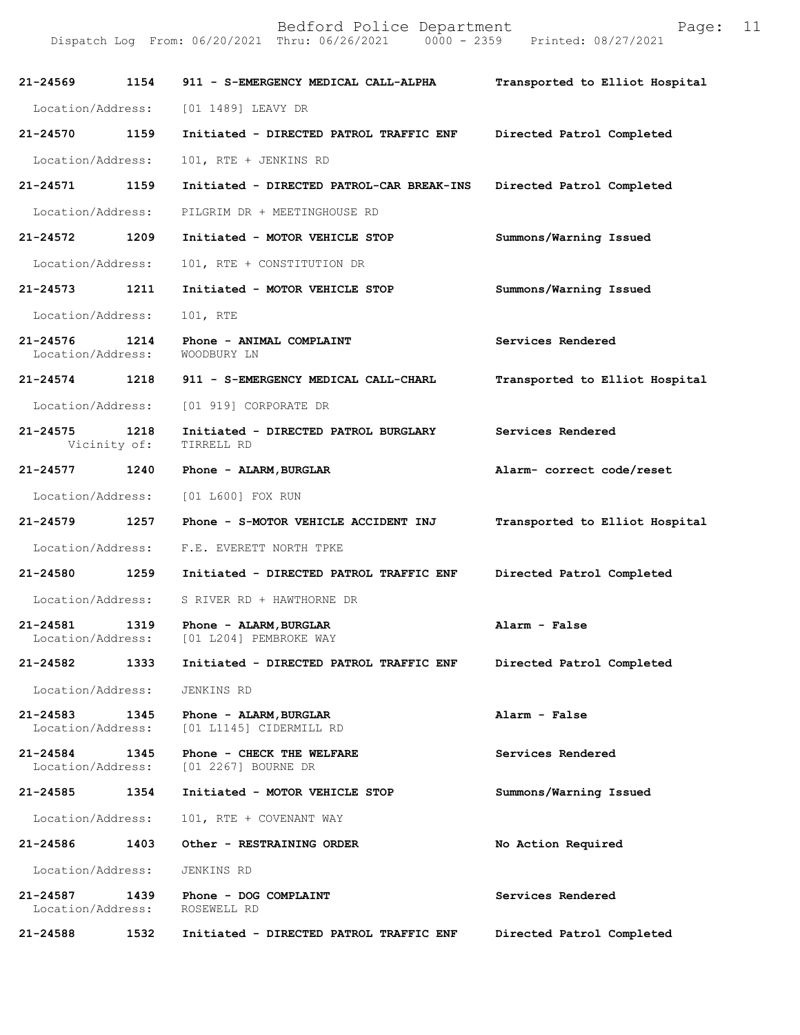| 21-24569                      | 1154                 | 911 - S-EMERGENCY MEDICAL CALL-ALPHA               | Transported to Elliot Hospital |
|-------------------------------|----------------------|----------------------------------------------------|--------------------------------|
| Location/Address:             |                      | [01 1489] LEAVY DR                                 |                                |
| 21-24570                      | 1159                 | Initiated - DIRECTED PATROL TRAFFIC ENF            | Directed Patrol Completed      |
| Location/Address:             |                      | 101, RTE + JENKINS RD                              |                                |
| 21-24571                      | 1159                 | Initiated - DIRECTED PATROL-CAR BREAK-INS          | Directed Patrol Completed      |
| Location/Address:             |                      | PILGRIM DR + MEETINGHOUSE RD                       |                                |
| 21-24572                      | 1209                 | Initiated - MOTOR VEHICLE STOP                     | Summons/Warning Issued         |
| Location/Address:             |                      | 101, RTE + CONSTITUTION DR                         |                                |
| $21 - 24573$                  | 1211                 | Initiated - MOTOR VEHICLE STOP                     | Summons/Warning Issued         |
| Location/Address:             |                      | 101, RTE                                           |                                |
| 21-24576<br>Location/Address: | 1214                 | Phone - ANIMAL COMPLAINT<br>WOODBURY LN            | Services Rendered              |
|                               |                      | 21-24574 1218 911 - S-EMERGENCY MEDICAL CALL-CHARL | Transported to Elliot Hospital |
| Location/Address:             |                      | [01 919] CORPORATE DR                              |                                |
| 21-24575                      | 1218<br>Vicinity of: | Initiated - DIRECTED PATROL BURGLARY<br>TIRRELL RD | Services Rendered              |
| 21-24577                      | 1240                 | Phone - ALARM, BURGLAR                             | Alarm- correct code/reset      |
| Location/Address:             |                      | [01 L600] FOX RUN                                  |                                |
| 21-24579 1257                 |                      | Phone - S-MOTOR VEHICLE ACCIDENT INJ               | Transported to Elliot Hospital |
| Location/Address:             |                      | F.E. EVERETT NORTH TPKE                            |                                |
| 21-24580                      | 1259                 | Initiated - DIRECTED PATROL TRAFFIC ENF            | Directed Patrol Completed      |
| Location/Address:             |                      | S RIVER RD + HAWTHORNE DR                          |                                |
| 21-24581<br>Location/Address: | 1319                 | Phone - ALARM, BURGLAR<br>[01 L204] PEMBROKE WAY   | Alarm - False                  |
| 21-24582                      | 1333                 | Initiated - DIRECTED PATROL TRAFFIC ENF            | Directed Patrol Completed      |
| Location/Address:             |                      | JENKINS RD                                         |                                |
| 21-24583<br>Location/Address: | 1345                 | Phone - ALARM, BURGLAR<br>[01 L1145] CIDERMILL RD  | Alarm - False                  |
| 21-24584<br>Location/Address: | 1345                 | Phone - CHECK THE WELFARE<br>[01 2267] BOURNE DR   | Services Rendered              |
| 21-24585                      | 1354                 | Initiated - MOTOR VEHICLE STOP                     | Summons/Warning Issued         |
| Location/Address:             |                      | 101, RTE + COVENANT WAY                            |                                |
| 21-24586                      | 1403                 | Other - RESTRAINING ORDER                          | No Action Required             |
| Location/Address:             |                      | JENKINS RD                                         |                                |
| 21-24587<br>Location/Address: | 1439                 | Phone - DOG COMPLAINT<br>ROSEWELL RD               | Services Rendered              |
| 21-24588                      | 1532                 | Initiated - DIRECTED PATROL TRAFFIC ENF            | Directed Patrol Completed      |
|                               |                      |                                                    |                                |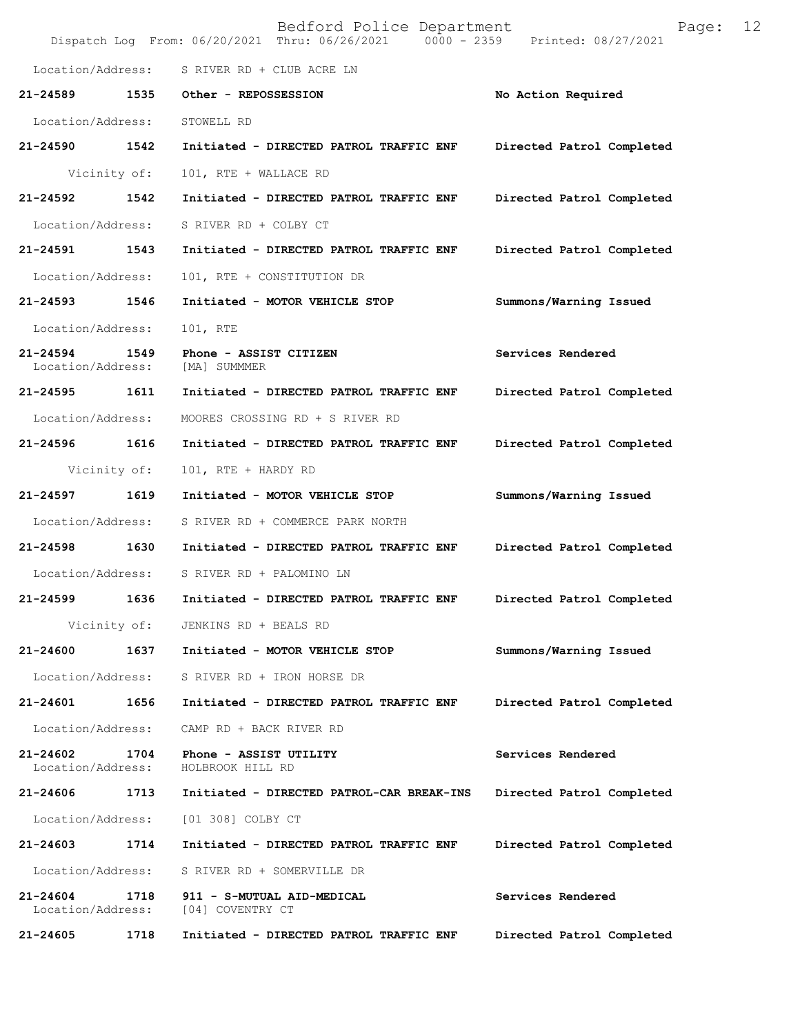|                                   |              | Bedford Police Department<br>Dispatch Log From: 06/20/2021 Thru: 06/26/2021 0000 - 2359 Printed: 08/27/2021 | 12<br>Page:               |  |
|-----------------------------------|--------------|-------------------------------------------------------------------------------------------------------------|---------------------------|--|
| Location/Address:                 |              | S RIVER RD + CLUB ACRE LN                                                                                   |                           |  |
| 21-24589                          | 1535         | Other - REPOSSESSION                                                                                        | No Action Required        |  |
| Location/Address:                 |              | STOWELL RD                                                                                                  |                           |  |
| 21-24590                          | 1542         | Initiated - DIRECTED PATROL TRAFFIC ENF                                                                     | Directed Patrol Completed |  |
|                                   | Vicinity of: | 101, RTE + WALLACE RD                                                                                       |                           |  |
| 21-24592                          | 1542         | Initiated - DIRECTED PATROL TRAFFIC ENF                                                                     | Directed Patrol Completed |  |
| Location/Address:                 |              | S RIVER RD + COLBY CT                                                                                       |                           |  |
| 21-24591                          | 1543         | Initiated - DIRECTED PATROL TRAFFIC ENF                                                                     | Directed Patrol Completed |  |
| Location/Address:                 |              | 101, RTE + CONSTITUTION DR                                                                                  |                           |  |
| 21-24593                          | 1546         | Initiated - MOTOR VEHICLE STOP                                                                              | Summons/Warning Issued    |  |
| Location/Address:                 |              | 101, RTE                                                                                                    |                           |  |
| 21-24594<br>Location/Address:     | 1549         | Phone - ASSIST CITIZEN<br>[MA] SUMMMER                                                                      | Services Rendered         |  |
| 21-24595                          | 1611         | Initiated - DIRECTED PATROL TRAFFIC ENF                                                                     | Directed Patrol Completed |  |
| Location/Address:                 |              | MOORES CROSSING RD + S RIVER RD                                                                             |                           |  |
| 21-24596                          | 1616         | Initiated - DIRECTED PATROL TRAFFIC ENF                                                                     | Directed Patrol Completed |  |
|                                   | Vicinity of: | 101, RTE + HARDY RD                                                                                         |                           |  |
| 21-24597                          | 1619         | Initiated - MOTOR VEHICLE STOP                                                                              | Summons/Warning Issued    |  |
| Location/Address:                 |              | S RIVER RD + COMMERCE PARK NORTH                                                                            |                           |  |
| 21-24598 1630                     |              | Initiated - DIRECTED PATROL TRAFFIC ENF                                                                     | Directed Patrol Completed |  |
| Location/Address:                 |              | S RIVER RD + PALOMINO LN                                                                                    |                           |  |
| 21-24599                          | 1636         | Initiated - DIRECTED PATROL TRAFFIC ENF                                                                     | Directed Patrol Completed |  |
|                                   | Vicinity of: | JENKINS RD + BEALS RD                                                                                       |                           |  |
| 21-24600                          | 1637         | Initiated - MOTOR VEHICLE STOP                                                                              | Summons/Warning Issued    |  |
| Location/Address:                 |              | S RIVER RD + IRON HORSE DR                                                                                  |                           |  |
| 21-24601                          | 1656         | Initiated - DIRECTED PATROL TRAFFIC ENF                                                                     | Directed Patrol Completed |  |
| Location/Address:                 |              | CAMP RD + BACK RIVER RD                                                                                     |                           |  |
| $21 - 24602$<br>Location/Address: | 1704         | Phone - ASSIST UTILITY<br>HOLBROOK HILL RD                                                                  | Services Rendered         |  |
| 21-24606                          | 1713         | Initiated - DIRECTED PATROL-CAR BREAK-INS                                                                   | Directed Patrol Completed |  |
| Location/Address:                 |              | [01 308] COLBY CT                                                                                           |                           |  |
| 21-24603                          | 1714         | Initiated - DIRECTED PATROL TRAFFIC ENF                                                                     | Directed Patrol Completed |  |
| Location/Address:                 |              | S RIVER RD + SOMERVILLE DR                                                                                  |                           |  |
| 21-24604<br>Location/Address:     | 1718         | 911 - S-MUTUAL AID-MEDICAL<br>[04] COVENTRY CT                                                              | Services Rendered         |  |
| 21-24605                          | 1718         | Initiated - DIRECTED PATROL TRAFFIC ENF                                                                     | Directed Patrol Completed |  |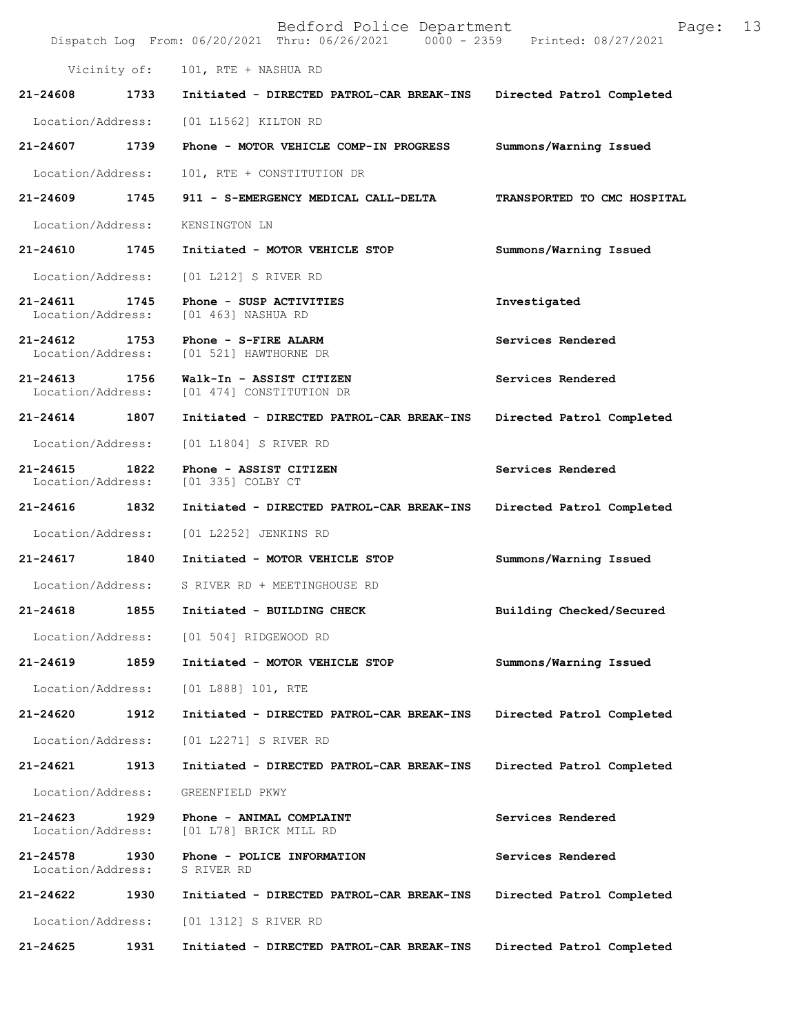|                                   |      | Bedford Police Department<br>Dispatch Log From: 06/20/2021 Thru: 06/26/2021 0000 - 2359 Printed: 08/27/2021 | 13<br>Page:                 |
|-----------------------------------|------|-------------------------------------------------------------------------------------------------------------|-----------------------------|
| Vicinity of:                      |      | 101, RTE + NASHUA RD                                                                                        |                             |
| 21-24608                          | 1733 | Initiated - DIRECTED PATROL-CAR BREAK-INS                                                                   | Directed Patrol Completed   |
| Location/Address:                 |      | [01 L1562] KILTON RD                                                                                        |                             |
| 21-24607                          | 1739 | Phone - MOTOR VEHICLE COMP-IN PROGRESS                                                                      | Summons/Warning Issued      |
| Location/Address:                 |      | 101, RTE + CONSTITUTION DR                                                                                  |                             |
| $21 - 24609$                      | 1745 | 911 - S-EMERGENCY MEDICAL CALL-DELTA                                                                        | TRANSPORTED TO CMC HOSPITAL |
| Location/Address:                 |      | KENSINGTON LN                                                                                               |                             |
| 21-24610                          | 1745 | Initiated - MOTOR VEHICLE STOP                                                                              | Summons/Warning Issued      |
| Location/Address:                 |      | [01 L212] S RIVER RD                                                                                        |                             |
| 21-24611<br>Location/Address:     | 1745 | Phone - SUSP ACTIVITIES<br>[01 463] NASHUA RD                                                               | Investigated                |
| $21 - 24612$<br>Location/Address: | 1753 | Phone - S-FIRE ALARM<br>[01 521] HAWTHORNE DR                                                               | Services Rendered           |
| $21 - 24613$<br>Location/Address: | 1756 | Walk-In - ASSIST CITIZEN<br>[01 474] CONSTITUTION DR                                                        | Services Rendered           |
| 21-24614 1807                     |      | Initiated - DIRECTED PATROL-CAR BREAK-INS                                                                   | Directed Patrol Completed   |
| Location/Address:                 |      | [01 L1804] S RIVER RD                                                                                       |                             |
| 21-24615<br>Location/Address:     | 1822 | Phone - ASSIST CITIZEN<br>[01 335] COLBY CT                                                                 | Services Rendered           |
| 21-24616                          | 1832 | Initiated - DIRECTED PATROL-CAR BREAK-INS                                                                   | Directed Patrol Completed   |
| Location/Address:                 |      | [01 L2252] JENKINS RD                                                                                       |                             |
| 21-24617 1840                     |      | Initiated - MOTOR VEHICLE STOP                                                                              | Summons/Warning Issued      |
|                                   |      | Location/Address: S RIVER RD + MEETINGHOUSE RD                                                              |                             |
| $21 - 24618$                      | 1855 | Initiated - BUILDING CHECK                                                                                  | Building Checked/Secured    |
| Location/Address:                 |      | [01 504] RIDGEWOOD RD                                                                                       |                             |
| 21-24619                          | 1859 | Initiated - MOTOR VEHICLE STOP                                                                              | Summons/Warning Issued      |
| Location/Address:                 |      | [01 L888] 101, RTE                                                                                          |                             |
| 21-24620                          | 1912 | Initiated - DIRECTED PATROL-CAR BREAK-INS                                                                   | Directed Patrol Completed   |
| Location/Address:                 |      | [01 L2271] S RIVER RD                                                                                       |                             |
| 21-24621                          | 1913 | Initiated - DIRECTED PATROL-CAR BREAK-INS                                                                   | Directed Patrol Completed   |
| Location/Address:                 |      | GREENFIELD PKWY                                                                                             |                             |
| 21-24623<br>Location/Address:     | 1929 | Phone - ANIMAL COMPLAINT<br>[01 L78] BRICK MILL RD                                                          | Services Rendered           |
| 21-24578<br>Location/Address:     | 1930 | Phone - POLICE INFORMATION<br>S RIVER RD                                                                    | Services Rendered           |
| 21-24622                          | 1930 | Initiated - DIRECTED PATROL-CAR BREAK-INS                                                                   | Directed Patrol Completed   |
| Location/Address:                 |      | [01 1312] S RIVER RD                                                                                        |                             |
| 21-24625                          | 1931 | Initiated - DIRECTED PATROL-CAR BREAK-INS                                                                   | Directed Patrol Completed   |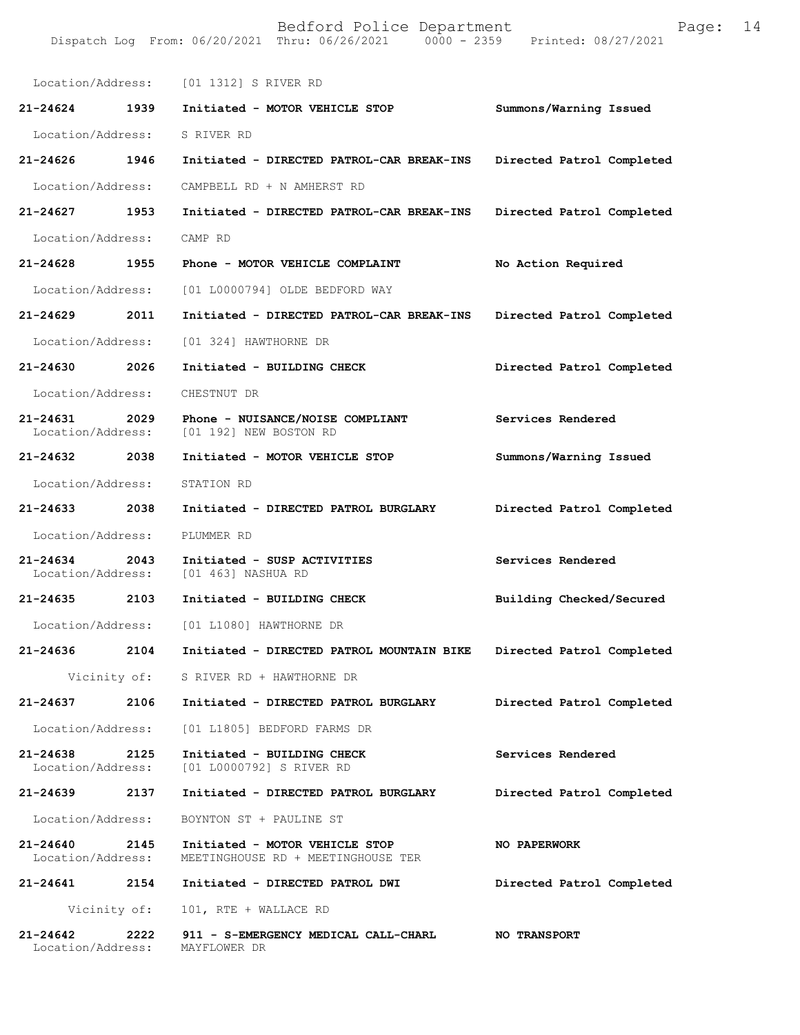| Location/Address:                     | [01 1312] S RIVER RD                                                 |                           |
|---------------------------------------|----------------------------------------------------------------------|---------------------------|
| $21 - 24624$<br>1939                  | Initiated - MOTOR VEHICLE STOP                                       | Summons/Warning Issued    |
| Location/Address:                     | S RIVER RD                                                           |                           |
| 21-24626<br>1946                      | Initiated - DIRECTED PATROL-CAR BREAK-INS                            | Directed Patrol Completed |
| Location/Address:                     | CAMPBELL RD + N AMHERST RD                                           |                           |
| $21 - 24627$<br>1953                  | Initiated - DIRECTED PATROL-CAR BREAK-INS                            | Directed Patrol Completed |
| Location/Address:                     | CAMP RD                                                              |                           |
| 21-24628 1955                         | Phone - MOTOR VEHICLE COMPLAINT                                      | No Action Required        |
| Location/Address:                     | [01 L0000794] OLDE BEDFORD WAY                                       |                           |
| 21-24629 2011                         | Initiated - DIRECTED PATROL-CAR BREAK-INS                            | Directed Patrol Completed |
| Location/Address:                     | [01 324] HAWTHORNE DR                                                |                           |
| 21-24630 2026                         | Initiated - BUILDING CHECK                                           | Directed Patrol Completed |
| Location/Address:                     | CHESTNUT DR                                                          |                           |
| 21-24631 2029<br>Location/Address:    | Phone - NUISANCE/NOISE COMPLIANT<br>[01 192] NEW BOSTON RD           | Services Rendered         |
| 21-24632 2038                         | Initiated - MOTOR VEHICLE STOP                                       | Summons/Warning Issued    |
| Location/Address:                     | STATION RD                                                           |                           |
| 21-24633 2038                         | Initiated - DIRECTED PATROL BURGLARY                                 | Directed Patrol Completed |
| Location/Address:                     | PLUMMER RD                                                           |                           |
| 21-24634 2043<br>Location/Address:    | Initiated - SUSP ACTIVITIES<br>[01 463] NASHUA RD                    | Services Rendered         |
| 21-24635 2103                         | Initiated - BUILDING CHECK                                           | Building Checked/Secured  |
| Location/Address:                     | [01 L1080] HAWTHORNE DR                                              |                           |
| 21-24636<br>2104                      | Initiated - DIRECTED PATROL MOUNTAIN BIKE                            | Directed Patrol Completed |
|                                       | Vicinity of: S RIVER RD + HAWTHORNE DR                               |                           |
| 21-24637 2106                         | Initiated - DIRECTED PATROL BURGLARY                                 | Directed Patrol Completed |
| Location/Address:                     | [01 L1805] BEDFORD FARMS DR                                          |                           |
| 21-24638<br>2125<br>Location/Address: | Initiated - BUILDING CHECK<br>[01 L0000792] S RIVER RD               | Services Rendered         |
| 21-24639 2137                         | Initiated - DIRECTED PATROL BURGLARY                                 | Directed Patrol Completed |
| Location/Address:                     | BOYNTON ST + PAULINE ST                                              |                           |
| 21-24640<br>2145<br>Location/Address: | Initiated - MOTOR VEHICLE STOP<br>MEETINGHOUSE RD + MEETINGHOUSE TER | NO PAPERWORK              |
| 21-24641 2154                         | Initiated - DIRECTED PATROL DWI                                      | Directed Patrol Completed |
|                                       | Vicinity of: 101, RTE + WALLACE RD                                   |                           |
| 21-24642<br>2222<br>Location/Address: | 911 - S-EMERGENCY MEDICAL CALL-CHARL<br>MAYFLOWER DR                 | <b>NO TRANSPORT</b>       |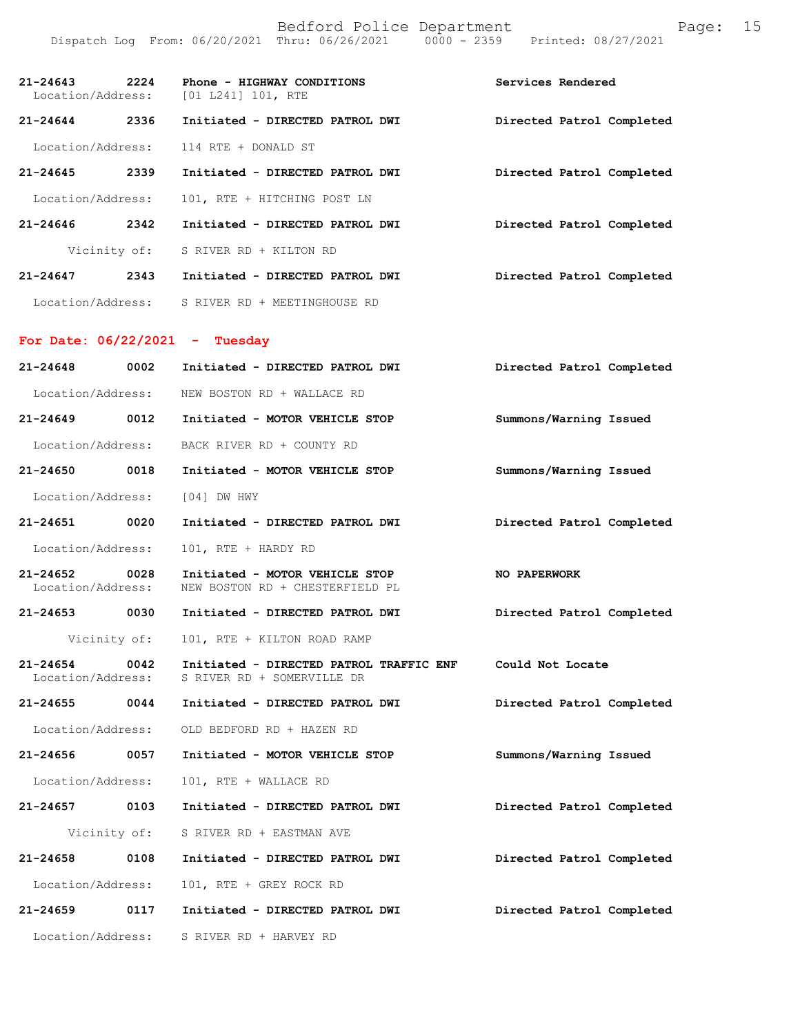| $21 - 24643$<br>Location/Address: | 2224         | Phone - HIGHWAY CONDITIONS<br>[01 L241] 101, RTE | Services Rendered         |
|-----------------------------------|--------------|--------------------------------------------------|---------------------------|
| $21 - 24644$                      | 2336         | Initiated - DIRECTED PATROL DWI                  | Directed Patrol Completed |
| Location/Address:                 |              | 114 RTE + DONALD ST                              |                           |
| $21 - 24645$                      | 2339         | Initiated - DIRECTED PATROL DWI                  | Directed Patrol Completed |
| Location/Address:                 |              | 101, RTE + HITCHING POST LN                      |                           |
| 21-24646                          | 2342         | Initiated - DIRECTED PATROL DWI                  | Directed Patrol Completed |
|                                   | Vicinity of: | S RIVER RD + KILTON RD                           |                           |
| $21 - 24647$                      | 2343         | Initiated - DIRECTED PATROL DWI                  | Directed Patrol Completed |
|                                   |              | Location/Address: S RIVER RD + MEETINGHOUSE RD   |                           |
|                                   |              | For Date: $06/22/2021 - Tuesday$                 |                           |
| $21 - 24648$                      | 0002         | Initiated - DIRECTED PATROL DWI                  | Directed Patrol Completed |
| Location/Address:                 |              | NEW BOSTON RD + WALLACE RD                       |                           |
| $21 - 24649$                      | 0012         | Initiated - MOTOR VEHICLE STOP                   | Summons/Warning Issued    |
| Location/Address:                 |              | BACK RIVER RD + COUNTY RD                        |                           |

**21-24650 0018 Initiated - MOTOR VEHICLE STOP Summons/Warning Issued**  Location/Address: [04] DW HWY

**21-24651 0020 Initiated - DIRECTED PATROL DWI Directed Patrol Completed**  Location/Address: 101, RTE + HARDY RD

**21-24652 0028 Initiated - MOTOR VEHICLE STOP NO PAPERWORK**  Location/Address: NEW BOSTON RD + CHESTERFIELD PL

**21-24653 0030 Initiated - DIRECTED PATROL DWI Directed Patrol Completed** 

Vicinity of: 101, RTE + KILTON ROAD RAMP

**21-24654 0042 Initiated - DIRECTED PATROL TRAFFIC ENF Could Not Locate**  S RIVER RD + SOMERVILLE DR

**21-24655 0044 Initiated - DIRECTED PATROL DWI Directed Patrol Completed** 

Location/Address: OLD BEDFORD RD + HAZEN RD

**21-24656 0057 Initiated - MOTOR VEHICLE STOP Summons/Warning Issued** 

Location/Address: 101, RTE + WALLACE RD

**21-24657 0103 Initiated - DIRECTED PATROL DWI Directed Patrol Completed** 

Vicinity of: S RIVER RD + EASTMAN AVE

**21-24658 0108 Initiated - DIRECTED PATROL DWI Directed Patrol Completed**  Location/Address: 101, RTE + GREY ROCK RD **21-24659 0117 Initiated - DIRECTED PATROL DWI Directed Patrol Completed**  Location/Address: S RIVER RD + HARVEY RD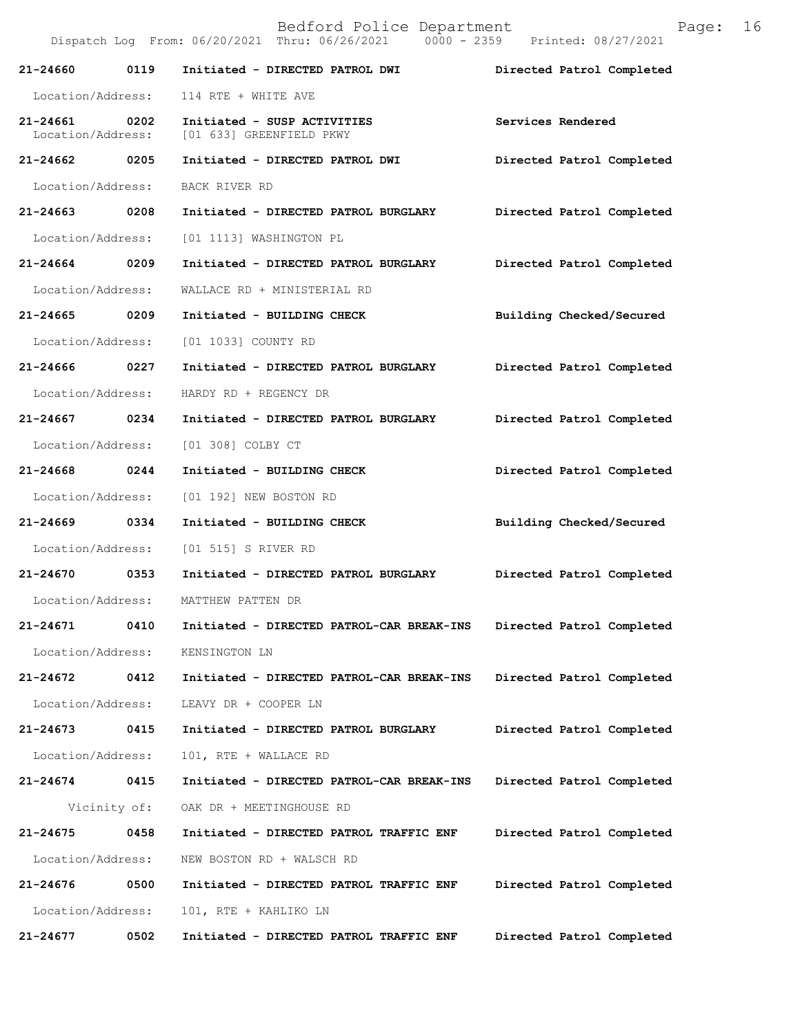|                                    |              | Bedford Police Department<br>Dispatch Log From: 06/20/2021 Thru: 06/26/2021 0000 - 2359 Printed: 08/27/2021 |                           | Page: | 16 |
|------------------------------------|--------------|-------------------------------------------------------------------------------------------------------------|---------------------------|-------|----|
| 21-24660                           | 0119         | Initiated - DIRECTED PATROL DWI                                                                             | Directed Patrol Completed |       |    |
| Location/Address:                  |              | 114 RTE + WHITE AVE                                                                                         |                           |       |    |
| 21-24661 0202<br>Location/Address: |              | Initiated - SUSP ACTIVITIES<br>[01 633] GREENFIELD PKWY                                                     | Services Rendered         |       |    |
| 21-24662 0205                      |              | Initiated - DIRECTED PATROL DWI                                                                             | Directed Patrol Completed |       |    |
| Location/Address:                  |              | BACK RIVER RD                                                                                               |                           |       |    |
| 21-24663 0208                      |              | Initiated - DIRECTED PATROL BURGLARY                                                                        | Directed Patrol Completed |       |    |
| Location/Address:                  |              | [01 1113] WASHINGTON PL                                                                                     |                           |       |    |
| 21-24664 0209                      |              | Initiated - DIRECTED PATROL BURGLARY                                                                        | Directed Patrol Completed |       |    |
| Location/Address:                  |              | WALLACE RD + MINISTERIAL RD                                                                                 |                           |       |    |
| 21-24665 0209                      |              | Initiated - BUILDING CHECK                                                                                  | Building Checked/Secured  |       |    |
| Location/Address:                  |              | [01 1033] COUNTY RD                                                                                         |                           |       |    |
| 21-24666 0227                      |              | Initiated - DIRECTED PATROL BURGLARY                                                                        | Directed Patrol Completed |       |    |
| Location/Address:                  |              | HARDY RD + REGENCY DR                                                                                       |                           |       |    |
| 21-24667 0234                      |              | Initiated - DIRECTED PATROL BURGLARY                                                                        | Directed Patrol Completed |       |    |
| Location/Address:                  |              | [01 308] COLBY CT                                                                                           |                           |       |    |
| 21-24668                           | 0244         | Initiated - BUILDING CHECK                                                                                  | Directed Patrol Completed |       |    |
| Location/Address:                  |              | [01 192] NEW BOSTON RD                                                                                      |                           |       |    |
| 21-24669 0334                      |              | Initiated - BUILDING CHECK                                                                                  | Building Checked/Secured  |       |    |
| Location/Address:                  |              | [01 515] S RIVER RD                                                                                         |                           |       |    |
| 21-24670 0353                      |              | Initiated - DIRECTED PATROL BURGLARY                                                                        | Directed Patrol Completed |       |    |
|                                    |              | Location/Address: MATTHEW PATTEN DR                                                                         |                           |       |    |
| 21-24671                           | 0410         | Initiated - DIRECTED PATROL-CAR BREAK-INS                                                                   | Directed Patrol Completed |       |    |
| Location/Address:                  |              | KENSINGTON LN                                                                                               |                           |       |    |
| 21-24672                           | 0412         | Initiated - DIRECTED PATROL-CAR BREAK-INS                                                                   | Directed Patrol Completed |       |    |
| Location/Address:                  |              | LEAVY DR + COOPER LN                                                                                        |                           |       |    |
| 21-24673                           | 0415         | Initiated - DIRECTED PATROL BURGLARY                                                                        | Directed Patrol Completed |       |    |
| Location/Address:                  |              | 101, RTE + WALLACE RD                                                                                       |                           |       |    |
| 21-24674                           | 0415         | Initiated - DIRECTED PATROL-CAR BREAK-INS                                                                   | Directed Patrol Completed |       |    |
|                                    | Vicinity of: | OAK DR + MEETINGHOUSE RD                                                                                    |                           |       |    |
| 21-24675                           | 0458         | Initiated - DIRECTED PATROL TRAFFIC ENF                                                                     | Directed Patrol Completed |       |    |
| Location/Address:                  |              | NEW BOSTON RD + WALSCH RD                                                                                   |                           |       |    |
| 21-24676                           | 0500         | Initiated - DIRECTED PATROL TRAFFIC ENF                                                                     | Directed Patrol Completed |       |    |
| Location/Address:                  |              | 101, RTE + KAHLIKO LN                                                                                       |                           |       |    |
| 21-24677                           | 0502         | Initiated - DIRECTED PATROL TRAFFIC ENF                                                                     | Directed Patrol Completed |       |    |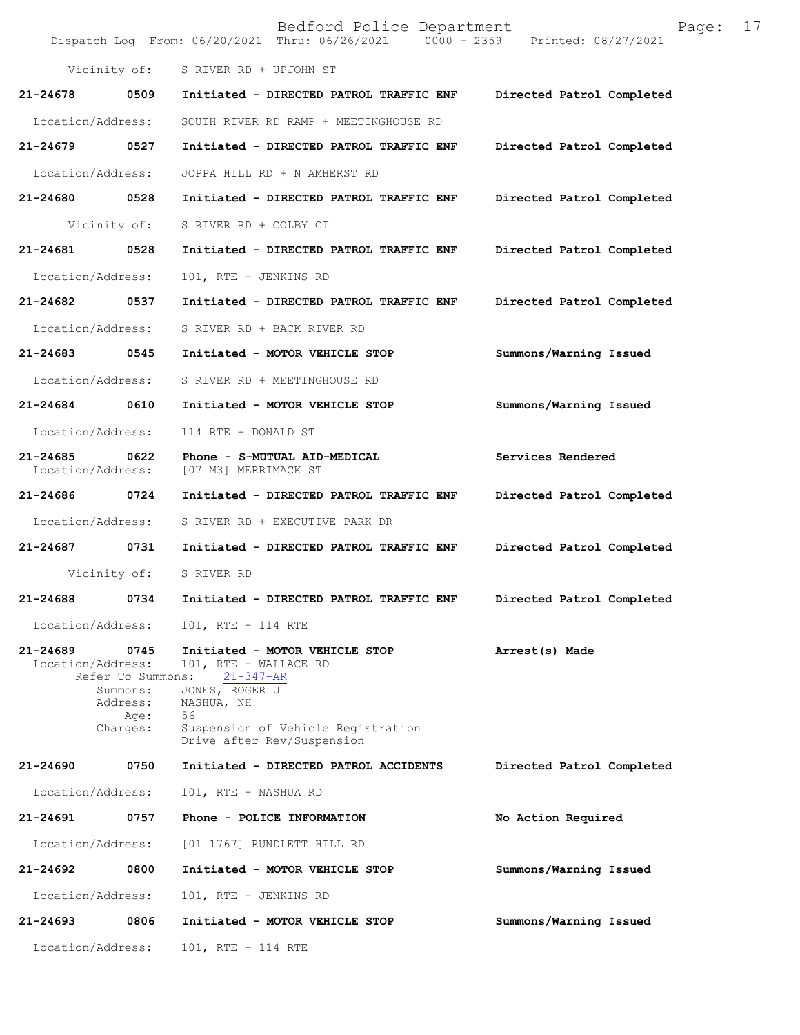|                                   |                                                                       | Bedford Police Department<br>Dispatch Log From: 06/20/2021 Thru: 06/26/2021 0000 - 2359 Printed: 08/27/2021                                                                          | 17<br>Page:               |
|-----------------------------------|-----------------------------------------------------------------------|--------------------------------------------------------------------------------------------------------------------------------------------------------------------------------------|---------------------------|
|                                   | Vicinity of:                                                          | S RIVER RD + UPJOHN ST                                                                                                                                                               |                           |
| 21-24678                          | 0509                                                                  | Initiated - DIRECTED PATROL TRAFFIC ENF                                                                                                                                              | Directed Patrol Completed |
| Location/Address:                 |                                                                       | SOUTH RIVER RD RAMP + MEETINGHOUSE RD                                                                                                                                                |                           |
| 21-24679                          | 0527                                                                  | Initiated - DIRECTED PATROL TRAFFIC ENF                                                                                                                                              | Directed Patrol Completed |
| Location/Address:                 |                                                                       | JOPPA HILL RD + N AMHERST RD                                                                                                                                                         |                           |
| 21-24680                          | 0528                                                                  | Initiated - DIRECTED PATROL TRAFFIC ENF                                                                                                                                              | Directed Patrol Completed |
|                                   | Vicinity of:                                                          | S RIVER RD + COLBY CT                                                                                                                                                                |                           |
| 21-24681                          | 0528                                                                  | Initiated - DIRECTED PATROL TRAFFIC ENF                                                                                                                                              | Directed Patrol Completed |
| Location/Address:                 |                                                                       | 101, RTE + JENKINS RD                                                                                                                                                                |                           |
| 21-24682                          | 0537                                                                  | Initiated - DIRECTED PATROL TRAFFIC ENF                                                                                                                                              | Directed Patrol Completed |
| Location/Address:                 |                                                                       | S RIVER RD + BACK RIVER RD                                                                                                                                                           |                           |
| 21-24683                          | 0545                                                                  | Initiated - MOTOR VEHICLE STOP                                                                                                                                                       | Summons/Warning Issued    |
| Location/Address:                 |                                                                       | S RIVER RD + MEETINGHOUSE RD                                                                                                                                                         |                           |
| 21-24684                          | 0610                                                                  | Initiated - MOTOR VEHICLE STOP                                                                                                                                                       | Summons/Warning Issued    |
| Location/Address:                 |                                                                       | 114 RTE + DONALD ST                                                                                                                                                                  |                           |
| $21 - 24685$<br>Location/Address: | 0622                                                                  | Phone - S-MUTUAL AID-MEDICAL<br>[07 M3] MERRIMACK ST                                                                                                                                 | Services Rendered         |
| 21-24686                          | 0724                                                                  | Initiated - DIRECTED PATROL TRAFFIC ENF                                                                                                                                              | Directed Patrol Completed |
| Location/Address:                 |                                                                       | S RIVER RD + EXECUTIVE PARK DR                                                                                                                                                       |                           |
| 21-24687                          | 0731                                                                  | Initiated - DIRECTED PATROL TRAFFIC ENF                                                                                                                                              | Directed Patrol Completed |
|                                   | Vicinity of:                                                          | S RIVER RD                                                                                                                                                                           |                           |
|                                   |                                                                       | 21-24688 0734 Initiated - DIRECTED PATROL TRAFFIC ENF                                                                                                                                | Directed Patrol Completed |
| Location/Address:                 |                                                                       | 101, RTE + 114 RTE                                                                                                                                                                   |                           |
| 21-24689<br>Location/Address:     | 0745<br>Refer To Summons:<br>Summons:<br>Address:<br>Age:<br>Charges: | Initiated - MOTOR VEHICLE STOP<br>101, RTE + WALLACE RD<br>$21 - 347 - AR$<br>JONES, ROGER U<br>NASHUA, NH<br>56<br>Suspension of Vehicle Registration<br>Drive after Rev/Suspension | Arrest(s) Made            |
| 21-24690                          | 0750                                                                  | Initiated - DIRECTED PATROL ACCIDENTS                                                                                                                                                | Directed Patrol Completed |
| Location/Address:                 |                                                                       | 101, RTE + NASHUA RD                                                                                                                                                                 |                           |
| 21-24691                          | 0757                                                                  | Phone - POLICE INFORMATION                                                                                                                                                           | No Action Required        |
| Location/Address:                 |                                                                       | [01 1767] RUNDLETT HILL RD                                                                                                                                                           |                           |
| 21-24692                          | 0800                                                                  | Initiated - MOTOR VEHICLE STOP                                                                                                                                                       | Summons/Warning Issued    |
| Location/Address:                 |                                                                       | 101, RTE + JENKINS RD                                                                                                                                                                |                           |
| 21-24693                          | 0806                                                                  | Initiated - MOTOR VEHICLE STOP                                                                                                                                                       | Summons/Warning Issued    |
| Location/Address:                 |                                                                       | 101, RTE + 114 RTE                                                                                                                                                                   |                           |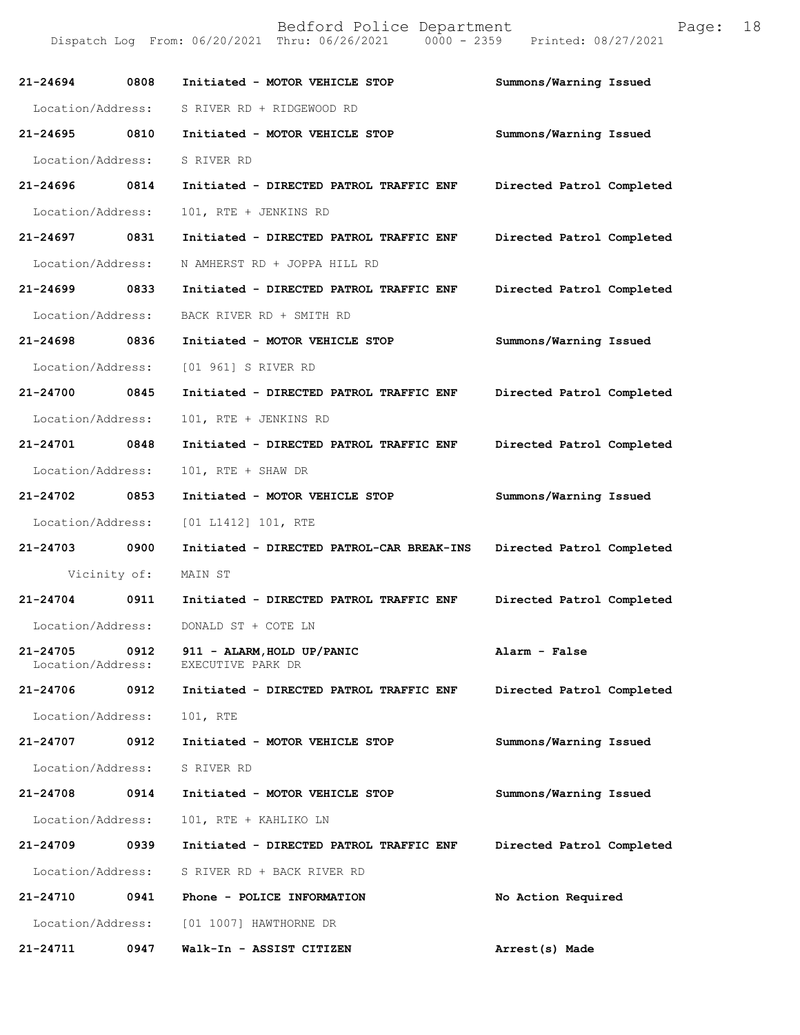| 21-24694                      | 0808 | Initiated - MOTOR VEHICLE STOP                  | Summons/Warning Issued    |
|-------------------------------|------|-------------------------------------------------|---------------------------|
| Location/Address:             |      | S RIVER RD + RIDGEWOOD RD                       |                           |
| 21-24695 0810                 |      | Initiated - MOTOR VEHICLE STOP                  | Summons/Warning Issued    |
| Location/Address:             |      | S RIVER RD                                      |                           |
| 21-24696 0814                 |      | Initiated - DIRECTED PATROL TRAFFIC ENF         | Directed Patrol Completed |
| Location/Address:             |      | 101, RTE + JENKINS RD                           |                           |
| 21-24697 0831                 |      | Initiated - DIRECTED PATROL TRAFFIC ENF         | Directed Patrol Completed |
| Location/Address:             |      | N AMHERST RD + JOPPA HILL RD                    |                           |
| 21-24699 0833                 |      | Initiated - DIRECTED PATROL TRAFFIC ENF         | Directed Patrol Completed |
| Location/Address:             |      | BACK RIVER RD + SMITH RD                        |                           |
| 21-24698 0836                 |      | Initiated - MOTOR VEHICLE STOP                  | Summons/Warning Issued    |
| Location/Address:             |      | [01 961] S RIVER RD                             |                           |
| 21-24700 0845                 |      | Initiated - DIRECTED PATROL TRAFFIC ENF         | Directed Patrol Completed |
| Location/Address:             |      | 101, RTE + JENKINS RD                           |                           |
| 21-24701 0848                 |      | Initiated - DIRECTED PATROL TRAFFIC ENF         | Directed Patrol Completed |
| Location/Address:             |      | 101, RTE + SHAW DR                              |                           |
| 21-24702 0853                 |      | Initiated - MOTOR VEHICLE STOP                  | Summons/Warning Issued    |
| Location/Address:             |      | [01 L1412] 101, RTE                             |                           |
| 21-24703 0900                 |      | Initiated - DIRECTED PATROL-CAR BREAK-INS       | Directed Patrol Completed |
| Vicinity of:                  |      | MAIN ST                                         |                           |
| 21-24704 0911                 |      | Initiated - DIRECTED PATROL TRAFFIC ENF         | Directed Patrol Completed |
|                               |      | Location/Address: DONALD ST + COTE LN           |                           |
| 21-24705<br>Location/Address: | 0912 | 911 - ALARM, HOLD UP/PANIC<br>EXECUTIVE PARK DR | Alarm - False             |
| 21-24706 0912                 |      | Initiated - DIRECTED PATROL TRAFFIC ENF         | Directed Patrol Completed |
| Location/Address:             |      | 101, RTE                                        |                           |
| 21-24707                      | 0912 | Initiated - MOTOR VEHICLE STOP                  | Summons/Warning Issued    |
| Location/Address:             |      | S RIVER RD                                      |                           |
| 21-24708                      | 0914 | Initiated - MOTOR VEHICLE STOP                  | Summons/Warning Issued    |
| Location/Address:             |      | 101, RTE + KAHLIKO LN                           |                           |
| 21-24709                      | 0939 | Initiated - DIRECTED PATROL TRAFFIC ENF         | Directed Patrol Completed |
| Location/Address:             |      | S RIVER RD + BACK RIVER RD                      |                           |
| 21-24710                      | 0941 | Phone - POLICE INFORMATION                      | No Action Required        |
| Location/Address:             |      | [01 1007] HAWTHORNE DR                          |                           |
| 21-24711                      | 0947 | Walk-In - ASSIST CITIZEN                        | Arrest(s) Made            |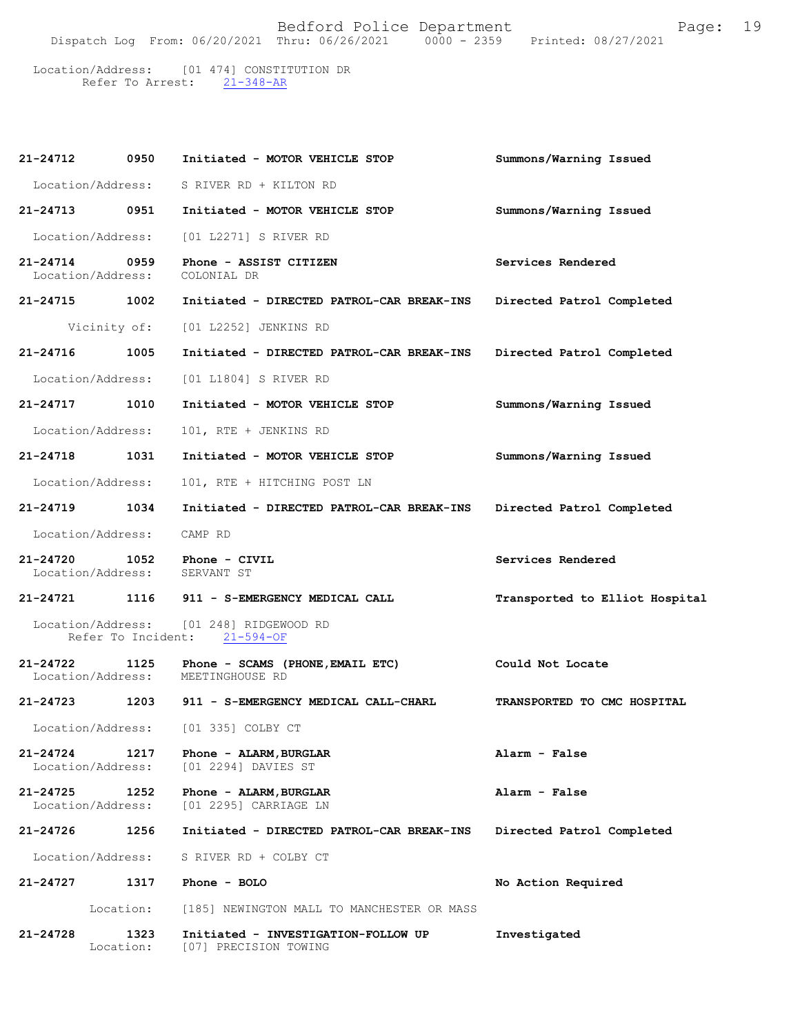21-348-AR Location/Address: [01 474] CONSTITUTION DR Refer To Arrest:

| 21-24712                          | 0950               | Initiated - MOTOR VEHICLE STOP                               | Summons/Warning Issued         |
|-----------------------------------|--------------------|--------------------------------------------------------------|--------------------------------|
| Location/Address:                 |                    | S RIVER RD + KILTON RD                                       |                                |
| 21-24713                          | 0951               | Initiated - MOTOR VEHICLE STOP                               | Summons/Warning Issued         |
| Location/Address:                 |                    | [01 L2271] S RIVER RD                                        |                                |
| 21-24714<br>Location/Address:     | 0959               | Phone - ASSIST CITIZEN<br>COLONIAL DR                        | Services Rendered              |
| 21-24715 1002                     |                    | Initiated - DIRECTED PATROL-CAR BREAK-INS                    | Directed Patrol Completed      |
|                                   | Vicinity of:       | [01 L2252] JENKINS RD                                        |                                |
| 21-24716                          | 1005               | Initiated - DIRECTED PATROL-CAR BREAK-INS                    | Directed Patrol Completed      |
| Location/Address:                 |                    | [01 L1804] S RIVER RD                                        |                                |
| 21-24717                          | 1010               | Initiated - MOTOR VEHICLE STOP                               | Summons/Warning Issued         |
| Location/Address:                 |                    | 101, RTE + JENKINS RD                                        |                                |
| 21-24718 1031                     |                    | Initiated - MOTOR VEHICLE STOP                               | Summons/Warning Issued         |
| Location/Address:                 |                    | 101, RTE + HITCHING POST LN                                  |                                |
| 21-24719                          | 1034               | Initiated - DIRECTED PATROL-CAR BREAK-INS                    | Directed Patrol Completed      |
| Location/Address:                 |                    | CAMP RD                                                      |                                |
| 21-24720<br>Location/Address:     | 1052               | Phone - CIVIL<br>SERVANT ST                                  | Services Rendered              |
| 21-24721 1116                     |                    | 911 - S-EMERGENCY MEDICAL CALL                               | Transported to Elliot Hospital |
|                                   | Refer To Incident: | Location/Address: [01 248] RIDGEWOOD RD<br>$21 - 594 - OF$   |                                |
| $21 - 24722$<br>Location/Address: | 1125               | Phone - SCAMS (PHONE, EMAIL ETC)<br>MEETINGHOUSE RD          | Could Not Locate               |
| 21-24723                          | 1203               | 911 - S-EMERGENCY MEDICAL CALL-CHARL                         | TRANSPORTED TO CMC HOSPITAL    |
| Location/Address:                 |                    | [01 335] COLBY CT                                            |                                |
| 21-24724<br>Location/Address:     | 1217               | Phone - ALARM, BURGLAR<br>[01 2294] DAVIES ST                | Alarm - False                  |
| $21 - 24725$<br>Location/Address: | 1252               | Phone - ALARM, BURGLAR<br>[01 2295] CARRIAGE LN              | Alarm - False                  |
| 21-24726                          | 1256               | Initiated - DIRECTED PATROL-CAR BREAK-INS                    | Directed Patrol Completed      |
| Location/Address:                 |                    | S RIVER RD + COLBY CT                                        |                                |
| 21-24727                          | 1317               | Phone - BOLO                                                 | No Action Required             |
|                                   | Location:          | [185] NEWINGTON MALL TO MANCHESTER OR MASS                   |                                |
| 21-24728                          | 1323<br>Location:  | Initiated - INVESTIGATION-FOLLOW UP<br>[07] PRECISION TOWING | Investigated                   |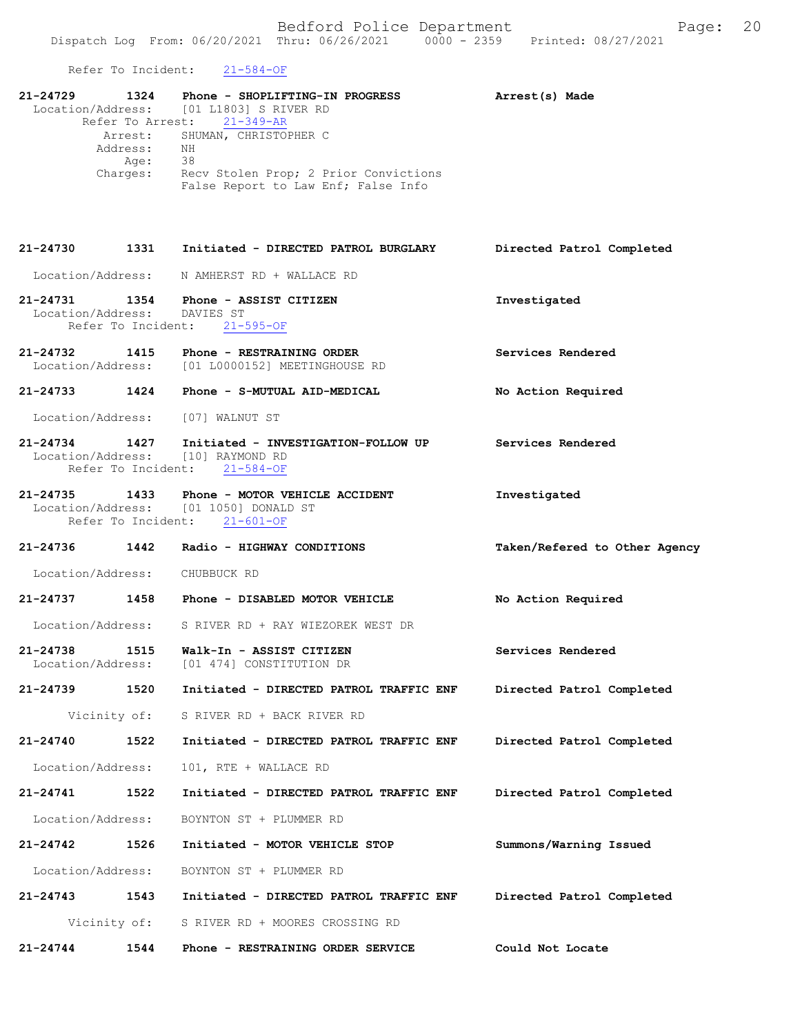Refer To Incident: 21-584-OF

| 21-24729                      |                     | 1324 Phone - SHOPLIFTING-IN PROGRESS<br>Location/Address: [01 L1803] S RIVER RD                                       | Arrest(s) Made                |
|-------------------------------|---------------------|-----------------------------------------------------------------------------------------------------------------------|-------------------------------|
|                               | Address:<br>Age: 38 | Refer To Arrest: 21-349-AR<br>Arrest: SHUMAN, CHRISTOPHER C<br>NH<br>Charges: Recv Stolen Prop; 2 Prior Convictions   |                               |
|                               |                     | False Report to Law Enf; False Info                                                                                   |                               |
| $21 - 24730$                  |                     | 1331 Initiated - DIRECTED PATROL BURGLARY                                                                             | Directed Patrol Completed     |
|                               |                     | Location/Address: N AMHERST RD + WALLACE RD                                                                           |                               |
| Location/Address: DAVIES ST   |                     | 21-24731 1354 Phone - ASSIST CITIZEN<br>Refer To Incident: 21-595-OF                                                  | Investigated                  |
|                               |                     | 21-24732 1415 Phone - RESTRAINING ORDER<br>Location/Address: [01 L0000152] MEETINGHOUSE RD                            | Services Rendered             |
|                               |                     | 21-24733 1424 Phone - S-MUTUAL AID-MEDICAL                                                                            | No Action Required            |
|                               |                     | Location/Address: [07] WALNUT ST                                                                                      |                               |
| 21-24734 1427                 |                     | Initiated - INVESTIGATION-FOLLOW UP<br>Location/Address: [10] RAYMOND RD<br>Refer To Incident: 21-584-OF              | Services Rendered             |
|                               |                     | 21-24735 1433 Phone - MOTOR VEHICLE ACCIDENT<br>Location/Address: [01 1050] DONALD ST<br>Refer To Incident: 21-601-OF | Investigated                  |
|                               |                     | 21-24736 1442 Radio - HIGHWAY CONDITIONS                                                                              | Taken/Refered to Other Agency |
|                               |                     | Location/Address: CHUBBUCK RD                                                                                         |                               |
|                               |                     | 21-24737 1458 Phone - DISABLED MOTOR VEHICLE                                                                          | No Action Required            |
|                               |                     | Location/Address: S RIVER RD + RAY WIEZOREK WEST DR                                                                   |                               |
| 21-24738<br>Location/Address: | 1515                | Walk-In - ASSIST CITIZEN<br>[01 474] CONSTITUTION DR                                                                  | Services Rendered             |
| 21-24739                      | 1520                | Initiated - DIRECTED PATROL TRAFFIC ENF                                                                               | Directed Patrol Completed     |
|                               | Vicinity of:        | S RIVER RD + BACK RIVER RD                                                                                            |                               |
| 21-24740                      | 1522                | Initiated - DIRECTED PATROL TRAFFIC ENF                                                                               | Directed Patrol Completed     |
| Location/Address:             |                     | 101, RTE + WALLACE RD                                                                                                 |                               |
| 21-24741                      | 1522                | Initiated - DIRECTED PATROL TRAFFIC ENF                                                                               | Directed Patrol Completed     |
| Location/Address:             |                     | BOYNTON ST + PLUMMER RD                                                                                               |                               |
| 21-24742                      | 1526                | Initiated - MOTOR VEHICLE STOP                                                                                        | Summons/Warning Issued        |
| Location/Address:             |                     | BOYNTON ST + PLUMMER RD                                                                                               |                               |
| 21-24743                      | 1543                | Initiated - DIRECTED PATROL TRAFFIC ENF                                                                               | Directed Patrol Completed     |
|                               | Vicinity of:        | S RIVER RD + MOORES CROSSING RD                                                                                       |                               |
| 21-24744                      | 1544                | Phone - RESTRAINING ORDER SERVICE                                                                                     | Could Not Locate              |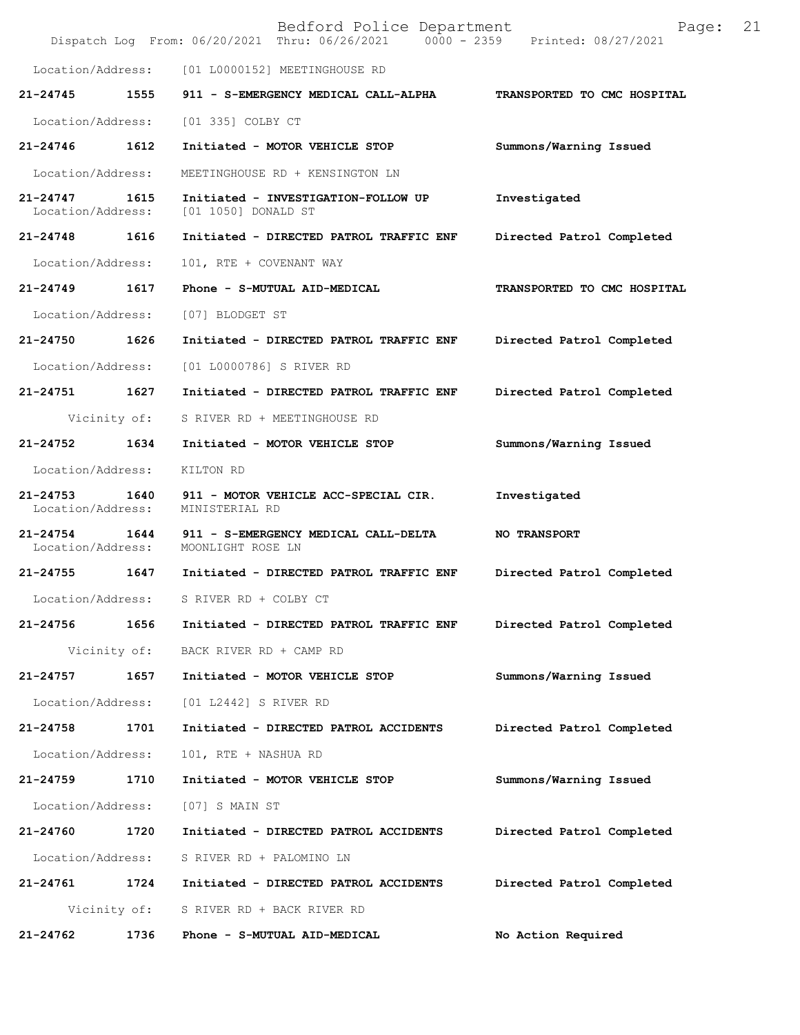|                                   |              | Bedford Police Department<br>Dispatch Log From: 06/20/2021 Thru: 06/26/2021 0000 - 2359 Printed: 08/27/2021 | 21<br>Page:                 |  |
|-----------------------------------|--------------|-------------------------------------------------------------------------------------------------------------|-----------------------------|--|
| Location/Address:                 |              | [01 L0000152] MEETINGHOUSE RD                                                                               |                             |  |
| 21-24745                          | 1555         | 911 - S-EMERGENCY MEDICAL CALL-ALPHA                                                                        | TRANSPORTED TO CMC HOSPITAL |  |
| Location/Address:                 |              | [01 335] COLBY CT                                                                                           |                             |  |
| 21-24746                          | 1612         | Initiated - MOTOR VEHICLE STOP                                                                              | Summons/Warning Issued      |  |
| Location/Address:                 |              | MEETINGHOUSE RD + KENSINGTON LN                                                                             |                             |  |
| $21 - 24747$<br>Location/Address: | 1615         | Initiated - INVESTIGATION-FOLLOW UP<br>[01 1050] DONALD ST                                                  | Investigated                |  |
| 21-24748                          | 1616         | Initiated - DIRECTED PATROL TRAFFIC ENF                                                                     | Directed Patrol Completed   |  |
| Location/Address:                 |              | 101, RTE + COVENANT WAY                                                                                     |                             |  |
| 21-24749                          | 1617         | Phone - S-MUTUAL AID-MEDICAL                                                                                | TRANSPORTED TO CMC HOSPITAL |  |
| Location/Address:                 |              | [07] BLODGET ST                                                                                             |                             |  |
| 21-24750 1626                     |              | Initiated - DIRECTED PATROL TRAFFIC ENF                                                                     | Directed Patrol Completed   |  |
| Location/Address:                 |              | [01 L0000786] S RIVER RD                                                                                    |                             |  |
| 21-24751                          | 1627         | Initiated - DIRECTED PATROL TRAFFIC ENF                                                                     | Directed Patrol Completed   |  |
|                                   | Vicinity of: | S RIVER RD + MEETINGHOUSE RD                                                                                |                             |  |
| 21-24752                          | 1634         | Initiated - MOTOR VEHICLE STOP                                                                              | Summons/Warning Issued      |  |
| Location/Address:                 |              | KILTON RD                                                                                                   |                             |  |
| $21 - 24753$<br>Location/Address: | 1640         | 911 - MOTOR VEHICLE ACC-SPECIAL CIR.<br>MINISTERIAL RD                                                      | Investigated                |  |
| $21 - 24754$<br>Location/Address: | 1644         | 911 - S-EMERGENCY MEDICAL CALL-DELTA<br>MOONLIGHT ROSE LN                                                   | NO TRANSPORT                |  |
| 21-24755                          | 1647         | Initiated - DIRECTED PATROL TRAFFIC ENF                                                                     | Directed Patrol Completed   |  |
| Location/Address:                 |              | S RIVER RD + COLBY CT                                                                                       |                             |  |
| 21-24756                          | 1656         | Initiated - DIRECTED PATROL TRAFFIC ENF                                                                     | Directed Patrol Completed   |  |
|                                   | Vicinity of: | BACK RIVER RD + CAMP RD                                                                                     |                             |  |
| 21-24757                          | 1657         | Initiated - MOTOR VEHICLE STOP                                                                              | Summons/Warning Issued      |  |
| Location/Address:                 |              | [01 L2442] S RIVER RD                                                                                       |                             |  |
| 21-24758                          | 1701         | Initiated - DIRECTED PATROL ACCIDENTS                                                                       | Directed Patrol Completed   |  |
| Location/Address:                 |              | 101, RTE + NASHUA RD                                                                                        |                             |  |
| 21-24759                          | 1710         | Initiated - MOTOR VEHICLE STOP                                                                              | Summons/Warning Issued      |  |
| Location/Address:                 |              | $[07]$ S MAIN ST                                                                                            |                             |  |
| 21-24760                          | 1720         | Initiated - DIRECTED PATROL ACCIDENTS                                                                       | Directed Patrol Completed   |  |
| Location/Address:                 |              | S RIVER RD + PALOMINO LN                                                                                    |                             |  |
| 21-24761                          | 1724         | Initiated - DIRECTED PATROL ACCIDENTS                                                                       | Directed Patrol Completed   |  |
|                                   | Vicinity of: | S RIVER RD + BACK RIVER RD                                                                                  |                             |  |
| 21-24762                          | 1736         | Phone - S-MUTUAL AID-MEDICAL                                                                                | No Action Required          |  |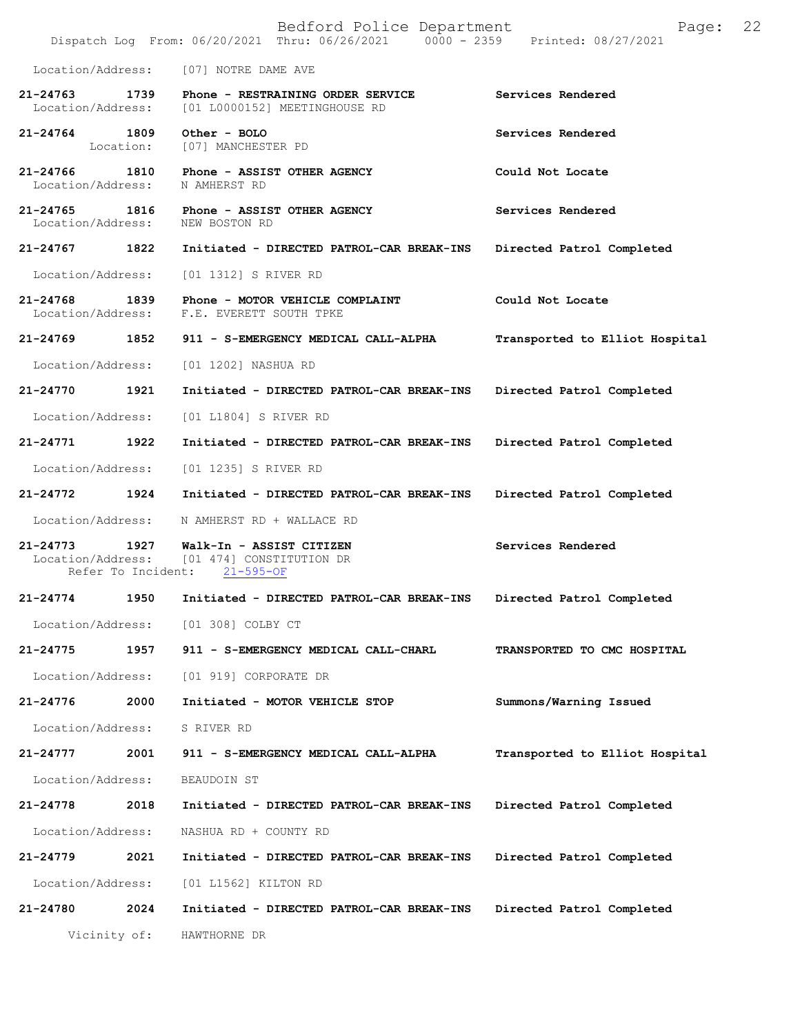|                                    |           | Bedford Police Department<br>Dispatch Log From: 06/20/2021 Thru: 06/26/2021 0000 - 2359 Printed: 08/27/2021 | 22<br>Page:                    |
|------------------------------------|-----------|-------------------------------------------------------------------------------------------------------------|--------------------------------|
| Location/Address:                  |           | [07] NOTRE DAME AVE                                                                                         |                                |
| $21 - 24763$<br>Location/Address:  | 1739      | Phone - RESTRAINING ORDER SERVICE<br>[01 L0000152] MEETINGHOUSE RD                                          | Services Rendered              |
| 21-24764 1809                      | Location: | Other - BOLO<br>[07] MANCHESTER PD                                                                          | Services Rendered              |
| 21-24766<br>Location/Address:      |           | 1810 Phone - ASSIST OTHER AGENCY<br>N AMHERST RD                                                            | Could Not Locate               |
| 21-24765 1816<br>Location/Address: |           | Phone - ASSIST OTHER AGENCY<br>NEW BOSTON RD                                                                | Services Rendered              |
| 21-24767 1822                      |           | Initiated - DIRECTED PATROL-CAR BREAK-INS                                                                   | Directed Patrol Completed      |
| Location/Address:                  |           | [01 1312] S RIVER RD                                                                                        |                                |
| 21-24768 1839<br>Location/Address: |           | Phone - MOTOR VEHICLE COMPLAINT<br>F.E. EVERETT SOUTH TPKE                                                  | Could Not Locate               |
| 21-24769 1852                      |           | 911 - S-EMERGENCY MEDICAL CALL-ALPHA                                                                        | Transported to Elliot Hospital |
| Location/Address:                  |           | [01 1202] NASHUA RD                                                                                         |                                |
| 21-24770                           | 1921      | Initiated - DIRECTED PATROL-CAR BREAK-INS                                                                   | Directed Patrol Completed      |
| Location/Address:                  |           | [01 L1804] S RIVER RD                                                                                       |                                |
| 21-24771                           | 1922      | Initiated - DIRECTED PATROL-CAR BREAK-INS                                                                   | Directed Patrol Completed      |
| Location/Address:                  |           | [01 1235] S RIVER RD                                                                                        |                                |
| 21-24772 1924                      |           | Initiated - DIRECTED PATROL-CAR BREAK-INS                                                                   | Directed Patrol Completed      |
| Location/Address:                  |           | N AMHERST RD + WALLACE RD                                                                                   |                                |
| 21-24773<br>Location/Address:      | 1927      | Walk-In - ASSIST CITIZEN<br>[01 474] CONSTITUTION DR<br>Refer To Incident: 21-595-OF                        | Services Rendered              |
| 21-24774                           | 1950      | Initiated - DIRECTED PATROL-CAR BREAK-INS                                                                   | Directed Patrol Completed      |
| Location/Address:                  |           | [01 308] COLBY CT                                                                                           |                                |
| 21-24775                           | 1957      | 911 - S-EMERGENCY MEDICAL CALL-CHARL                                                                        | TRANSPORTED TO CMC HOSPITAL    |
| Location/Address:                  |           | [01 919] CORPORATE DR                                                                                       |                                |
| 21-24776                           | 2000      | Initiated - MOTOR VEHICLE STOP                                                                              | Summons/Warning Issued         |
| Location/Address:                  |           | S RIVER RD                                                                                                  |                                |
| $21 - 24777$                       | 2001      | 911 - S-EMERGENCY MEDICAL CALL-ALPHA                                                                        | Transported to Elliot Hospital |
| Location/Address:                  |           | BEAUDOIN ST                                                                                                 |                                |
| 21-24778                           | 2018      | Initiated - DIRECTED PATROL-CAR BREAK-INS                                                                   | Directed Patrol Completed      |
| Location/Address:                  |           | NASHUA RD + COUNTY RD                                                                                       |                                |
| 21-24779                           | 2021      | Initiated - DIRECTED PATROL-CAR BREAK-INS                                                                   | Directed Patrol Completed      |
| Location/Address:                  |           | [01 L1562] KILTON RD                                                                                        |                                |
| 21-24780                           | 2024      | Initiated - DIRECTED PATROL-CAR BREAK-INS                                                                   | Directed Patrol Completed      |
| Vicinity of:                       |           | HAWTHORNE DR                                                                                                |                                |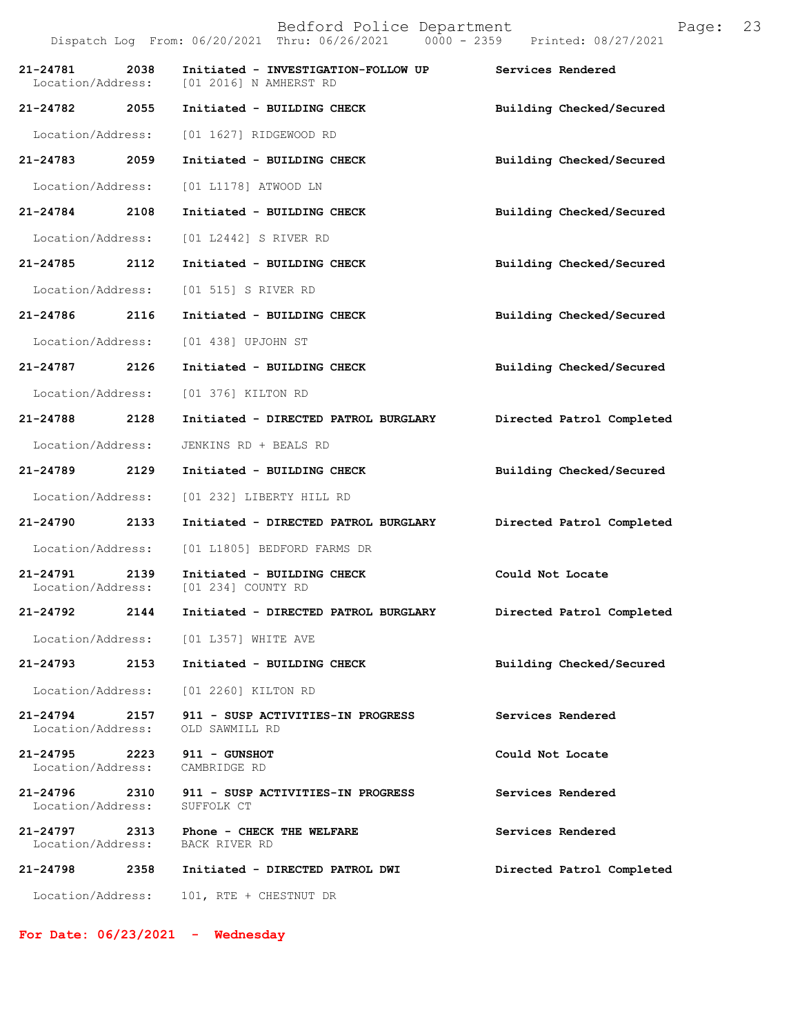Bedford Police Department Page: 23 Dispatch Log From: 06/20/2021 Thru: 06/26/2021 **21-24781 2038 Initiated - INVESTIGATION-FOLLOW UP Services Rendered**  [01 2016] N AMHERST RD **21-24782 2055 Initiated - BUILDING CHECK Building Checked/Secured**  Location/Address: [01 1627] RIDGEWOOD RD **21-24783 2059 Initiated - BUILDING CHECK Building Checked/Secured**  Location/Address: [01 L1178] ATWOOD LN **21-24784 2108 Initiated - BUILDING CHECK Building Checked/Secured**  Location/Address: [01 L2442] S RIVER RD **21-24785 2112 Initiated - BUILDING CHECK Building Checked/Secured**  Location/Address: [01 515] S RIVER RD **21-24786 2116 Initiated - BUILDING CHECK Building Checked/Secured**  Location/Address: [01 438] UPJOHN ST **21-24787 2126 Initiated - BUILDING CHECK Building Checked/Secured**  Location/Address: [01 376] KILTON RD **21-24788 2128 Initiated - DIRECTED PATROL BURGLARY Directed Patrol Completed**  Location/Address: JENKINS RD + BEALS RD **21-24789 2129 Initiated - BUILDING CHECK Building Checked/Secured**  Location/Address: [01 232] LIBERTY HILL RD **21-24790 2133 Initiated - DIRECTED PATROL BURGLARY Directed Patrol Completed**  Location/Address: [01 L1805] BEDFORD FARMS DR **21-24791 2139 Initiated - BUILDING CHECK Could Not Locate**  Location/Address: [01 234] COUNTY RD **21-24792 2144 Initiated - DIRECTED PATROL BURGLARY Directed Patrol Completed**  Location/Address: [01 L357] WHITE AVE **21-24793 2153 Initiated - BUILDING CHECK Building Checked/Secured**  Location/Address: [01 2260] KILTON RD **21-24794 2157 911 - SUSP ACTIVITIES-IN PROGRESS Services Rendered**  Location/Address: OLD SAWMILL RD **21-24795 2223 911 - GUNSHOT Could Not Locate**  Location/Address: CAMBRIDGE RD 21-24796 2310 911 - SUSP ACTIVITIES-IN PROGRESS Services Rendered Location/Address: SUFFOLK CT Location/Address: **21-24797 2313 Phone - CHECK THE WELFARE Services Rendered**  Location/Address: BACK RIVER RD **21-24798 2358 Initiated - DIRECTED PATROL DWI Directed Patrol Completed** 

Location/Address: 101, RTE + CHESTNUT DR

**For Date: 06/23/2021 - Wednesday**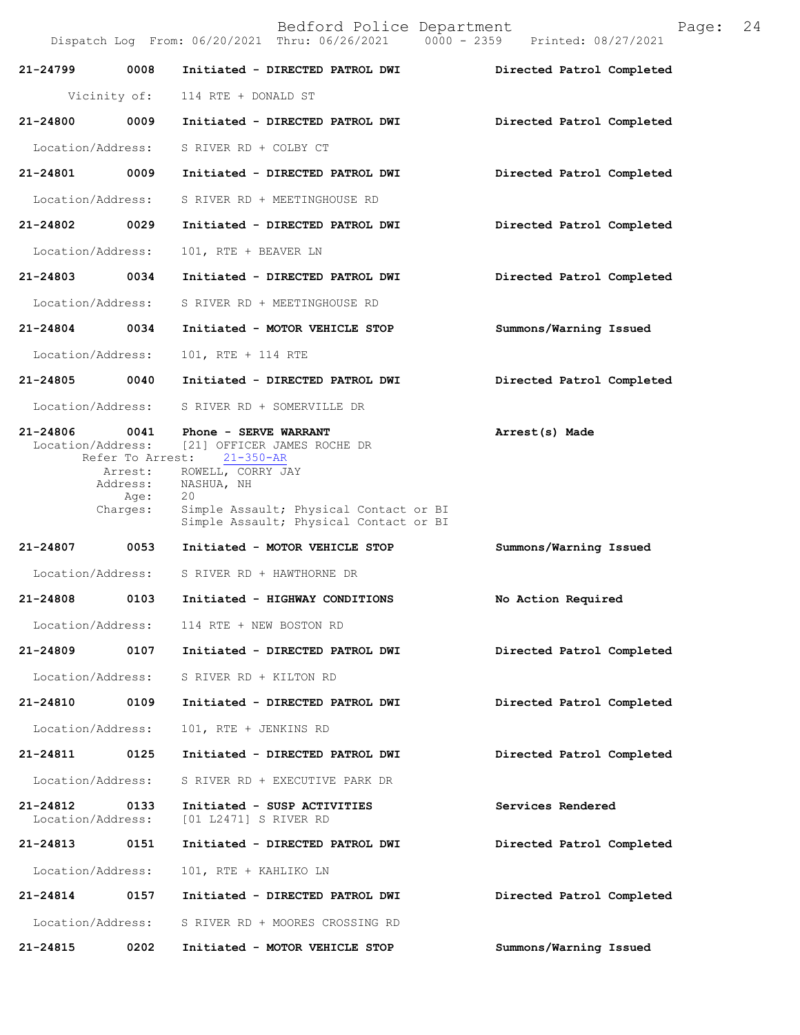|                               |                                         | Dispatch Log From: 06/20/2021 Thru: 06/26/2021 0000 - 2359 Printed: 08/27/2021                                            |                           |
|-------------------------------|-----------------------------------------|---------------------------------------------------------------------------------------------------------------------------|---------------------------|
| 21-24799                      | 0008                                    | Initiated - DIRECTED PATROL DWI                                                                                           | Directed Patrol Completed |
| Vicinity of:                  |                                         | 114 RTE + DONALD ST                                                                                                       |                           |
| 21-24800 0009                 |                                         | Initiated - DIRECTED PATROL DWI                                                                                           | Directed Patrol Completed |
| Location/Address:             |                                         | S RIVER RD + COLBY CT                                                                                                     |                           |
| 21-24801 0009                 |                                         | Initiated - DIRECTED PATROL DWI                                                                                           | Directed Patrol Completed |
| Location/Address:             |                                         | S RIVER RD + MEETINGHOUSE RD                                                                                              |                           |
| 21-24802 0029                 |                                         | Initiated - DIRECTED PATROL DWI                                                                                           | Directed Patrol Completed |
| Location/Address:             |                                         | 101, RTE + BEAVER LN                                                                                                      |                           |
| 21-24803 0034                 |                                         | Initiated - DIRECTED PATROL DWI                                                                                           | Directed Patrol Completed |
| Location/Address:             |                                         | S RIVER RD + MEETINGHOUSE RD                                                                                              |                           |
| 21-24804 0034                 |                                         | Initiated - MOTOR VEHICLE STOP                                                                                            | Summons/Warning Issued    |
| Location/Address:             |                                         | 101, RTE + 114 RTE                                                                                                        |                           |
| 21-24805 0040                 |                                         | Initiated - DIRECTED PATROL DWI                                                                                           | Directed Patrol Completed |
| Location/Address:             |                                         | S RIVER RD + SOMERVILLE DR                                                                                                |                           |
| 21-24806 0041                 |                                         | Phone - SERVE WARRANT<br>Location/Address: [21] OFFICER JAMES ROCHE DR<br>Refer To Arrest: 21-350-AR                      | Arrest(s) Made            |
|                               | Arrest:<br>Address:<br>Age:<br>Charges: | ROWELL, CORRY JAY<br>NASHUA, NH<br>20<br>Simple Assault; Physical Contact or BI<br>Simple Assault; Physical Contact or BI |                           |
| 21-24807 0053                 |                                         | Initiated - MOTOR VEHICLE STOP                                                                                            | Summons/Warning Issued    |
|                               |                                         | Location/Address: S RIVER RD + HAWTHORNE DR                                                                               |                           |
| 21-24808 0103                 |                                         | Initiated - HIGHWAY CONDITIONS                                                                                            | No Action Required        |
| Location/Address:             |                                         | 114 RTE + NEW BOSTON RD                                                                                                   |                           |
| 21-24809                      | 0107                                    | Initiated - DIRECTED PATROL DWI                                                                                           | Directed Patrol Completed |
| Location/Address:             |                                         | S RIVER RD + KILTON RD                                                                                                    |                           |
| 21-24810                      | 0109                                    | Initiated - DIRECTED PATROL DWI                                                                                           | Directed Patrol Completed |
| Location/Address:             |                                         | 101, RTE + JENKINS RD                                                                                                     |                           |
| 21-24811                      | 0125                                    | Initiated - DIRECTED PATROL DWI                                                                                           | Directed Patrol Completed |
| Location/Address:             |                                         | S RIVER RD + EXECUTIVE PARK DR                                                                                            |                           |
| 21-24812<br>Location/Address: | 0133                                    | Initiated - SUSP ACTIVITIES<br>[01 L2471] S RIVER RD                                                                      | Services Rendered         |
| 21-24813                      | 0151                                    | Initiated - DIRECTED PATROL DWI                                                                                           | Directed Patrol Completed |
| Location/Address:             |                                         | 101, RTE + KAHLIKO LN                                                                                                     |                           |
| 21-24814                      | 0157                                    | Initiated - DIRECTED PATROL DWI                                                                                           | Directed Patrol Completed |
| Location/Address:             |                                         | S RIVER RD + MOORES CROSSING RD                                                                                           |                           |
| 21-24815                      | 0202                                    | Initiated - MOTOR VEHICLE STOP                                                                                            | Summons/Warning Issued    |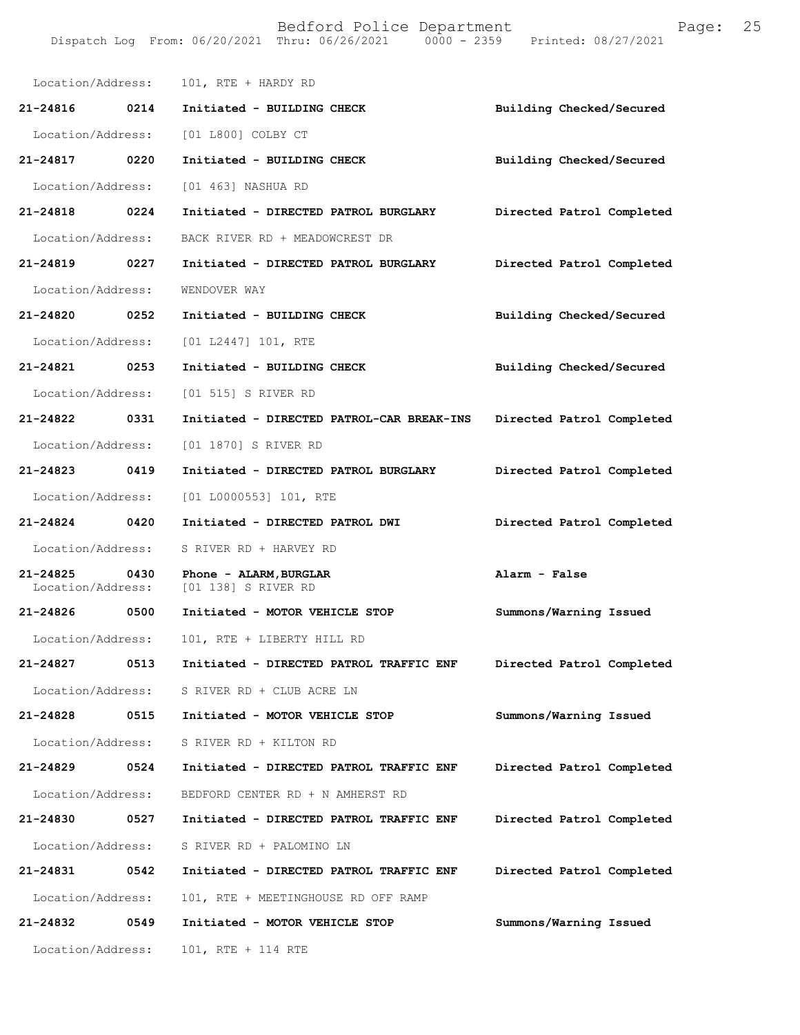| Location/Address:             |      | 101, RTE + HARDY RD                           |                           |
|-------------------------------|------|-----------------------------------------------|---------------------------|
| 21-24816                      | 0214 | Initiated - BUILDING CHECK                    | Building Checked/Secured  |
|                               |      | Location/Address: [01 L800] COLBY CT          |                           |
| 21-24817 0220                 |      | Initiated - BUILDING CHECK                    | Building Checked/Secured  |
| Location/Address:             |      | [01 463] NASHUA RD                            |                           |
| 21-24818                      | 0224 | Initiated - DIRECTED PATROL BURGLARY          | Directed Patrol Completed |
| Location/Address:             |      | BACK RIVER RD + MEADOWCREST DR                |                           |
| 21-24819 0227                 |      | Initiated - DIRECTED PATROL BURGLARY          | Directed Patrol Completed |
| Location/Address:             |      | WENDOVER WAY                                  |                           |
| 21-24820 0252                 |      | Initiated - BUILDING CHECK                    | Building Checked/Secured  |
| Location/Address:             |      | [01 L2447] 101, RTE                           |                           |
| 21-24821 0253                 |      | Initiated - BUILDING CHECK                    | Building Checked/Secured  |
| Location/Address:             |      | [01 515] S RIVER RD                           |                           |
| 21-24822 0331                 |      | Initiated - DIRECTED PATROL-CAR BREAK-INS     | Directed Patrol Completed |
| Location/Address:             |      | [01 1870] S RIVER RD                          |                           |
| 21-24823 0419                 |      | Initiated - DIRECTED PATROL BURGLARY          | Directed Patrol Completed |
| Location/Address:             |      | $[01 L0000553] 101$ , RTE                     |                           |
| 21-24824 0420                 |      | Initiated - DIRECTED PATROL DWI               | Directed Patrol Completed |
| Location/Address:             |      | S RIVER RD + HARVEY RD                        |                           |
| 21-24825<br>Location/Address: | 0430 | Phone - ALARM, BURGLAR<br>[01 138] S RIVER RD | Alarm - False             |
| 21-24826                      | 0500 | Initiated - MOTOR VEHICLE STOP                | Summons/Warning Issued    |
| Location/Address:             |      | 101, RTE + LIBERTY HILL RD                    |                           |
| 21-24827                      | 0513 | Initiated - DIRECTED PATROL TRAFFIC ENF       | Directed Patrol Completed |
| Location/Address:             |      | S RIVER RD + CLUB ACRE LN                     |                           |
| 21-24828                      | 0515 | Initiated - MOTOR VEHICLE STOP                | Summons/Warning Issued    |
| Location/Address:             |      | S RIVER RD + KILTON RD                        |                           |
| 21-24829                      | 0524 | Initiated - DIRECTED PATROL TRAFFIC ENF       | Directed Patrol Completed |
| Location/Address:             |      | BEDFORD CENTER RD + N AMHERST RD              |                           |
| 21-24830                      | 0527 | Initiated - DIRECTED PATROL TRAFFIC ENF       | Directed Patrol Completed |
| Location/Address:             |      | S RIVER RD + PALOMINO LN                      |                           |
| 21-24831                      | 0542 | Initiated - DIRECTED PATROL TRAFFIC ENF       | Directed Patrol Completed |
| Location/Address:             |      | 101, RTE + MEETINGHOUSE RD OFF RAMP           |                           |
| 21-24832                      | 0549 | Initiated - MOTOR VEHICLE STOP                | Summons/Warning Issued    |
| Location/Address:             |      | 101, RTE + 114 RTE                            |                           |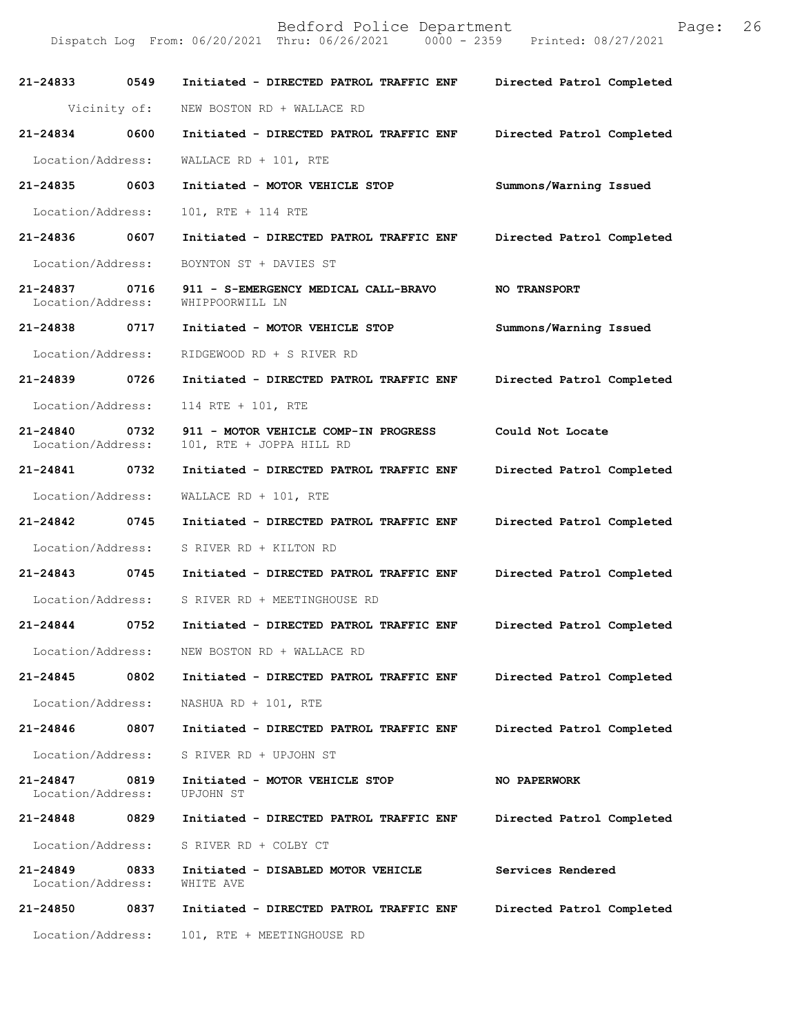| 21-24833 0549                 |      | Initiated - DIRECTED PATROL TRAFFIC ENF                          | Directed Patrol Completed |
|-------------------------------|------|------------------------------------------------------------------|---------------------------|
| Vicinity of:                  |      | NEW BOSTON RD + WALLACE RD                                       |                           |
| 21-24834                      | 0600 | Initiated - DIRECTED PATROL TRAFFIC ENF                          | Directed Patrol Completed |
| Location/Address:             |      | WALLACE RD + $101$ , RTE                                         |                           |
| 21-24835                      | 0603 | Initiated - MOTOR VEHICLE STOP                                   | Summons/Warning Issued    |
| Location/Address:             |      | 101, RTE + 114 RTE                                               |                           |
| 21-24836 0607                 |      | Initiated - DIRECTED PATROL TRAFFIC ENF                          | Directed Patrol Completed |
| Location/Address:             |      | BOYNTON ST + DAVIES ST                                           |                           |
| 21-24837<br>Location/Address: | 0716 | 911 - S-EMERGENCY MEDICAL CALL-BRAVO<br>WHIPPOORWILL LN          | <b>NO TRANSPORT</b>       |
| 21-24838 0717                 |      | Initiated - MOTOR VEHICLE STOP                                   | Summons/Warning Issued    |
| Location/Address:             |      | RIDGEWOOD RD + S RIVER RD                                        |                           |
| 21-24839 0726                 |      | Initiated - DIRECTED PATROL TRAFFIC ENF                          | Directed Patrol Completed |
| Location/Address:             |      | 114 RTE + 101, RTE                                               |                           |
| 21-24840<br>Location/Address: | 0732 | 911 - MOTOR VEHICLE COMP-IN PROGRESS<br>101, RTE + JOPPA HILL RD | Could Not Locate          |
| 21-24841 0732                 |      | Initiated - DIRECTED PATROL TRAFFIC ENF                          | Directed Patrol Completed |
| Location/Address:             |      | WALLACE RD + $101$ , RTE                                         |                           |
| 21-24842 0745                 |      | Initiated - DIRECTED PATROL TRAFFIC ENF                          | Directed Patrol Completed |
| Location/Address:             |      | S RIVER RD + KILTON RD                                           |                           |
| 21-24843 0745                 |      | Initiated - DIRECTED PATROL TRAFFIC ENF                          | Directed Patrol Completed |
| Location/Address:             |      | S RIVER RD + MEETINGHOUSE RD                                     |                           |
| 21-24844                      | 0752 | Initiated - DIRECTED PATROL TRAFFIC ENF                          | Directed Patrol Completed |
| Location/Address:             |      | NEW BOSTON RD + WALLACE RD                                       |                           |
| 21-24845                      | 0802 | Initiated - DIRECTED PATROL TRAFFIC ENF                          | Directed Patrol Completed |
| Location/Address:             |      | NASHUA RD + 101, RTE                                             |                           |
| 21-24846                      | 0807 | Initiated - DIRECTED PATROL TRAFFIC ENF                          | Directed Patrol Completed |
| Location/Address:             |      | S RIVER RD + UPJOHN ST                                           |                           |
| 21-24847<br>Location/Address: | 0819 | Initiated - MOTOR VEHICLE STOP<br><b>UPJOHN ST</b>               | NO PAPERWORK              |
| 21-24848                      | 0829 | Initiated - DIRECTED PATROL TRAFFIC ENF                          | Directed Patrol Completed |
| Location/Address:             |      | S RIVER RD + COLBY CT                                            |                           |
| 21-24849<br>Location/Address: | 0833 | Initiated - DISABLED MOTOR VEHICLE<br>WHITE AVE                  | Services Rendered         |
| 21-24850                      | 0837 | Initiated - DIRECTED PATROL TRAFFIC ENF                          | Directed Patrol Completed |
| Location/Address:             |      | 101, RTE + MEETINGHOUSE RD                                       |                           |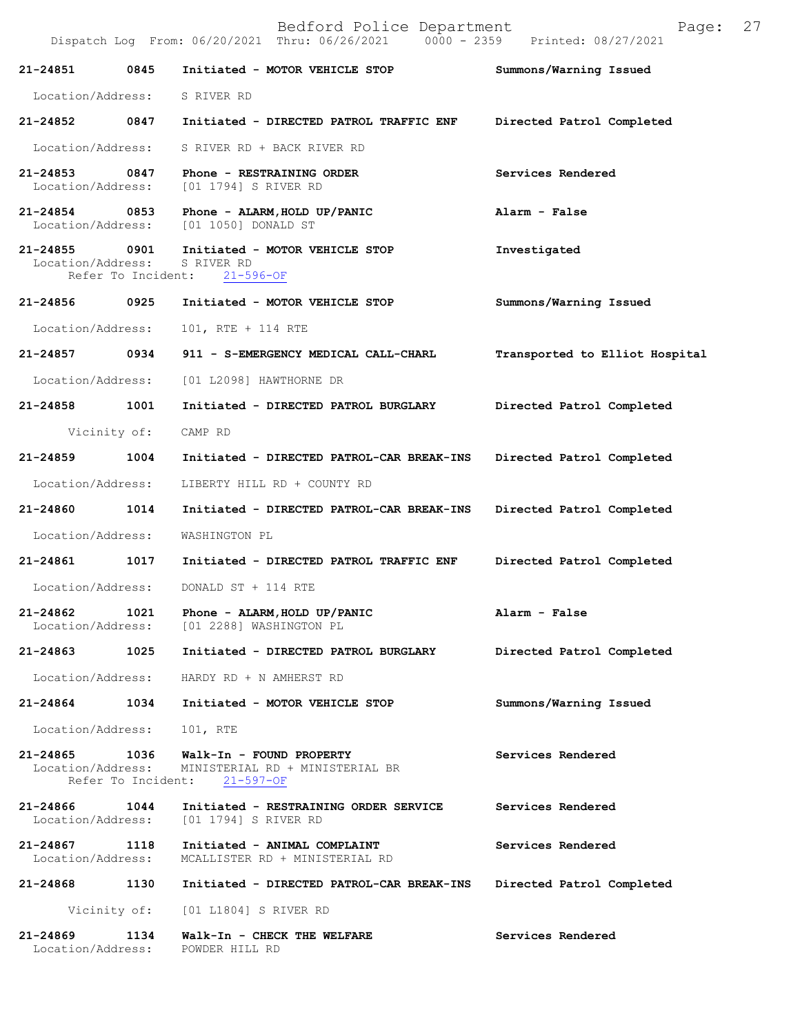|                                    |                            | Dispatch Log From: 06/20/2021 Thru: 06/26/2021<br>$0000 - 2359$                | Printed: 08/27/2021            |
|------------------------------------|----------------------------|--------------------------------------------------------------------------------|--------------------------------|
| 21-24851                           | 0845                       | Initiated - MOTOR VEHICLE STOP                                                 | Summons/Warning Issued         |
| Location/Address:                  |                            | S RIVER RD                                                                     |                                |
| 21-24852 0847                      |                            | Initiated - DIRECTED PATROL TRAFFIC ENF                                        | Directed Patrol Completed      |
| Location/Address:                  |                            | S RIVER RD + BACK RIVER RD                                                     |                                |
| 21-24853<br>Location/Address:      | 0847                       | Phone - RESTRAINING ORDER<br>[01 1794] S RIVER RD                              | Services Rendered              |
| $21 - 24854$                       | 0853                       | Phone - ALARM, HOLD UP/PANIC<br>Location/Address: [01 1050] DONALD ST          | Alarm - False                  |
| 21-24855 0901<br>Location/Address: | Refer To Incident:         | Initiated - MOTOR VEHICLE STOP<br>S RIVER RD<br>$21 - 596 - OF$                | Investigated                   |
| 21-24856                           | 0925                       | Initiated - MOTOR VEHICLE STOP                                                 | Summons/Warning Issued         |
| Location/Address:                  |                            | 101, RTE + 114 RTE                                                             |                                |
| 21-24857 0934                      |                            | 911 - S-EMERGENCY MEDICAL CALL-CHARL                                           | Transported to Elliot Hospital |
| Location/Address:                  |                            | [01 L2098] HAWTHORNE DR                                                        |                                |
| 21-24858                           | 1001                       | Initiated - DIRECTED PATROL BURGLARY                                           | Directed Patrol Completed      |
|                                    | Vicinity of:               | CAMP RD                                                                        |                                |
| 21-24859                           | 1004                       | Initiated - DIRECTED PATROL-CAR BREAK-INS                                      | Directed Patrol Completed      |
| Location/Address:                  |                            | LIBERTY HILL RD + COUNTY RD                                                    |                                |
| 21-24860                           | 1014                       | Initiated - DIRECTED PATROL-CAR BREAK-INS                                      | Directed Patrol Completed      |
| Location/Address:                  |                            | WASHINGTON PL                                                                  |                                |
| 21-24861 1017                      |                            | Initiated - DIRECTED PATROL TRAFFIC ENF                                        | Directed Patrol Completed      |
| Location/Address:                  |                            | DONALD ST + 114 RTE                                                            |                                |
| 21-24862<br>Location/Address:      | 1021                       | Phone - ALARM, HOLD UP/PANIC<br>[01 2288] WASHINGTON PL                        | Alarm - False                  |
| 21-24863                           | 1025                       | Initiated - DIRECTED PATROL BURGLARY                                           | Directed Patrol Completed      |
| Location/Address:                  |                            | HARDY RD + N AMHERST RD                                                        |                                |
| 21-24864                           | 1034                       | Initiated - MOTOR VEHICLE STOP                                                 | Summons/Warning Issued         |
| Location/Address:                  |                            | 101, RTE                                                                       |                                |
| 21-24865<br>Location/Address:      | 1036<br>Refer To Incident: | Walk-In - FOUND PROPERTY<br>MINISTERIAL RD + MINISTERIAL BR<br>$21 - 597 - OF$ | Services Rendered              |
| 21-24866<br>Location/Address:      | 1044                       | Initiated - RESTRAINING ORDER SERVICE<br>[01 1794] S RIVER RD                  | Services Rendered              |
| 21-24867<br>Location/Address:      | 1118                       | Initiated - ANIMAL COMPLAINT<br>MCALLISTER RD + MINISTERIAL RD                 | Services Rendered              |
| 21-24868                           | 1130                       | Initiated - DIRECTED PATROL-CAR BREAK-INS                                      | Directed Patrol Completed      |
|                                    |                            | Vicinity of: [01 L1804] S RIVER RD                                             |                                |
| 21-24869<br>Location/Address:      | 1134                       | Walk-In - CHECK THE WELFARE<br>POWDER HILL RD                                  | Services Rendered              |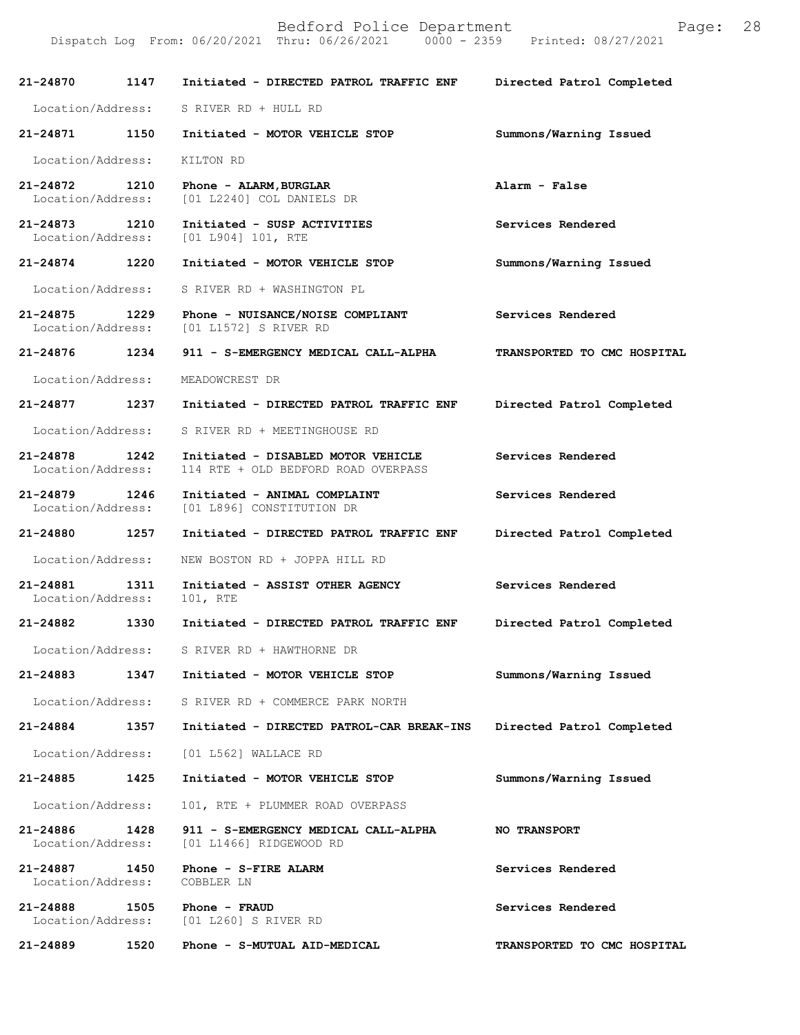Bedford Police Department Page: 28 Dispatch Log From: 06/20/2021 Thru: 06/26/2021 **21-24870 1147 Initiated - DIRECTED PATROL TRAFFIC ENF Directed Patrol Completed**  Location/Address: S RIVER RD + HULL RD **21-24871 1150 Initiated - MOTOR VEHICLE STOP Summons/Warning Issued**  Location/Address: KILTON RD **21-24872 1210 Phone - ALARM,BURGLAR Alarm - False**  Location/Address: [01 L2240] COL DANIELS DR **21-24873 1210 Initiated - SUSP ACTIVITIES Services Rendered**  Location/Address: [01 L904] 101, RTE

**21-24874 1220 Initiated - MOTOR VEHICLE STOP Summons/Warning Issued**  Location/Address: S RIVER RD + WASHINGTON PL

**21-24875 1229 Phone - NUISANCE/NOISE COMPLIANT Services Rendered**  Location/Address: [01 L1572] S RIVER RD

**21-24876 1234 911 - S-EMERGENCY MEDICAL CALL-ALPHA TRANSPORTED TO CMC HOSPITAL** 

Location/Address: MEADOWCREST DR

**21-24877 1237 Initiated - DIRECTED PATROL TRAFFIC ENF Directed Patrol Completed** 

Location/Address: S RIVER RD + MEETINGHOUSE RD

**21-24878 1242 Initiated - DISABLED MOTOR VEHICLE Services Rendered**  Location/Address: 114 RTE + OLD BEDFORD ROAD OVERPASS

**21-24879 1246 Initiated - ANIMAL COMPLAINT Services Rendered**  Location/Address: [01 L896] CONSTITUTION DR

**21-24880 1257 Initiated - DIRECTED PATROL TRAFFIC ENF Directed Patrol Completed** 

Location/Address: NEW BOSTON RD + JOPPA HILL RD

**21-24881 1311 Initiated - ASSIST OTHER AGENCY Services Rendered**  Location/Address: 101, RTE

**21-24882 1330 Initiated - DIRECTED PATROL TRAFFIC ENF Directed Patrol Completed** 

Location/Address: S RIVER RD + HAWTHORNE DR

**21-24883 1347 Initiated - MOTOR VEHICLE STOP Summons/Warning Issued** 

Location/Address: S RIVER RD + COMMERCE PARK NORTH

**21-24884 1357 Initiated - DIRECTED PATROL-CAR BREAK-INS Directed Patrol Completed** 

**21-24885 1425 Initiated - MOTOR VEHICLE STOP Summons/Warning Issued** 

Location/Address: [01 L562] WALLACE RD

Location/Address: 101, RTE + PLUMMER ROAD OVERPASS

**21-24886 1428 911 - S-EMERGENCY MEDICAL CALL-ALPHA NO TRANSPORT**  Location/Address: [01 L1466] RIDGEWOOD RD

**21-24887 1450 Phone - S-FIRE ALARM Services Rendered**  Location/Address: COBBLER LN

**21-24888 1505 Phone - FRAUD Services Rendered**  Location/Address: [01 L260] S RIVER RD

**21-24889 1520 Phone - S-MUTUAL AID-MEDICAL TRANSPORTED TO CMC HOSPITAL**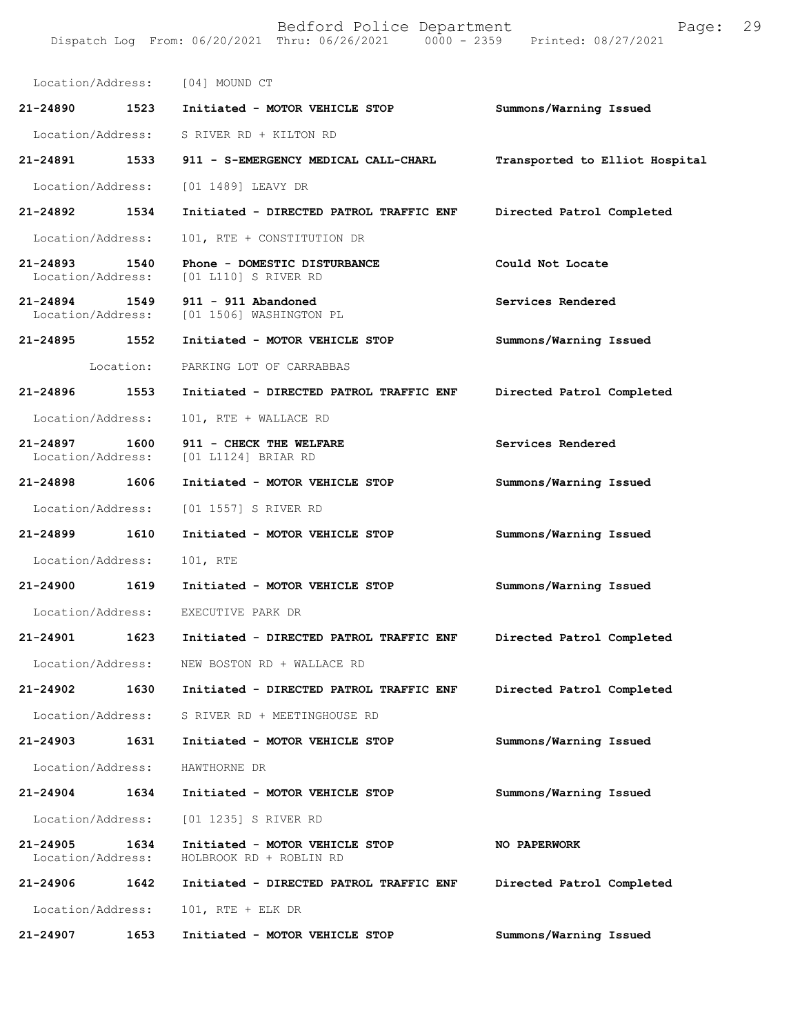| Location/Address:             |           | [04] MOUND CT                                                          |                                |
|-------------------------------|-----------|------------------------------------------------------------------------|--------------------------------|
| 21-24890 1523                 |           | Initiated - MOTOR VEHICLE STOP                                         | Summons/Warning Issued         |
|                               |           | Location/Address: S RIVER RD + KILTON RD                               |                                |
| 21-24891 1533                 |           | 911 - S-EMERGENCY MEDICAL CALL-CHARL                                   | Transported to Elliot Hospital |
| Location/Address:             |           | [01 1489] LEAVY DR                                                     |                                |
| 21-24892                      | 1534      | Initiated - DIRECTED PATROL TRAFFIC ENF                                | Directed Patrol Completed      |
| Location/Address:             |           | 101, RTE + CONSTITUTION DR                                             |                                |
| 21-24893                      | 1540      | Phone - DOMESTIC DISTURBANCE<br>Location/Address: [01 L110] S RIVER RD | Could Not Locate               |
| 21-24894 1549                 |           | 911 - 911 Abandoned<br>Location/Address: [01 1506] WASHINGTON PL       | Services Rendered              |
| 21-24895                      | 1552      | Initiated - MOTOR VEHICLE STOP                                         | Summons/Warning Issued         |
|                               | Location: | PARKING LOT OF CARRABBAS                                               |                                |
| 21-24896 1553                 |           | Initiated - DIRECTED PATROL TRAFFIC ENF                                | Directed Patrol Completed      |
| Location/Address:             |           | 101, RTE + WALLACE RD                                                  |                                |
| 21-24897<br>Location/Address: | 1600      | 911 - CHECK THE WELFARE<br>[01 L1124] BRIAR RD                         | Services Rendered              |
| 21-24898                      | 1606      | Initiated - MOTOR VEHICLE STOP                                         | Summons/Warning Issued         |
| Location/Address:             |           | [01 1557] S RIVER RD                                                   |                                |
| 21-24899                      | 1610      | Initiated - MOTOR VEHICLE STOP                                         | Summons/Warning Issued         |
| Location/Address:             |           | 101, RTE                                                               |                                |
| 21-24900                      | 1619      | Initiated - MOTOR VEHICLE STOP                                         | Summons/Warning Issued         |
| Location/Address:             |           | EXECUTIVE PARK DR                                                      |                                |
| 21-24901                      | 1623      | Initiated - DIRECTED PATROL TRAFFIC ENF                                | Directed Patrol Completed      |
| Location/Address:             |           | NEW BOSTON RD + WALLACE RD                                             |                                |
| 21-24902                      | 1630      | Initiated - DIRECTED PATROL TRAFFIC ENF                                | Directed Patrol Completed      |
|                               |           | Location/Address: S RIVER RD + MEETINGHOUSE RD                         |                                |
| 21-24903                      | 1631      | Initiated - MOTOR VEHICLE STOP                                         | Summons/Warning Issued         |
| Location/Address:             |           | HAWTHORNE DR                                                           |                                |
| 21-24904                      | 1634      | Initiated - MOTOR VEHICLE STOP                                         | Summons/Warning Issued         |
| Location/Address:             |           | [01 1235] S RIVER RD                                                   |                                |
| 21-24905<br>Location/Address: | 1634      | Initiated - MOTOR VEHICLE STOP<br>HOLBROOK RD + ROBLIN RD              | NO PAPERWORK                   |
| 21-24906                      | 1642      | Initiated - DIRECTED PATROL TRAFFIC ENF                                | Directed Patrol Completed      |
| Location/Address:             |           | $101$ , RTE + ELK DR                                                   |                                |
| 21-24907                      | 1653      | Initiated - MOTOR VEHICLE STOP                                         | Summons/Warning Issued         |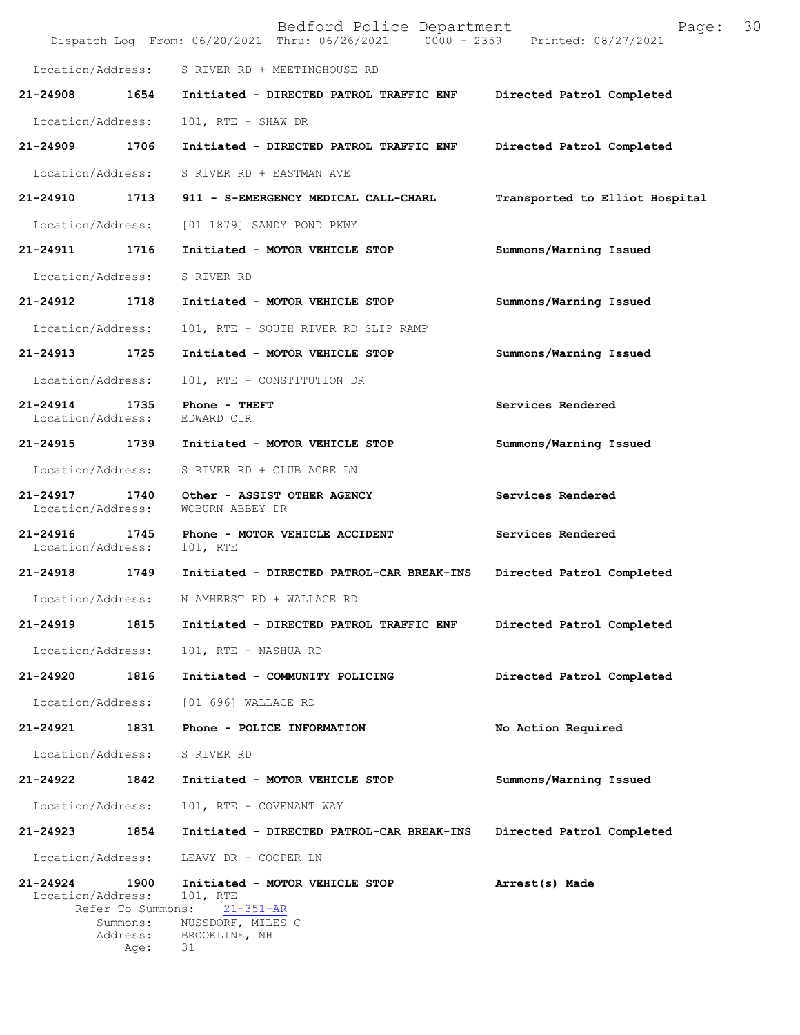|                                                                                            | Bedford Police Department<br>Dispatch Log From: 06/20/2021 Thru: 06/26/2021 0000 - 2359 Printed: 08/27/2021 | 30<br>Page:                    |
|--------------------------------------------------------------------------------------------|-------------------------------------------------------------------------------------------------------------|--------------------------------|
| Location/Address:                                                                          | S RIVER RD + MEETINGHOUSE RD                                                                                |                                |
| 21-24908                                                                                   | 1654<br>Initiated - DIRECTED PATROL TRAFFIC ENF                                                             | Directed Patrol Completed      |
| Location/Address:                                                                          | 101, RTE + SHAW DR                                                                                          |                                |
| 1706<br>21-24909                                                                           | Initiated - DIRECTED PATROL TRAFFIC ENF                                                                     | Directed Patrol Completed      |
| Location/Address:                                                                          | S RIVER RD + EASTMAN AVE                                                                                    |                                |
| 21-24910 1713                                                                              | 911 - S-EMERGENCY MEDICAL CALL-CHARL                                                                        | Transported to Elliot Hospital |
| Location/Address:                                                                          | [01 1879] SANDY POND PKWY                                                                                   |                                |
| 1716<br>21-24911                                                                           | Initiated - MOTOR VEHICLE STOP                                                                              | Summons/Warning Issued         |
| Location/Address:                                                                          | S RIVER RD                                                                                                  |                                |
| 1718<br>21-24912                                                                           | Initiated - MOTOR VEHICLE STOP                                                                              | Summons/Warning Issued         |
| Location/Address:                                                                          | 101, RTE + SOUTH RIVER RD SLIP RAMP                                                                         |                                |
| 1725<br>21-24913                                                                           | Initiated - MOTOR VEHICLE STOP                                                                              | Summons/Warning Issued         |
| Location/Address:                                                                          | 101, RTE + CONSTITUTION DR                                                                                  |                                |
| 21-24914<br>1735<br>Location/Address:                                                      | Phone - THEFT<br>EDWARD CIR                                                                                 | Services Rendered              |
| 1739<br>21-24915                                                                           | Initiated - MOTOR VEHICLE STOP                                                                              | Summons/Warning Issued         |
| Location/Address:                                                                          | S RIVER RD + CLUB ACRE LN                                                                                   |                                |
| 21-24917<br>1740<br>Location/Address:                                                      | Other - ASSIST OTHER AGENCY<br>WOBURN ABBEY DR                                                              | Services Rendered              |
| $21 - 24916$<br>1745<br>Location/Address:                                                  | Phone - MOTOR VEHICLE ACCIDENT<br>101, RTE                                                                  | Services Rendered              |
| 21-24918 1749                                                                              | Initiated - DIRECTED PATROL-CAR BREAK-INS                                                                   | Directed Patrol Completed      |
| Location/Address:                                                                          | N AMHERST RD + WALLACE RD                                                                                   |                                |
| 21-24919<br>1815                                                                           | Initiated - DIRECTED PATROL TRAFFIC ENF                                                                     | Directed Patrol Completed      |
| Location/Address:                                                                          | 101, RTE + NASHUA RD                                                                                        |                                |
| 21-24920<br>1816                                                                           | Initiated - COMMUNITY POLICING                                                                              | Directed Patrol Completed      |
| Location/Address:                                                                          | [01 696] WALLACE RD                                                                                         |                                |
| 21-24921<br>1831                                                                           | Phone - POLICE INFORMATION                                                                                  | No Action Required             |
| Location/Address:                                                                          | S RIVER RD                                                                                                  |                                |
| 21-24922<br>1842                                                                           | Initiated - MOTOR VEHICLE STOP                                                                              | Summons/Warning Issued         |
| Location/Address:                                                                          | 101, RTE + COVENANT WAY                                                                                     |                                |
| 1854<br>21-24923                                                                           | Initiated - DIRECTED PATROL-CAR BREAK-INS                                                                   | Directed Patrol Completed      |
| Location/Address:                                                                          | LEAVY DR + COOPER LN                                                                                        |                                |
| 21-24924<br>1900<br>Location/Address:<br>Refer To Summons:<br>Summons:<br>Address:<br>Age: | Initiated - MOTOR VEHICLE STOP<br>101, RTE<br>$21 - 351 - AR$<br>NUSSDORF, MILES C<br>BROOKLINE, NH<br>31   | Arrest(s) Made                 |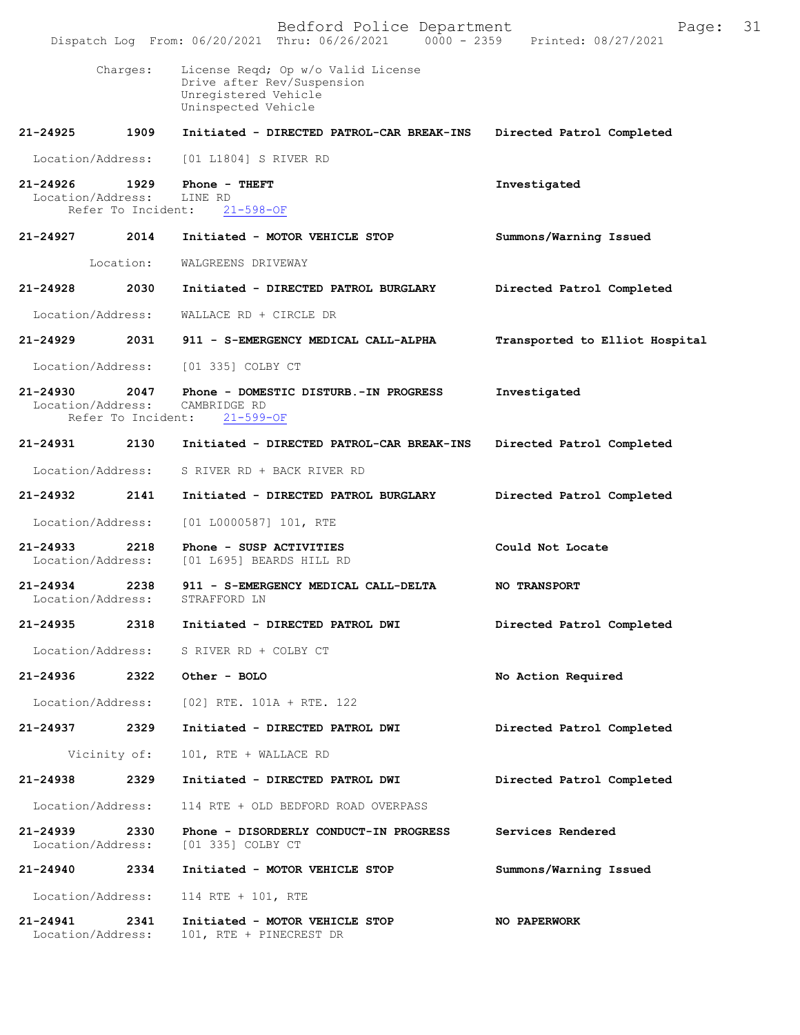|                                   |                            | Bedford Police Department<br>Dispatch Log From: 06/20/2021 Thru: 06/26/2021 0000 - 2359                         | Page:<br>Printed: 08/27/2021   | 31 |
|-----------------------------------|----------------------------|-----------------------------------------------------------------------------------------------------------------|--------------------------------|----|
|                                   | Charges:                   | License Reqd; Op w/o Valid License<br>Drive after Rev/Suspension<br>Unregistered Vehicle<br>Uninspected Vehicle |                                |    |
| 21-24925                          | 1909                       | Initiated - DIRECTED PATROL-CAR BREAK-INS                                                                       | Directed Patrol Completed      |    |
| Location/Address:                 |                            | [01 L1804] S RIVER RD                                                                                           |                                |    |
| 21-24926<br>Location/Address:     | 1929<br>Refer To Incident: | Phone - THEFT<br>LINE RD<br>$21 - 598 - OF$                                                                     | Investigated                   |    |
| 21-24927                          | 2014                       | Initiated - MOTOR VEHICLE STOP                                                                                  | Summons/Warning Issued         |    |
|                                   | Location:                  | WALGREENS DRIVEWAY                                                                                              |                                |    |
| 21-24928                          | 2030                       | Initiated - DIRECTED PATROL BURGLARY                                                                            | Directed Patrol Completed      |    |
| Location/Address:                 |                            | WALLACE RD + CIRCLE DR                                                                                          |                                |    |
| 21-24929                          | 2031                       | 911 - S-EMERGENCY MEDICAL CALL-ALPHA                                                                            | Transported to Elliot Hospital |    |
| Location/Address:                 |                            | [01 335] COLBY CT                                                                                               |                                |    |
| 21-24930<br>Location/Address:     | 2047<br>Refer To Incident: | Phone - DOMESTIC DISTURB.-IN PROGRESS<br>CAMBRIDGE RD<br>$21 - 599 - OF$                                        | Investigated                   |    |
| 21-24931                          | 2130                       | Initiated - DIRECTED PATROL-CAR BREAK-INS                                                                       | Directed Patrol Completed      |    |
| Location/Address:                 |                            | S RIVER RD + BACK RIVER RD                                                                                      |                                |    |
| 21-24932                          | 2141                       | Initiated - DIRECTED PATROL BURGLARY                                                                            | Directed Patrol Completed      |    |
| Location/Address:                 |                            | $[01 L0000587] 101$ , RTE                                                                                       |                                |    |
| $21 - 24933$<br>Location/Address: | 2218                       | Phone - SUSP ACTIVITIES<br>[01 L695] BEARDS HILL RD                                                             | Could Not Locate               |    |
| 21-24934<br>Location/Address:     | 2238                       | 911 - S-EMERGENCY MEDICAL CALL-DELTA<br>STRAFFORD LN                                                            | <b>NO TRANSPORT</b>            |    |
| 21-24935                          | 2318                       | Initiated - DIRECTED PATROL DWI                                                                                 | Directed Patrol Completed      |    |
| Location/Address:                 |                            | S RIVER RD + COLBY CT                                                                                           |                                |    |
| 21-24936                          | 2322                       | Other - BOLO                                                                                                    | No Action Required             |    |
| Location/Address:                 |                            | $[02]$ RTE. 101A + RTE. 122                                                                                     |                                |    |
| 21-24937                          | 2329                       | Initiated - DIRECTED PATROL DWI                                                                                 | Directed Patrol Completed      |    |
|                                   | Vicinity of:               | 101, RTE + WALLACE RD                                                                                           |                                |    |
| 21-24938                          | 2329                       | Initiated - DIRECTED PATROL DWI                                                                                 | Directed Patrol Completed      |    |
| Location/Address:                 |                            | 114 RTE + OLD BEDFORD ROAD OVERPASS                                                                             |                                |    |
| 21-24939<br>Location/Address:     | 2330                       | Phone - DISORDERLY CONDUCT-IN PROGRESS<br>[01 335] COLBY CT                                                     | Services Rendered              |    |
| 21-24940                          | 2334                       | Initiated - MOTOR VEHICLE STOP                                                                                  | Summons/Warning Issued         |    |
| Location/Address:                 |                            | 114 RTE + 101, RTE                                                                                              |                                |    |
| 21-24941<br>Location/Address:     | 2341                       | Initiated - MOTOR VEHICLE STOP<br>101, RTE + PINECREST DR                                                       | <b>NO PAPERWORK</b>            |    |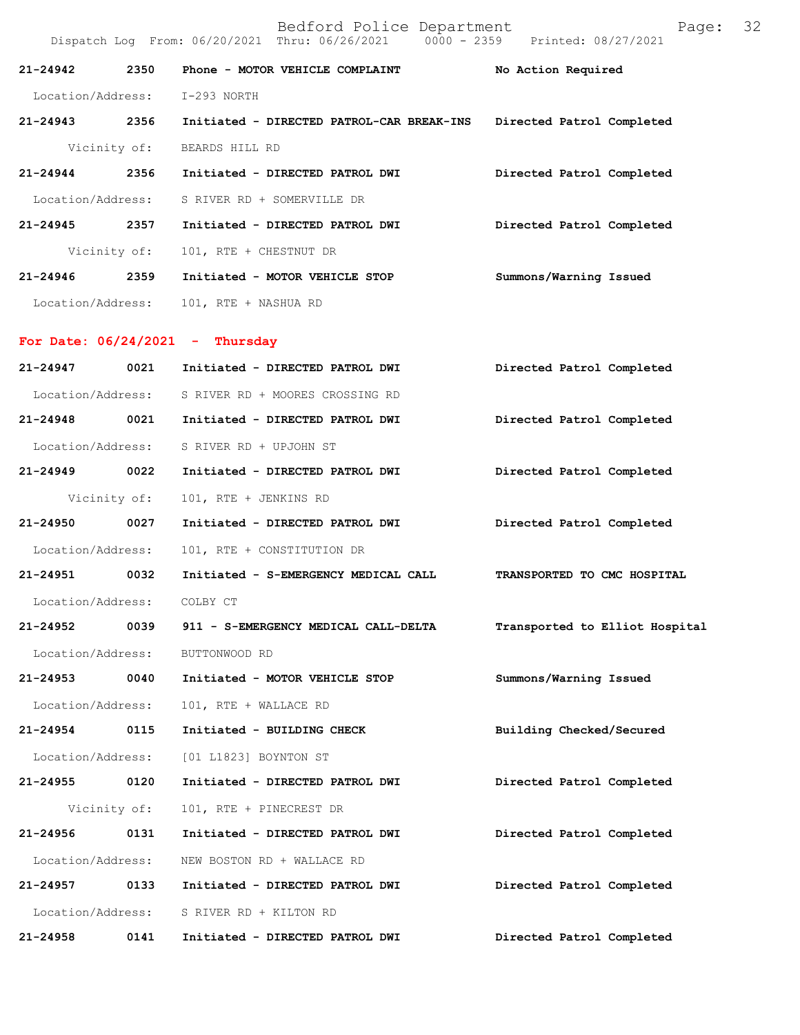|                   |              | Dispatch Log From: 06/20/2021 Thru: 06/26/2021 0000 - 2359 Printed: 08/27/2021 |                                |
|-------------------|--------------|--------------------------------------------------------------------------------|--------------------------------|
| 21-24942          | 2350         | Phone - MOTOR VEHICLE COMPLAINT                                                | No Action Required             |
|                   |              | Location/Address: I-293 NORTH                                                  |                                |
| 21-24943 2356     |              | Initiated - DIRECTED PATROL-CAR BREAK-INS                                      | Directed Patrol Completed      |
|                   | Vicinity of: | BEARDS HILL RD                                                                 |                                |
| 21-24944          | 2356         | Initiated - DIRECTED PATROL DWI                                                | Directed Patrol Completed      |
| Location/Address: |              | S RIVER RD + SOMERVILLE DR                                                     |                                |
| $21 - 24945$      | 2357         | Initiated - DIRECTED PATROL DWI                                                | Directed Patrol Completed      |
|                   | Vicinity of: | 101, RTE + CHESTNUT DR                                                         |                                |
| 21-24946 2359     |              | Initiated - MOTOR VEHICLE STOP                                                 | Summons/Warning Issued         |
|                   |              | Location/Address: 101, RTE + NASHUA RD                                         |                                |
|                   |              | For Date: $06/24/2021$ - Thursday                                              |                                |
| 21-24947          | 0021         | Initiated - DIRECTED PATROL DWI                                                | Directed Patrol Completed      |
| Location/Address: |              | S RIVER RD + MOORES CROSSING RD                                                |                                |
| 21-24948 0021     |              | Initiated - DIRECTED PATROL DWI                                                | Directed Patrol Completed      |
| Location/Address: |              | S RIVER RD + UPJOHN ST                                                         |                                |
| 21-24949          | 0022         | Initiated - DIRECTED PATROL DWI                                                | Directed Patrol Completed      |
|                   | Vicinity of: | 101, RTE + JENKINS RD                                                          |                                |
| 21-24950          | 0027         | Initiated - DIRECTED PATROL DWI                                                | Directed Patrol Completed      |
| Location/Address: |              | 101, RTE + CONSTITUTION DR                                                     |                                |
| 21-24951 0032     |              | Initiated - S-EMERGENCY MEDICAL CALL                                           | TRANSPORTED TO CMC HOSPITAL    |
| Location/Address: |              | COLBY CT                                                                       |                                |
| 21-24952          | 0039         | 911 - S-EMERGENCY MEDICAL CALL-DELTA                                           | Transported to Elliot Hospital |
| Location/Address: |              | BUTTONWOOD RD                                                                  |                                |
| 21-24953          | 0040         | Initiated - MOTOR VEHICLE STOP                                                 | Summons/Warning Issued         |
| Location/Address: |              | 101, RTE + WALLACE RD                                                          |                                |
| 21-24954          | 0115         | Initiated - BUILDING CHECK                                                     | Building Checked/Secured       |
| Location/Address: |              | [01 L1823] BOYNTON ST                                                          |                                |
| 21-24955          | 0120         | Initiated - DIRECTED PATROL DWI                                                | Directed Patrol Completed      |
|                   | Vicinity of: | 101, RTE + PINECREST DR                                                        |                                |
| 21-24956          | 0131         | Initiated - DIRECTED PATROL DWI                                                | Directed Patrol Completed      |
| Location/Address: |              | NEW BOSTON RD + WALLACE RD                                                     |                                |
| 21-24957          | 0133         | Initiated - DIRECTED PATROL DWI                                                | Directed Patrol Completed      |
| Location/Address: |              | S RIVER RD + KILTON RD                                                         |                                |
| 21-24958          | 0141         | Initiated - DIRECTED PATROL DWI                                                | Directed Patrol Completed      |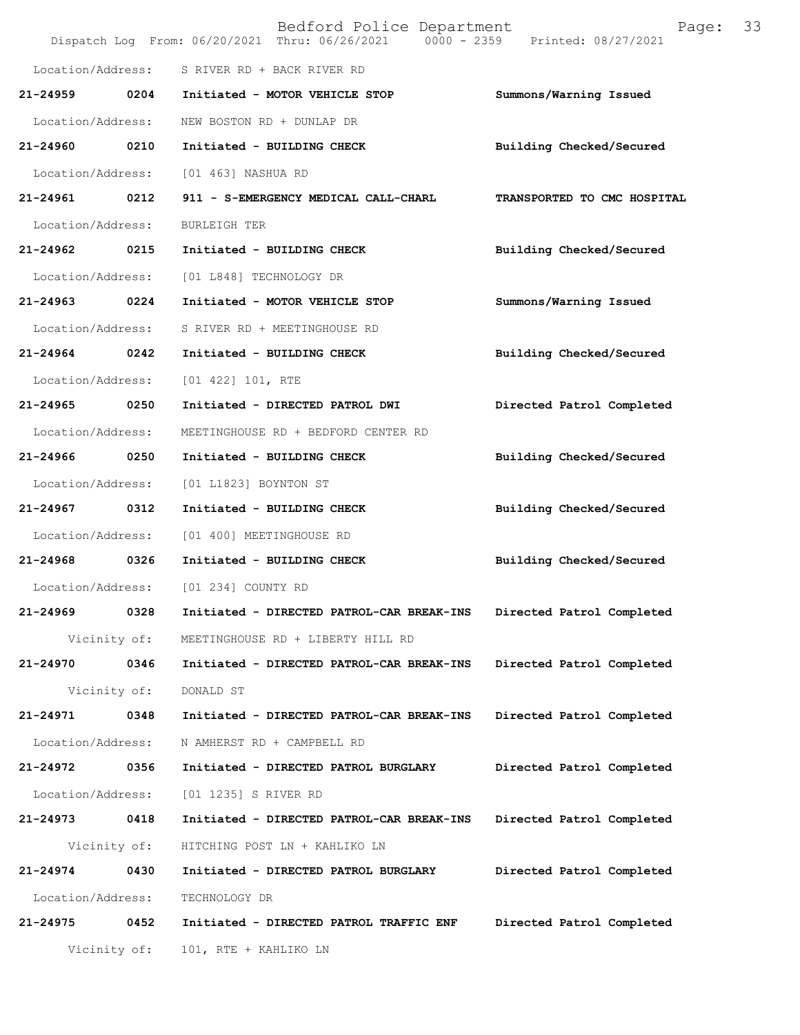|                   |              | Bedford Police Department<br>Dispatch Log From: 06/20/2021 Thru: 06/26/2021 0000 - 2359 Printed: 08/27/2021 | Page:                       | 33 |
|-------------------|--------------|-------------------------------------------------------------------------------------------------------------|-----------------------------|----|
| Location/Address: |              | S RIVER RD + BACK RIVER RD                                                                                  |                             |    |
| 21-24959          | 0204         | Initiated - MOTOR VEHICLE STOP                                                                              | Summons/Warning Issued      |    |
| Location/Address: |              | NEW BOSTON RD + DUNLAP DR                                                                                   |                             |    |
| 21-24960          | 0210         | Initiated - BUILDING CHECK                                                                                  | Building Checked/Secured    |    |
| Location/Address: |              | [01 463] NASHUA RD                                                                                          |                             |    |
| 21-24961 0212     |              | 911 - S-EMERGENCY MEDICAL CALL-CHARL                                                                        | TRANSPORTED TO CMC HOSPITAL |    |
| Location/Address: |              | <b>BURLEIGH TER</b>                                                                                         |                             |    |
| 21-24962          | 0215         | Initiated - BUILDING CHECK                                                                                  | Building Checked/Secured    |    |
| Location/Address: |              | [01 L848] TECHNOLOGY DR                                                                                     |                             |    |
| 21-24963          | 0224         | Initiated - MOTOR VEHICLE STOP                                                                              | Summons/Warning Issued      |    |
| Location/Address: |              | S RIVER RD + MEETINGHOUSE RD                                                                                |                             |    |
| 21-24964 0242     |              | Initiated - BUILDING CHECK                                                                                  | Building Checked/Secured    |    |
| Location/Address: |              | $[01 422] 101$ , RTE                                                                                        |                             |    |
| 21-24965 0250     |              | Initiated - DIRECTED PATROL DWI                                                                             | Directed Patrol Completed   |    |
| Location/Address: |              | MEETINGHOUSE RD + BEDFORD CENTER RD                                                                         |                             |    |
| 21-24966          | 0250         | Initiated - BUILDING CHECK                                                                                  | Building Checked/Secured    |    |
| Location/Address: |              | [01 L1823] BOYNTON ST                                                                                       |                             |    |
| 21-24967 0312     |              | Initiated - BUILDING CHECK                                                                                  | Building Checked/Secured    |    |
| Location/Address: |              | [01 400] MEETINGHOUSE RD                                                                                    |                             |    |
| 21-24968 0326     |              | Initiated - BUILDING CHECK                                                                                  | Building Checked/Secured    |    |
| Location/Address: |              | [01 234] COUNTY RD                                                                                          |                             |    |
| 21-24969          | 0328         | Initiated - DIRECTED PATROL-CAR BREAK-INS                                                                   | Directed Patrol Completed   |    |
|                   | Vicinity of: | MEETINGHOUSE RD + LIBERTY HILL RD                                                                           |                             |    |
| 21-24970          | 0346         | Initiated - DIRECTED PATROL-CAR BREAK-INS                                                                   | Directed Patrol Completed   |    |
|                   | Vicinity of: | DONALD ST                                                                                                   |                             |    |
| 21-24971          | 0348         | Initiated - DIRECTED PATROL-CAR BREAK-INS                                                                   | Directed Patrol Completed   |    |
| Location/Address: |              | N AMHERST RD + CAMPBELL RD                                                                                  |                             |    |
| 21-24972          | 0356         | Initiated - DIRECTED PATROL BURGLARY                                                                        | Directed Patrol Completed   |    |
| Location/Address: |              | [01 1235] S RIVER RD                                                                                        |                             |    |
| 21-24973          | 0418         | Initiated - DIRECTED PATROL-CAR BREAK-INS                                                                   | Directed Patrol Completed   |    |
|                   | Vicinity of: | HITCHING POST LN + KAHLIKO LN                                                                               |                             |    |
| 21-24974          | 0430         | Initiated - DIRECTED PATROL BURGLARY                                                                        | Directed Patrol Completed   |    |
| Location/Address: |              | TECHNOLOGY DR                                                                                               |                             |    |
| 21-24975          | 0452         | Initiated - DIRECTED PATROL TRAFFIC ENF                                                                     | Directed Patrol Completed   |    |
|                   | Vicinity of: | 101, RTE + KAHLIKO LN                                                                                       |                             |    |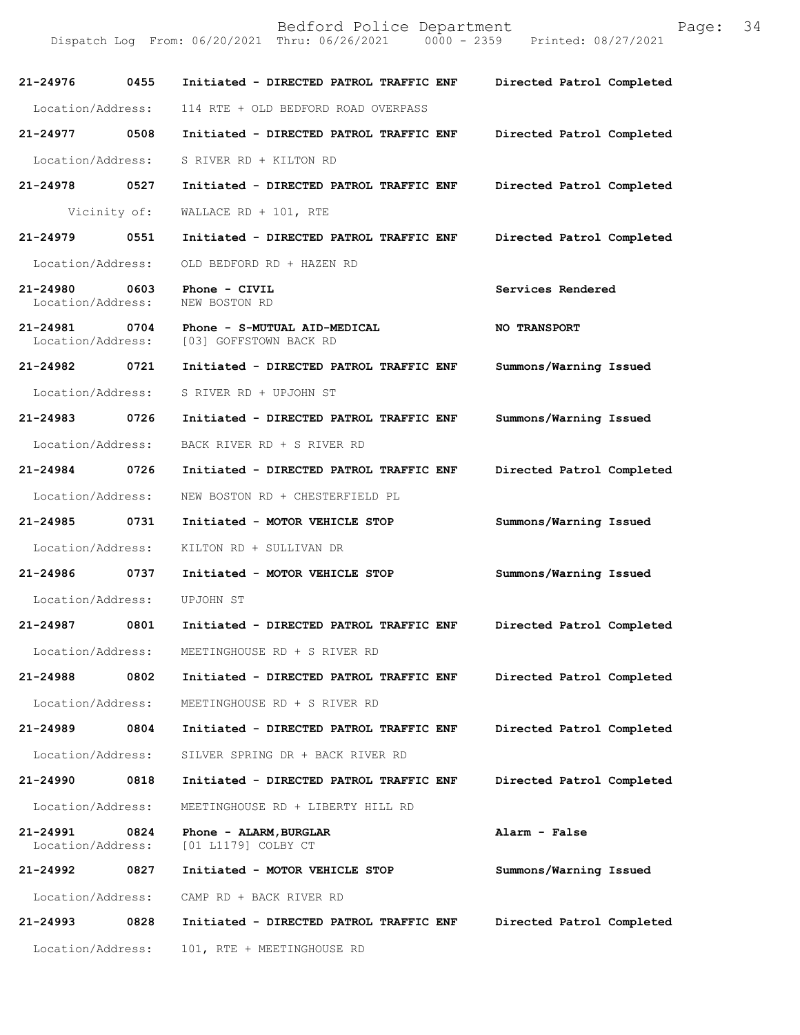| 21-24976                          | 0455 | Initiated - DIRECTED PATROL TRAFFIC ENF                | Directed Patrol Completed |
|-----------------------------------|------|--------------------------------------------------------|---------------------------|
| Location/Address:                 |      | 114 RTE + OLD BEDFORD ROAD OVERPASS                    |                           |
| 21-24977                          | 0508 | Initiated - DIRECTED PATROL TRAFFIC ENF                | Directed Patrol Completed |
| Location/Address:                 |      | S RIVER RD + KILTON RD                                 |                           |
| 21-24978                          | 0527 | Initiated - DIRECTED PATROL TRAFFIC ENF                | Directed Patrol Completed |
| Vicinity of:                      |      | WALLACE RD + $101$ , RTE                               |                           |
| 21-24979                          | 0551 | Initiated - DIRECTED PATROL TRAFFIC ENF                | Directed Patrol Completed |
| Location/Address:                 |      | OLD BEDFORD RD + HAZEN RD                              |                           |
| 21-24980<br>Location/Address:     | 0603 | Phone - CIVIL<br>NEW BOSTON RD                         | Services Rendered         |
| 21-24981<br>Location/Address:     | 0704 | Phone - S-MUTUAL AID-MEDICAL<br>[03] GOFFSTOWN BACK RD | <b>NO TRANSPORT</b>       |
| 21-24982                          | 0721 | Initiated - DIRECTED PATROL TRAFFIC ENF                | Summons/Warning Issued    |
| Location/Address:                 |      | S RIVER RD + UPJOHN ST                                 |                           |
| 21-24983 0726                     |      | Initiated - DIRECTED PATROL TRAFFIC ENF                | Summons/Warning Issued    |
| Location/Address:                 |      | BACK RIVER RD + S RIVER RD                             |                           |
| 21-24984 0726                     |      | Initiated - DIRECTED PATROL TRAFFIC ENF                | Directed Patrol Completed |
| Location/Address:                 |      | NEW BOSTON RD + CHESTERFIELD PL                        |                           |
| 21-24985                          | 0731 | Initiated - MOTOR VEHICLE STOP                         | Summons/Warning Issued    |
| Location/Address:                 |      | KILTON RD + SULLIVAN DR                                |                           |
| 21-24986                          | 0737 | Initiated - MOTOR VEHICLE STOP                         | Summons/Warning Issued    |
| Location/Address:                 |      | UPJOHN ST                                              |                           |
| 21-24987                          | 0801 | Initiated - DIRECTED PATROL TRAFFIC ENF                | Directed Patrol Completed |
| Location/Address:                 |      | MEETINGHOUSE RD + S RIVER RD                           |                           |
| 21-24988                          | 0802 | Initiated - DIRECTED PATROL TRAFFIC ENF                | Directed Patrol Completed |
| Location/Address:                 |      | MEETINGHOUSE RD + S RIVER RD                           |                           |
| 21-24989                          | 0804 | Initiated - DIRECTED PATROL TRAFFIC ENF                | Directed Patrol Completed |
| Location/Address:                 |      | SILVER SPRING DR + BACK RIVER RD                       |                           |
| 21-24990                          | 0818 | Initiated - DIRECTED PATROL TRAFFIC ENF                | Directed Patrol Completed |
| Location/Address:                 |      | MEETINGHOUSE RD + LIBERTY HILL RD                      |                           |
| $21 - 24991$<br>Location/Address: | 0824 | Phone - ALARM, BURGLAR<br>[01 L1179] COLBY CT          | Alarm - False             |
| 21-24992                          | 0827 | Initiated - MOTOR VEHICLE STOP                         | Summons/Warning Issued    |
| Location/Address:                 |      | CAMP RD + BACK RIVER RD                                |                           |
| 21-24993                          | 0828 | Initiated - DIRECTED PATROL TRAFFIC ENF                | Directed Patrol Completed |
| Location/Address:                 |      | 101, RTE + MEETINGHOUSE RD                             |                           |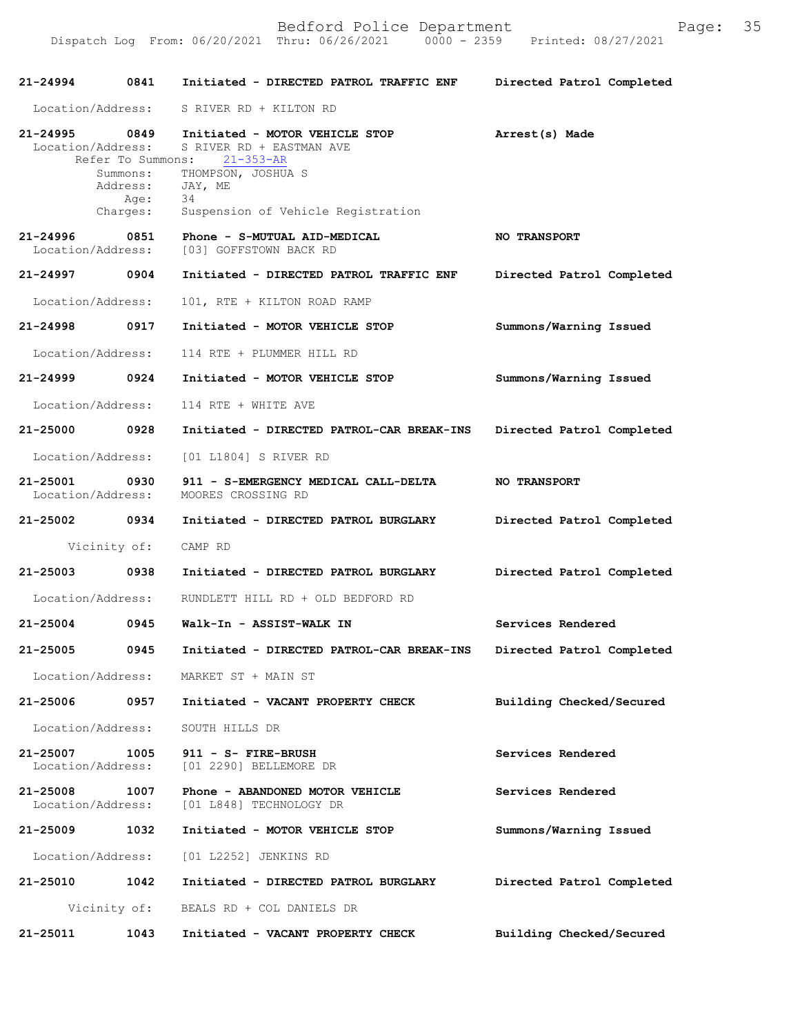| 21-24994                           | 0841                                                          | Initiated - DIRECTED PATROL TRAFFIC ENF                                                                                                                    | Directed Patrol Completed |
|------------------------------------|---------------------------------------------------------------|------------------------------------------------------------------------------------------------------------------------------------------------------------|---------------------------|
| Location/Address:                  |                                                               | S RIVER RD + KILTON RD                                                                                                                                     |                           |
| 21-24995 0849<br>Location/Address: | Refer To Summons:<br>Summons:<br>Address:<br>Age:<br>Charges: | Initiated - MOTOR VEHICLE STOP<br>S RIVER RD + EASTMAN AVE<br>$21 - 353 - AR$<br>THOMPSON, JOSHUA S<br>JAY, ME<br>34<br>Suspension of Vehicle Registration | Arrest(s) Made            |
| 21-24996<br>Location/Address:      | 0851                                                          | Phone - S-MUTUAL AID-MEDICAL<br>[03] GOFFSTOWN BACK RD                                                                                                     | <b>NO TRANSPORT</b>       |
| 21-24997 0904                      |                                                               | Initiated - DIRECTED PATROL TRAFFIC ENF                                                                                                                    | Directed Patrol Completed |
| Location/Address:                  |                                                               | 101, RTE + KILTON ROAD RAMP                                                                                                                                |                           |
| 21-24998                           | 0917                                                          | Initiated - MOTOR VEHICLE STOP                                                                                                                             | Summons/Warning Issued    |
| Location/Address:                  |                                                               | 114 RTE + PLUMMER HILL RD                                                                                                                                  |                           |
| 21-24999                           | 0924                                                          | Initiated - MOTOR VEHICLE STOP                                                                                                                             | Summons/Warning Issued    |
| Location/Address:                  |                                                               | 114 RTE + WHITE AVE                                                                                                                                        |                           |
| 21-25000 0928                      |                                                               | Initiated - DIRECTED PATROL-CAR BREAK-INS                                                                                                                  | Directed Patrol Completed |
| Location/Address:                  |                                                               | [01 L1804] S RIVER RD                                                                                                                                      |                           |
| 21-25001<br>Location/Address:      | 0930                                                          | 911 - S-EMERGENCY MEDICAL CALL-DELTA<br>MOORES CROSSING RD                                                                                                 | <b>NO TRANSPORT</b>       |
| 21-25002 0934                      |                                                               | Initiated - DIRECTED PATROL BURGLARY                                                                                                                       | Directed Patrol Completed |
|                                    | Vicinity of:                                                  | CAMP RD                                                                                                                                                    |                           |
| 21-25003 0938                      |                                                               | Initiated - DIRECTED PATROL BURGLARY                                                                                                                       | Directed Patrol Completed |
| Location/Address:                  |                                                               | RUNDLETT HILL RD + OLD BEDFORD RD                                                                                                                          |                           |
| $21 - 25004$                       | 0945                                                          | Walk-In - ASSIST-WALK IN                                                                                                                                   | Services Rendered         |
| 21-25005                           | 0945                                                          | Initiated - DIRECTED PATROL-CAR BREAK-INS Directed Patrol Completed                                                                                        |                           |
|                                    |                                                               | Location/Address: MARKET ST + MAIN ST                                                                                                                      |                           |
| 21-25006                           | 0957                                                          | Initiated - VACANT PROPERTY CHECK                                                                                                                          | Building Checked/Secured  |
| Location/Address:                  |                                                               | SOUTH HILLS DR                                                                                                                                             |                           |
| 21-25007<br>Location/Address:      | 1005                                                          | 911 - S- FIRE-BRUSH<br>[01 2290] BELLEMORE DR                                                                                                              | Services Rendered         |
| 21-25008<br>Location/Address:      | 1007                                                          | Phone - ABANDONED MOTOR VEHICLE<br>[01 L848] TECHNOLOGY DR                                                                                                 | Services Rendered         |
| 21-25009 1032                      |                                                               | Initiated - MOTOR VEHICLE STOP                                                                                                                             | Summons/Warning Issued    |
| Location/Address:                  |                                                               | [01 L2252] JENKINS RD                                                                                                                                      |                           |
| 21-25010                           | 1042                                                          | Initiated - DIRECTED PATROL BURGLARY                                                                                                                       | Directed Patrol Completed |
|                                    | Vicinity of:                                                  | BEALS RD + COL DANIELS DR                                                                                                                                  |                           |
| 21-25011                           | 1043                                                          | Initiated - VACANT PROPERTY CHECK                                                                                                                          | Building Checked/Secured  |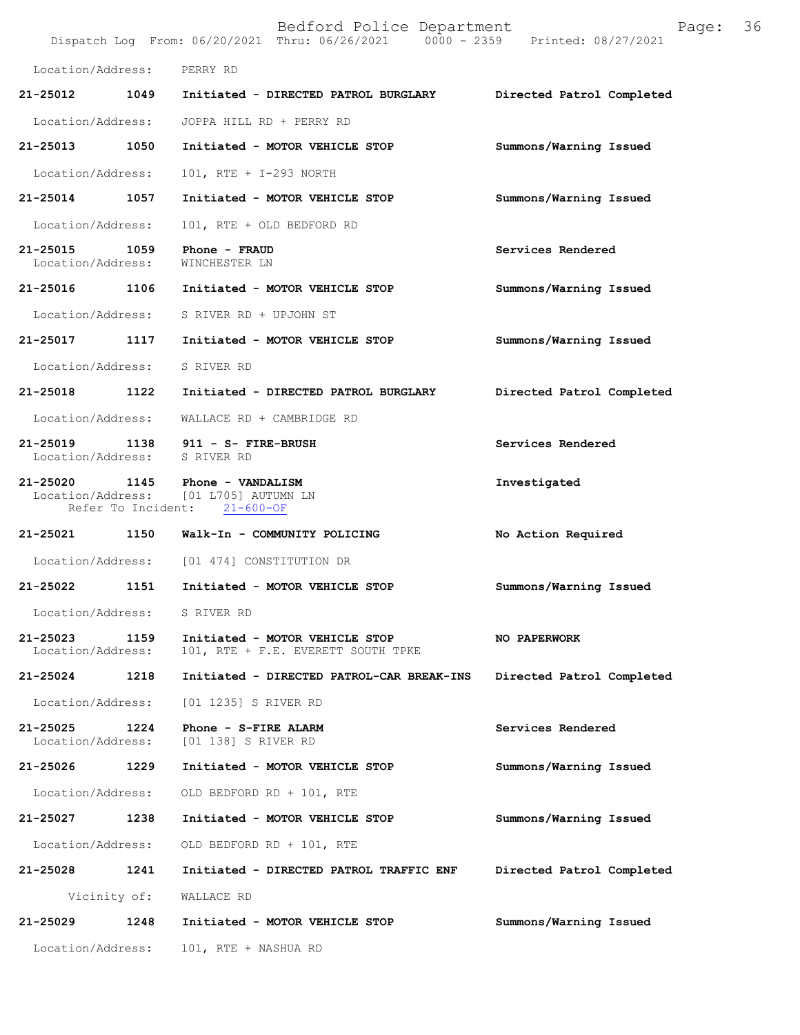|                                    |                    | Bedford Police Department<br>Dispatch Log From: 06/20/2021 Thru: 06/26/2021 0000 - 2359 Printed: 08/27/2021 | Page:                     | 36 |
|------------------------------------|--------------------|-------------------------------------------------------------------------------------------------------------|---------------------------|----|
| Location/Address:                  |                    | PERRY RD                                                                                                    |                           |    |
| 21-25012                           | 1049               | Initiated - DIRECTED PATROL BURGLARY                                                                        | Directed Patrol Completed |    |
| Location/Address:                  |                    | JOPPA HILL RD + PERRY RD                                                                                    |                           |    |
| 21-25013                           | 1050               | Initiated - MOTOR VEHICLE STOP                                                                              | Summons/Warning Issued    |    |
| Location/Address:                  |                    | 101, RTE + I-293 NORTH                                                                                      |                           |    |
| 21-25014 1057                      |                    | Initiated - MOTOR VEHICLE STOP                                                                              | Summons/Warning Issued    |    |
| Location/Address:                  |                    | 101, RTE + OLD BEDFORD RD                                                                                   |                           |    |
| 21-25015 1059<br>Location/Address: |                    | Phone - FRAUD<br>WINCHESTER LN                                                                              | Services Rendered         |    |
| 21-25016                           | 1106               | Initiated - MOTOR VEHICLE STOP                                                                              | Summons/Warning Issued    |    |
| Location/Address:                  |                    | S RIVER RD + UPJOHN ST                                                                                      |                           |    |
| 21-25017 1117                      |                    | Initiated - MOTOR VEHICLE STOP                                                                              | Summons/Warning Issued    |    |
| Location/Address:                  |                    | S RIVER RD                                                                                                  |                           |    |
| 21-25018                           | 1122               | Initiated - DIRECTED PATROL BURGLARY                                                                        | Directed Patrol Completed |    |
| Location/Address:                  |                    | WALLACE RD + CAMBRIDGE RD                                                                                   |                           |    |
|                                    |                    | 21-25019 1138 911 - S- FIRE-BRUSH<br>Location/Address: S RIVER RD                                           | Services Rendered         |    |
| 21-25020 1145                      | Refer To Incident: | Phone - VANDALISM<br>Location/Address: [01 L705] AUTUMN LN<br>$21 - 600 - OF$                               | Investigated              |    |
|                                    |                    | 21-25021 1150 Walk-In - COMMUNITY POLICING                                                                  | No Action Required        |    |
|                                    |                    | Location/Address: [01 474] CONSTITUTION DR                                                                  |                           |    |
| 21-25022                           | 1151               | Initiated - MOTOR VEHICLE STOP                                                                              | Summons/Warning Issued    |    |
| Location/Address:                  |                    | S RIVER RD                                                                                                  |                           |    |
| 21-25023<br>Location/Address:      | 1159               | Initiated - MOTOR VEHICLE STOP<br>101, RTE + F.E. EVERETT SOUTH TPKE                                        | <b>NO PAPERWORK</b>       |    |
| 21-25024                           | 1218               | Initiated - DIRECTED PATROL-CAR BREAK-INS                                                                   | Directed Patrol Completed |    |
| Location/Address:                  |                    | [01 1235] S RIVER RD                                                                                        |                           |    |
| 21-25025<br>Location/Address:      | 1224               | Phone - S-FIRE ALARM<br>[01 138] S RIVER RD                                                                 | Services Rendered         |    |
| 21-25026                           | 1229               | Initiated - MOTOR VEHICLE STOP                                                                              | Summons/Warning Issued    |    |
| Location/Address:                  |                    | OLD BEDFORD RD + 101, RTE                                                                                   |                           |    |
| 21-25027                           | 1238               | Initiated - MOTOR VEHICLE STOP                                                                              | Summons/Warning Issued    |    |
| Location/Address:                  |                    | OLD BEDFORD RD + 101, RTE                                                                                   |                           |    |
| 21-25028                           | 1241               | Initiated - DIRECTED PATROL TRAFFIC ENF                                                                     | Directed Patrol Completed |    |
|                                    | Vicinity of:       | WALLACE RD                                                                                                  |                           |    |
| 21-25029                           | 1248               | Initiated - MOTOR VEHICLE STOP                                                                              | Summons/Warning Issued    |    |
| Location/Address:                  |                    | 101, RTE + NASHUA RD                                                                                        |                           |    |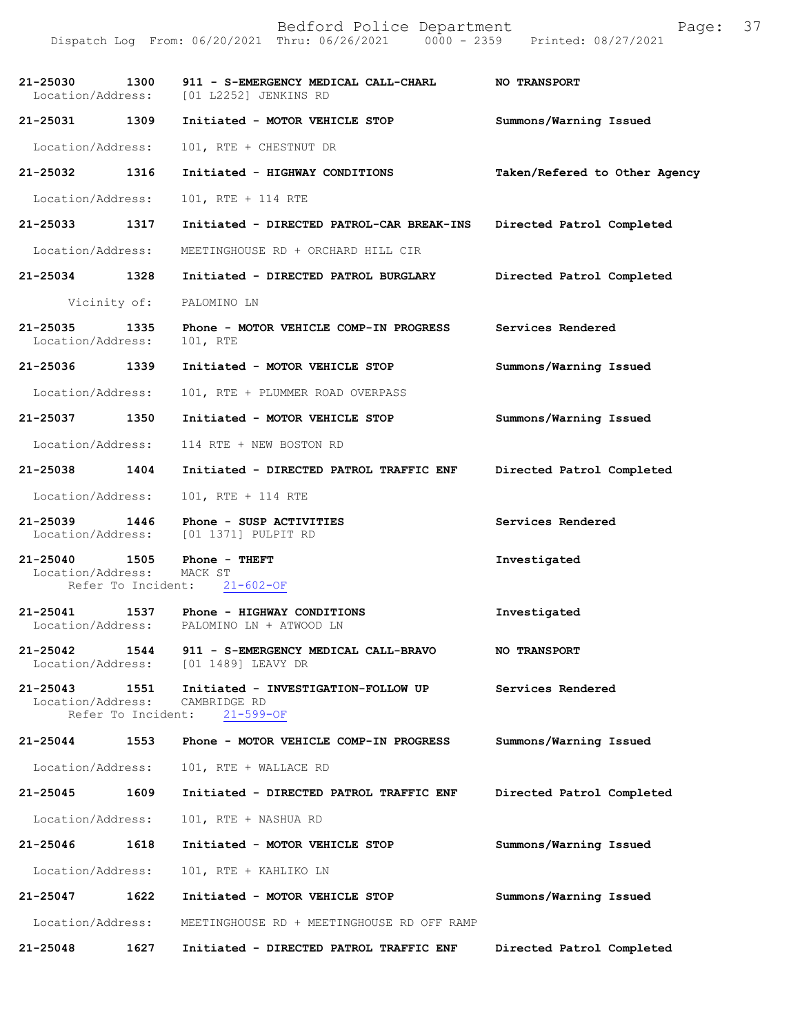| 21-25030<br>Location/Address:                            | 1300 | 911 - S-EMERGENCY MEDICAL CALL-CHARL<br>[01 L2252] JENKINS RD                | <b>NO TRANSPORT</b>           |
|----------------------------------------------------------|------|------------------------------------------------------------------------------|-------------------------------|
| 21-25031 1309                                            |      | Initiated - MOTOR VEHICLE STOP                                               | Summons/Warning Issued        |
| Location/Address:                                        |      | 101, RTE + CHESTNUT DR                                                       |                               |
| 21-25032                                                 | 1316 | Initiated - HIGHWAY CONDITIONS                                               | Taken/Refered to Other Agency |
| Location/Address:                                        |      | 101, RTE + 114 RTE                                                           |                               |
| 21-25033                                                 | 1317 | Initiated - DIRECTED PATROL-CAR BREAK-INS                                    | Directed Patrol Completed     |
| Location/Address:                                        |      | MEETINGHOUSE RD + ORCHARD HILL CIR                                           |                               |
| $21 - 25034$                                             | 1328 | Initiated - DIRECTED PATROL BURGLARY                                         | Directed Patrol Completed     |
| Vicinity of:                                             |      | PALOMINO LN                                                                  |                               |
| 21-25035<br>Location/Address:                            | 1335 | Phone - MOTOR VEHICLE COMP-IN PROGRESS<br>101, RTE                           | Services Rendered             |
| $21 - 25036$                                             | 1339 | Initiated - MOTOR VEHICLE STOP                                               | Summons/Warning Issued        |
| Location/Address:                                        |      | 101, RTE + PLUMMER ROAD OVERPASS                                             |                               |
| 21-25037 1350                                            |      | Initiated - MOTOR VEHICLE STOP                                               | Summons/Warning Issued        |
| Location/Address:                                        |      | 114 RTE + NEW BOSTON RD                                                      |                               |
| 21-25038                                                 | 1404 | Initiated - DIRECTED PATROL TRAFFIC ENF                                      | Directed Patrol Completed     |
| Location/Address:                                        |      | 101, RTE + 114 RTE                                                           |                               |
| 21-25039<br>Location/Address:                            | 1446 | Phone - SUSP ACTIVITIES<br>[01 1371] PULPIT RD                               | Services Rendered             |
| 21-25040 1505<br>Location/Address:<br>Refer To Incident: |      | Phone - THEFT<br>MACK ST<br>$21 - 602 - OF$                                  | Investigated                  |
| 21-25041                                                 |      | 1537 Phone - HIGHWAY CONDITIONS<br>Location/Address: PALOMINO LN + ATWOOD LN | Investigated                  |
| $21 - 25042$<br>Location/Address:                        | 1544 | 911 - S-EMERGENCY MEDICAL CALL-BRAVO<br>[01 1489] LEAVY DR                   | <b>NO TRANSPORT</b>           |
| 21-25043<br>Location/Address:<br>Refer To Incident:      | 1551 | Initiated - INVESTIGATION-FOLLOW UP<br>CAMBRIDGE RD<br>$21 - 599 - OF$       | Services Rendered             |
| 21-25044                                                 | 1553 | Phone - MOTOR VEHICLE COMP-IN PROGRESS                                       | Summons/Warning Issued        |
| Location/Address:                                        |      | 101, RTE + WALLACE RD                                                        |                               |
| 21-25045                                                 | 1609 | Initiated - DIRECTED PATROL TRAFFIC ENF                                      | Directed Patrol Completed     |
| Location/Address:                                        |      | 101, RTE + NASHUA RD                                                         |                               |
| 21-25046                                                 | 1618 | Initiated - MOTOR VEHICLE STOP                                               | Summons/Warning Issued        |
| Location/Address:                                        |      | 101, RTE + KAHLIKO LN                                                        |                               |
| 21-25047                                                 | 1622 | Initiated - MOTOR VEHICLE STOP                                               | Summons/Warning Issued        |
| Location/Address:                                        |      | MEETINGHOUSE RD + MEETINGHOUSE RD OFF RAMP                                   |                               |
| 21-25048                                                 | 1627 | Initiated - DIRECTED PATROL TRAFFIC ENF                                      | Directed Patrol Completed     |
|                                                          |      |                                                                              |                               |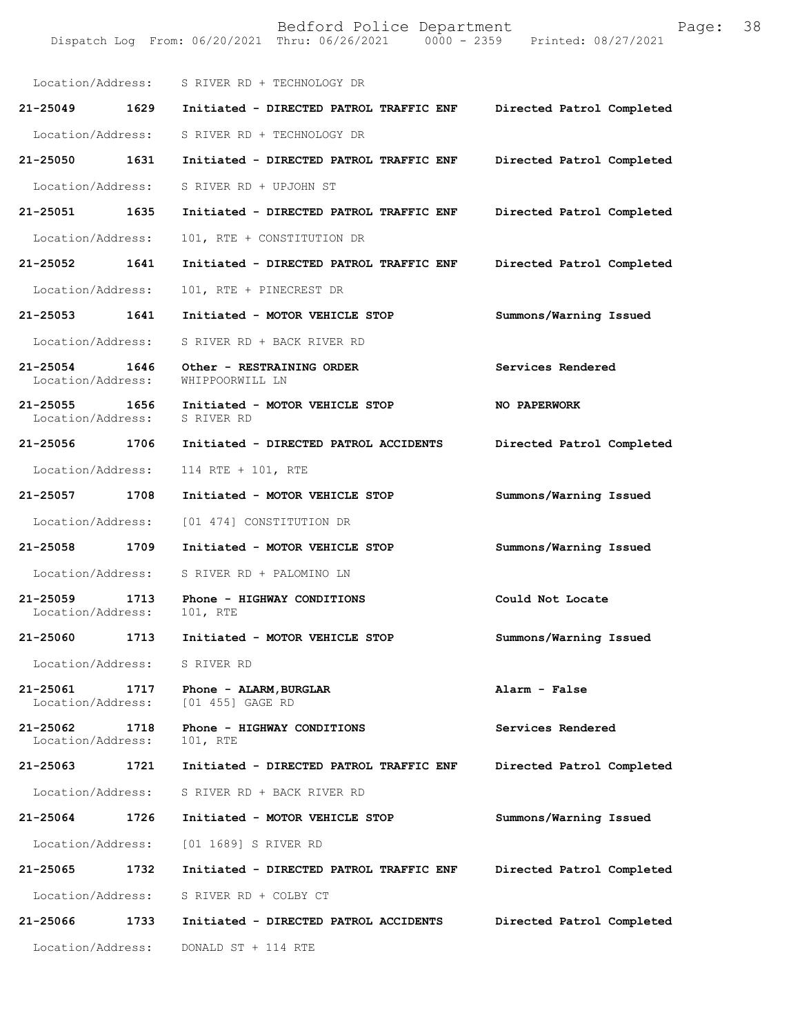Bedford Police Department Page: 38 Dispatch Log From: 06/20/2021 Thru: 06/26/2021 Location/Address: S RIVER RD + TECHNOLOGY DR **21-25049 1629 Initiated - DIRECTED PATROL TRAFFIC ENF Directed Patrol Completed**  Location/Address: S RIVER RD + TECHNOLOGY DR **21-25050 1631 Initiated - DIRECTED PATROL TRAFFIC ENF Directed Patrol Completed**  Location/Address: S RIVER RD + UPJOHN ST **21-25051 1635 Initiated - DIRECTED PATROL TRAFFIC ENF Directed Patrol Completed**  Location/Address: 101, RTE + CONSTITUTION DR **21-25052 1641 Initiated - DIRECTED PATROL TRAFFIC ENF Directed Patrol Completed**  Location/Address: 101, RTE + PINECREST DR **21-25053 1641 Initiated - MOTOR VEHICLE STOP Summons/Warning Issued**  Location/Address: S RIVER RD + BACK RIVER RD **21-25054 1646 Other - RESTRAINING ORDER Services Rendered**  Location/Address: **21-25055 1656 Initiated - MOTOR VEHICLE STOP NO PAPERWORK**  Location/Address: **21-25056 1706 Initiated - DIRECTED PATROL ACCIDENTS Directed Patrol Completed**  Location/Address: 114 RTE + 101, RTE **21-25057 1708 Initiated - MOTOR VEHICLE STOP Summons/Warning Issued**  Location/Address: [01 474] CONSTITUTION DR **21-25058 1709 Initiated - MOTOR VEHICLE STOP Summons/Warning Issued**  Location/Address: S RIVER RD + PALOMINO LN **21-25059 1713 Phone - HIGHWAY CONDITIONS Could Not Locate**  Location/Address: **21-25060 1713 Initiated - MOTOR VEHICLE STOP Summons/Warning Issued**  Location/Address: S RIVER RD **21-25061 1717 Phone - ALARM,BURGLAR Alarm - False**  Location/Address: **21-25062 1718 Phone - HIGHWAY CONDITIONS Services Rendered**  Location/Address: 101, RTE **21-25063 1721 Initiated - DIRECTED PATROL TRAFFIC ENF Directed Patrol Completed**  Location/Address: S RIVER RD + BACK RIVER RD **21-25064 1726 Initiated - MOTOR VEHICLE STOP Summons/Warning Issued**  Location/Address: [01 1689] S RIVER RD **21-25065 1732 Initiated - DIRECTED PATROL TRAFFIC ENF Directed Patrol Completed**  Location/Address: S RIVER RD + COLBY CT **21-25066 1733 Initiated - DIRECTED PATROL ACCIDENTS Directed Patrol Completed**  Location/Address: DONALD ST + 114 RTE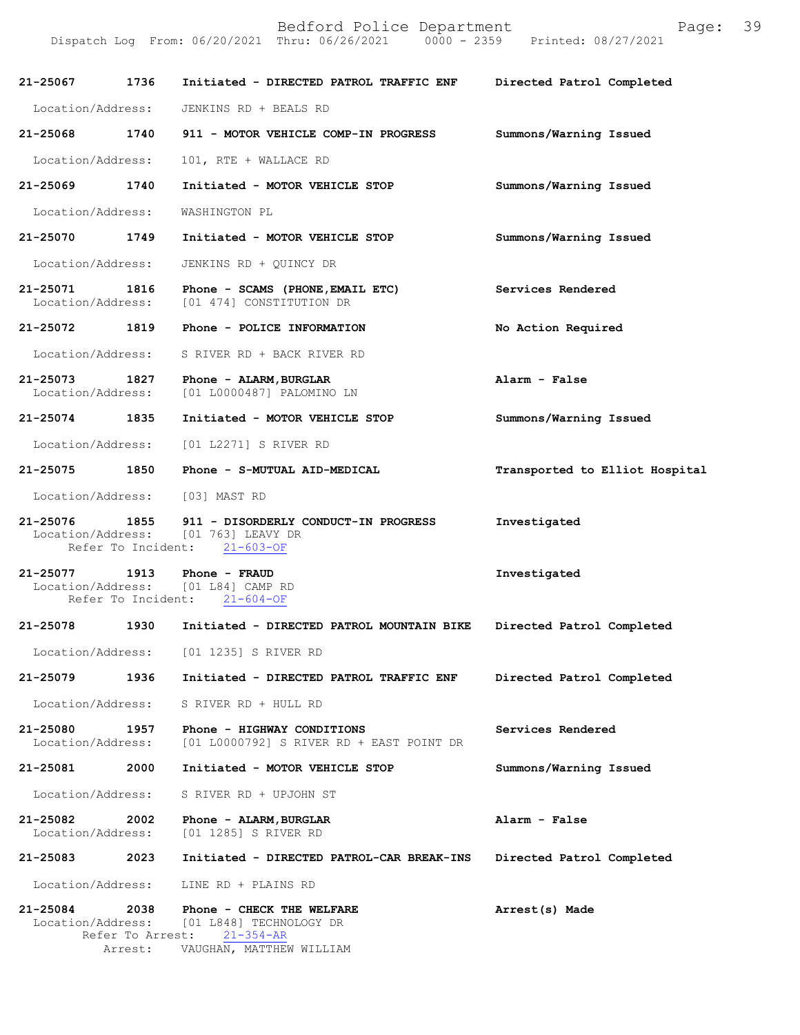| 21-25067                      | 1736                                | Initiated - DIRECTED PATROL TRAFFIC ENF                                                             | Directed Patrol Completed      |
|-------------------------------|-------------------------------------|-----------------------------------------------------------------------------------------------------|--------------------------------|
| Location/Address:             |                                     | JENKINS RD + BEALS RD                                                                               |                                |
| 21-25068                      | 1740                                | 911 - MOTOR VEHICLE COMP-IN PROGRESS                                                                | Summons/Warning Issued         |
| Location/Address:             |                                     | 101, RTE + WALLACE RD                                                                               |                                |
| 21-25069                      | 1740                                | Initiated - MOTOR VEHICLE STOP                                                                      | Summons/Warning Issued         |
| Location/Address:             |                                     | WASHINGTON PL                                                                                       |                                |
| 21-25070 1749                 |                                     | Initiated - MOTOR VEHICLE STOP                                                                      | Summons/Warning Issued         |
| Location/Address:             |                                     | JENKINS RD + QUINCY DR                                                                              |                                |
| 21-25071<br>Location/Address: | 1816                                | Phone - SCAMS (PHONE, EMAIL ETC)<br>[01 474] CONSTITUTION DR                                        | Services Rendered              |
| 21-25072                      | 1819                                | Phone - POLICE INFORMATION                                                                          | No Action Required             |
| Location/Address:             |                                     | S RIVER RD + BACK RIVER RD                                                                          |                                |
| 21-25073<br>Location/Address: | 1827                                | Phone - ALARM, BURGLAR<br>[01 L0000487] PALOMINO LN                                                 | Alarm - False                  |
| $21 - 25074$                  | 1835                                | Initiated - MOTOR VEHICLE STOP                                                                      | Summons/Warning Issued         |
| Location/Address:             |                                     | [01 L2271] S RIVER RD                                                                               |                                |
| 21-25075 1850                 |                                     | Phone - S-MUTUAL AID-MEDICAL                                                                        | Transported to Elliot Hospital |
|                               |                                     | Location/Address: [03] MAST RD                                                                      |                                |
| 21-25076                      | 1855<br>Refer To Incident:          | 911 - DISORDERLY CONDUCT-IN PROGRESS<br>Location/Address: [01 763] LEAVY DR<br>$21 - 603 - OF$      | Investigated                   |
| 21-25077 1913                 | Refer To Incident:                  | Phone - FRAUD<br>Location/Address: [01 L84] CAMP RD<br>$21 - 604 - OF$                              | Investigated                   |
| 21-25078                      | 1930                                | Initiated - DIRECTED PATROL MOUNTAIN BIKE                                                           | Directed Patrol Completed      |
| Location/Address:             |                                     | [01 1235] S RIVER RD                                                                                |                                |
| $21 - 25079$                  | 1936                                | Initiated - DIRECTED PATROL TRAFFIC ENF                                                             | Directed Patrol Completed      |
| Location/Address:             |                                     | S RIVER RD + HULL RD                                                                                |                                |
| 21-25080<br>Location/Address: | 1957                                | Phone - HIGHWAY CONDITIONS<br>[01 L0000792] S RIVER RD + EAST POINT DR                              | Services Rendered              |
| 21-25081                      | 2000                                | Initiated - MOTOR VEHICLE STOP                                                                      | Summons/Warning Issued         |
| Location/Address:             |                                     | S RIVER RD + UPJOHN ST                                                                              |                                |
| 21-25082<br>Location/Address: | 2002                                | Phone - ALARM, BURGLAR<br>[01 1285] S RIVER RD                                                      | Alarm - False                  |
| 21-25083                      | 2023                                | Initiated - DIRECTED PATROL-CAR BREAK-INS                                                           | Directed Patrol Completed      |
| Location/Address:             |                                     | LINE RD + PLAINS RD                                                                                 |                                |
| 21-25084<br>Location/Address: | 2038<br>Refer To Arrest:<br>Arrest: | Phone - CHECK THE WELFARE<br>[01 L848] TECHNOLOGY DR<br>$21 - 354 - AR$<br>VAUGHAN, MATTHEW WILLIAM | Arrest(s) Made                 |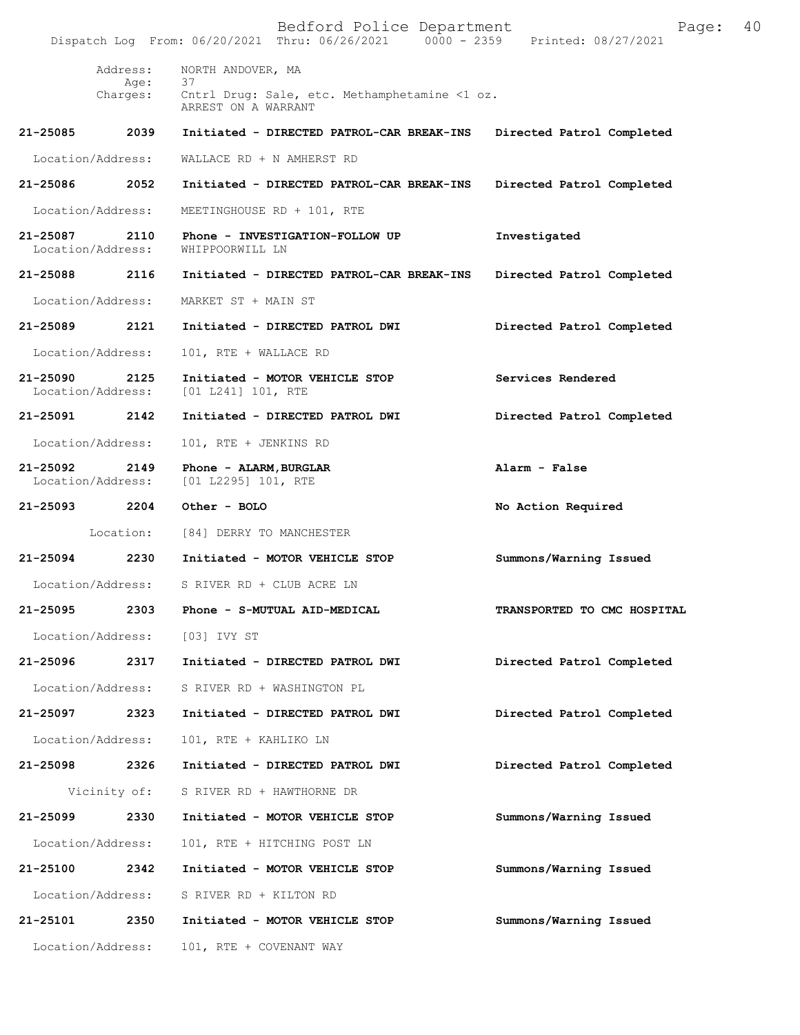Bedford Police Department Page: 40 Dispatch Log From: 06/20/2021 Thru: 06/26/2021 Address: NORTH ANDOVER, MA Age: 37 Charges: Cntrl Drug: Sale, etc. Methamphetamine <1 oz. ARREST ON A WARRANT **21-25085 2039 Initiated - DIRECTED PATROL-CAR BREAK-INS Directed Patrol Completed** Location/Address: WALLACE RD + N AMHERST RD **21-25086 2052 Initiated - DIRECTED PATROL-CAR BREAK-INS Directed Patrol Completed** Location/Address: MEETINGHOUSE RD + 101, RTE **21-25087 2110 Phone - INVESTIGATION-FOLLOW UP Investigated** Location/Address: WHIPPOORWILL LN **21-25088 2116 Initiated - DIRECTED PATROL-CAR BREAK-INS Directed Patrol Completed** Location/Address: MARKET ST + MAIN ST **21-25089 2121 Initiated - DIRECTED PATROL DWI Directed Patrol Completed** Location/Address: 101, RTE + WALLACE RD **21-25090 2125 Initiated - MOTOR VEHICLE STOP Services Rendered** Location/Address: [01 L241] 101, RTE **21-25091 2142 Initiated - DIRECTED PATROL DWI Directed Patrol Completed** Location/Address: 101, RTE + JENKINS RD **21-25092 2149 Phone - ALARM,BURGLAR Alarm - False** Location/Address: [01 L2295] 101, RTE **21-25093 2204 Other - BOLO No Action Required** Location: [84] DERRY TO MANCHESTER **21-25094 2230 Initiated - MOTOR VEHICLE STOP Summons/Warning Issued** Location/Address: S RIVER RD + CLUB ACRE LN **21-25095 2303 Phone - S-MUTUAL AID-MEDICAL TRANSPORTED TO CMC HOSPITAL** Location/Address: [03] IVY ST **21-25096 2317 Initiated - DIRECTED PATROL DWI Directed Patrol Completed** Location/Address: S RIVER RD + WASHINGTON PL **21-25097 2323 Initiated - DIRECTED PATROL DWI Directed Patrol Completed** Location/Address: 101, RTE + KAHLIKO LN **21-25098 2326 Initiated - DIRECTED PATROL DWI Directed Patrol Completed** Vicinity of: S RIVER RD + HAWTHORNE DR **21-25099 2330 Initiated - MOTOR VEHICLE STOP Summons/Warning Issued** Location/Address: 101, RTE + HITCHING POST LN **21-25100 2342 Initiated - MOTOR VEHICLE STOP Summons/Warning Issued** Location/Address: S RIVER RD + KILTON RD **21-25101 2350 Initiated - MOTOR VEHICLE STOP Summons/Warning Issued** Location/Address: 101, RTE + COVENANT WAY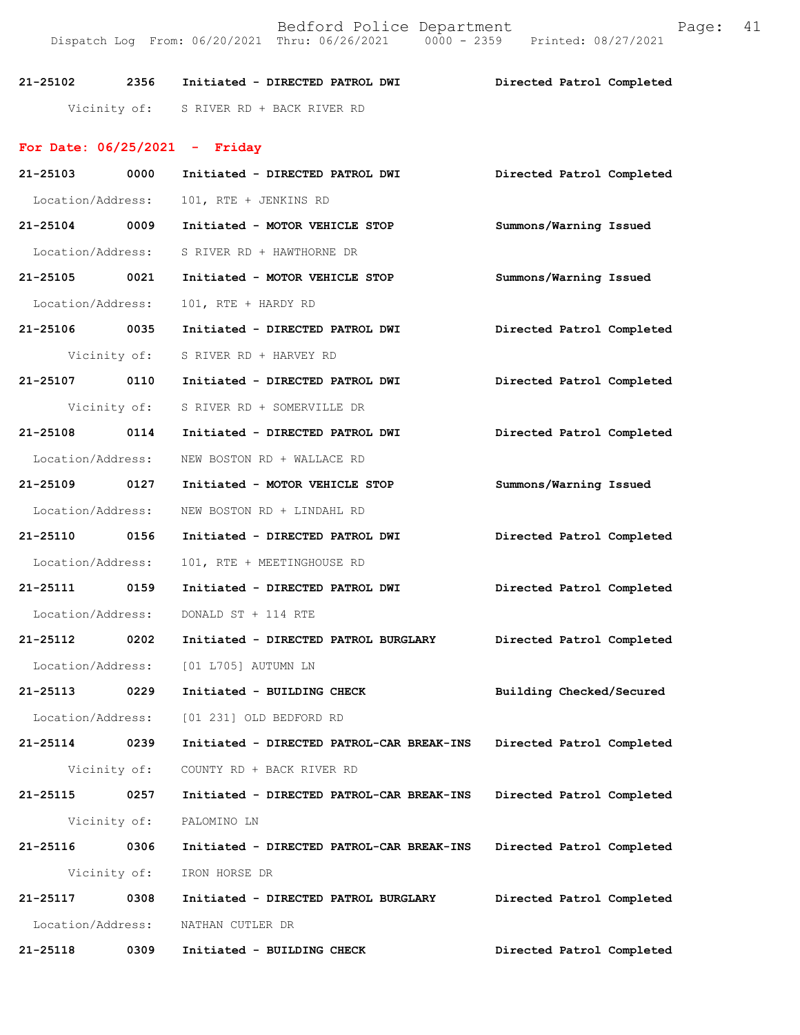Bedford Police Department Fage: 41 Dispatch Log From: 06/20/2021 Thru: 06/26/2021 0000 - 2359 Printed: 08/27/2021

**21-25102 2356 Initiated - DIRECTED PATROL DWI Directed Patrol Completed** 

Vicinity of: S RIVER RD + BACK RIVER RD

## **For Date: 06/25/2021 - Friday**

| 21-25103          | 0000         | Initiated - DIRECTED PATROL DWI           | Directed Patrol Completed |
|-------------------|--------------|-------------------------------------------|---------------------------|
| Location/Address: |              | 101, RTE + JENKINS RD                     |                           |
| 21-25104 0009     |              | Initiated - MOTOR VEHICLE STOP            | Summons/Warning Issued    |
| Location/Address: |              | S RIVER RD + HAWTHORNE DR                 |                           |
| 21-25105 0021     |              | Initiated - MOTOR VEHICLE STOP            | Summons/Warning Issued    |
| Location/Address: |              | 101, RTE + HARDY RD                       |                           |
| 21-25106 0035     |              | Initiated - DIRECTED PATROL DWI           | Directed Patrol Completed |
|                   | Vicinity of: | S RIVER RD + HARVEY RD                    |                           |
| 21-25107 0110     |              | Initiated - DIRECTED PATROL DWI           | Directed Patrol Completed |
|                   | Vicinity of: | S RIVER RD + SOMERVILLE DR                |                           |
| 21-25108 0114     |              | Initiated - DIRECTED PATROL DWI           | Directed Patrol Completed |
| Location/Address: |              | NEW BOSTON RD + WALLACE RD                |                           |
| 21-25109 0127     |              | Initiated - MOTOR VEHICLE STOP            | Summons/Warning Issued    |
| Location/Address: |              | NEW BOSTON RD + LINDAHL RD                |                           |
| 21-25110 0156     |              | Initiated - DIRECTED PATROL DWI           | Directed Patrol Completed |
| Location/Address: |              | 101, RTE + MEETINGHOUSE RD                |                           |
| 21-25111 0159     |              | Initiated - DIRECTED PATROL DWI           | Directed Patrol Completed |
| Location/Address: |              | DONALD ST + 114 RTE                       |                           |
| 21-25112 0202     |              | Initiated - DIRECTED PATROL BURGLARY      | Directed Patrol Completed |
| Location/Address: |              | [01 L705] AUTUMN LN                       |                           |
| 21-25113 0229     |              | Initiated - BUILDING CHECK                | Building Checked/Secured  |
|                   |              | Location/Address: [01 231] OLD BEDFORD RD |                           |
| 21-25114 0239     |              | Initiated - DIRECTED PATROL-CAR BREAK-INS | Directed Patrol Completed |
|                   |              | Vicinity of: COUNTY RD + BACK RIVER RD    |                           |
| 21-25115          | 0257         | Initiated - DIRECTED PATROL-CAR BREAK-INS | Directed Patrol Completed |
|                   | Vicinity of: | PALOMINO LN                               |                           |
| 21-25116          | 0306         | Initiated - DIRECTED PATROL-CAR BREAK-INS | Directed Patrol Completed |
| Vicinity of:      |              | IRON HORSE DR                             |                           |
| 21-25117          | 0308         | Initiated - DIRECTED PATROL BURGLARY      | Directed Patrol Completed |
| Location/Address: |              | NATHAN CUTLER DR                          |                           |
| 21-25118          | 0309         | Initiated - BUILDING CHECK                | Directed Patrol Completed |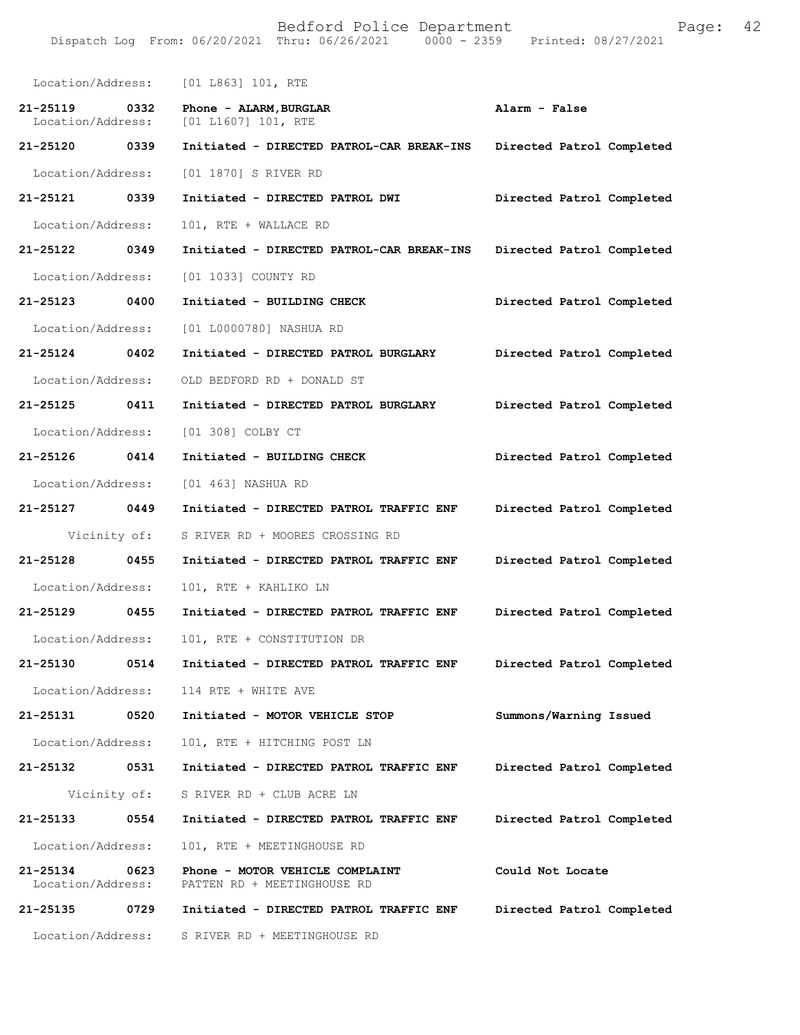Bedford Police Department Page: 42 Dispatch Log From: 06/20/2021 Thru: 06/26/2021 Location/Address: [01 L863] 101, RTE **21-25119 0332 Phone - ALARM,BURGLAR Alarm - False**  [01 L1607] 101, RTE **21-25120 0339 Initiated - DIRECTED PATROL-CAR BREAK-INS Directed Patrol Completed**  Location/Address: [01 1870] S RIVER RD **21-25121 0339 Initiated - DIRECTED PATROL DWI Directed Patrol Completed**  Location/Address: 101, RTE + WALLACE RD **21-25122 0349 Initiated - DIRECTED PATROL-CAR BREAK-INS Directed Patrol Completed**  Location/Address: [01 1033] COUNTY RD **21-25123 0400 Initiated - BUILDING CHECK Directed Patrol Completed**  Location/Address: [01 L0000780] NASHUA RD **21-25124 0402 Initiated - DIRECTED PATROL BURGLARY Directed Patrol Completed**  Location/Address: OLD BEDFORD RD + DONALD ST **21-25125 0411 Initiated - DIRECTED PATROL BURGLARY Directed Patrol Completed**  Location/Address: [01 308] COLBY CT **21-25126 0414 Initiated - BUILDING CHECK Directed Patrol Completed**  Location/Address: [01 463] NASHUA RD **21-25127 0449 Initiated - DIRECTED PATROL TRAFFIC ENF Directed Patrol Completed**  Vicinity of: S RIVER RD + MOORES CROSSING RD **21-25128 0455 Initiated - DIRECTED PATROL TRAFFIC ENF Directed Patrol Completed**  Location/Address: 101, RTE + KAHLIKO LN **21-25129 0455 Initiated - DIRECTED PATROL TRAFFIC ENF Directed Patrol Completed**  Location/Address: 101, RTE + CONSTITUTION DR **21-25130 0514 Initiated - DIRECTED PATROL TRAFFIC ENF Directed Patrol Completed**  Location/Address: 114 RTE + WHITE AVE **21-25131 0520 Initiated - MOTOR VEHICLE STOP Summons/Warning Issued**  Location/Address: 101, RTE + HITCHING POST LN **21-25132 0531 Initiated - DIRECTED PATROL TRAFFIC ENF Directed Patrol Completed**  Vicinity of: S RIVER RD + CLUB ACRE LN **21-25133 0554 Initiated - DIRECTED PATROL TRAFFIC ENF Directed Patrol Completed**  Location/Address: 101, RTE + MEETINGHOUSE RD **21-25134** 0623 Phone - MOTOR VEHICLE COMPLAINT Could Not Locate Location/Address: PATTEN RD + MEETINGHOUSE RD PATTEN RD + MEETINGHOUSE RD **21-25135 0729 Initiated - DIRECTED PATROL TRAFFIC ENF Directed Patrol Completed**  Location/Address: S RIVER RD + MEETINGHOUSE RD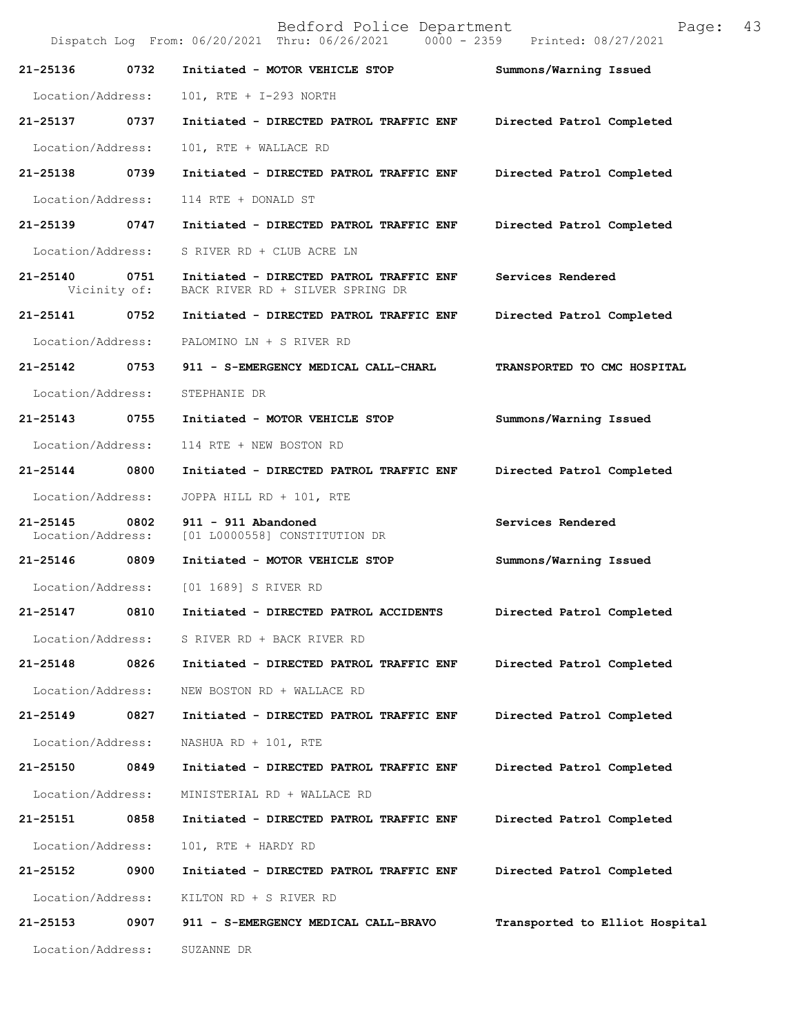Bedford Police Department Page: 43 Dispatch Log From: 06/20/2021 Thru: 06/26/2021 **21-25136 0732 Initiated - MOTOR VEHICLE STOP Summons/Warning Issued**  Location/Address: 101, RTE + I-293 NORTH **21-25137 0737 Initiated - DIRECTED PATROL TRAFFIC ENF Directed Patrol Completed**  Location/Address: 101, RTE + WALLACE RD **21-25138 0739 Initiated - DIRECTED PATROL TRAFFIC ENF Directed Patrol Completed**  Location/Address: 114 RTE + DONALD ST **21-25139 0747 Initiated - DIRECTED PATROL TRAFFIC ENF Directed Patrol Completed**  Location/Address: S RIVER RD + CLUB ACRE LN **21-25140 0751 Initiated - DIRECTED PATROL TRAFFIC ENF Services Rendered**  Vicinity of: BACK RIVER RD + SILVER SPRING DR **21-25141 0752 Initiated - DIRECTED PATROL TRAFFIC ENF Directed Patrol Completed**  Location/Address: PALOMINO LN + S RIVER RD **21-25142 0753 911 - S-EMERGENCY MEDICAL CALL-CHARL TRANSPORTED TO CMC HOSPITAL**  Location/Address: STEPHANIE DR **21-25143 0755 Initiated - MOTOR VEHICLE STOP Summons/Warning Issued**  Location/Address: 114 RTE + NEW BOSTON RD **21-25144 0800 Initiated - DIRECTED PATROL TRAFFIC ENF Directed Patrol Completed**  Location/Address: JOPPA HILL RD + 101, RTE **21-25145 0802 911 - 911 Abandoned Services Rendered**  Location/Address: [01 L0000558] CONSTITUTION DR **21-25146 0809 Initiated - MOTOR VEHICLE STOP Summons/Warning Issued**  Location/Address: [01 1689] S RIVER RD **21-25147 0810 Initiated - DIRECTED PATROL ACCIDENTS Directed Patrol Completed**  Location/Address: S RIVER RD + BACK RIVER RD **21-25148 0826 Initiated - DIRECTED PATROL TRAFFIC ENF Directed Patrol Completed**  Location/Address: NEW BOSTON RD + WALLACE RD **21-25149 0827 Initiated - DIRECTED PATROL TRAFFIC ENF Directed Patrol Completed**  Location/Address: NASHUA RD + 101, RTE **21-25150 0849 Initiated - DIRECTED PATROL TRAFFIC ENF Directed Patrol Completed**  Location/Address: MINISTERIAL RD + WALLACE RD **21-25151 0858 Initiated - DIRECTED PATROL TRAFFIC ENF Directed Patrol Completed**  Location/Address: 101, RTE + HARDY RD **21-25152 0900 Initiated - DIRECTED PATROL TRAFFIC ENF Directed Patrol Completed**  Location/Address: KILTON RD + S RIVER RD **21-25153 0907 911 - S-EMERGENCY MEDICAL CALL-BRAVO Transported to Elliot Hospital** Location/Address: SUZANNE DR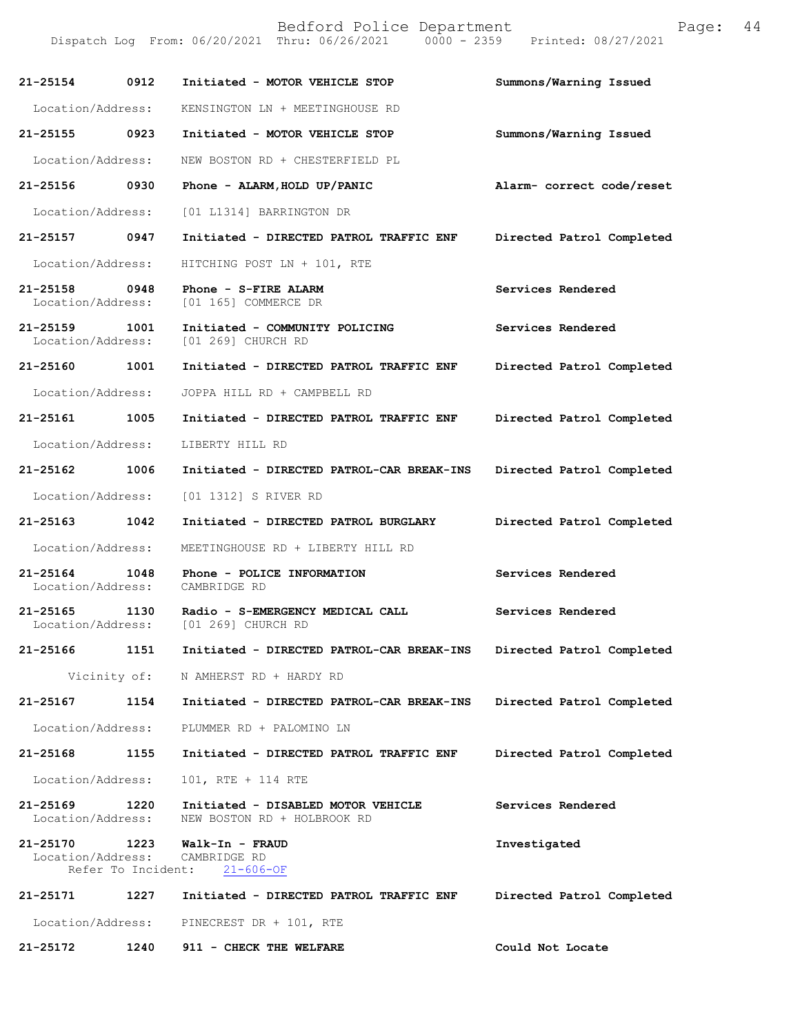| 21-25154 0912                      |                            | Initiated - MOTOR VEHICLE STOP                                    | Summons/Warning Issued    |
|------------------------------------|----------------------------|-------------------------------------------------------------------|---------------------------|
| Location/Address:                  |                            | KENSINGTON LN + MEETINGHOUSE RD                                   |                           |
| 21-25155 0923                      |                            | Initiated - MOTOR VEHICLE STOP                                    | Summons/Warning Issued    |
|                                    |                            |                                                                   |                           |
| Location/Address:                  |                            | NEW BOSTON RD + CHESTERFIELD PL                                   |                           |
| 21-25156 0930                      |                            | Phone - ALARM, HOLD UP/PANIC                                      | Alarm- correct code/reset |
| Location/Address:                  |                            | [01 L1314] BARRINGTON DR                                          |                           |
| 21-25157 0947                      |                            | Initiated - DIRECTED PATROL TRAFFIC ENF                           | Directed Patrol Completed |
| Location/Address:                  |                            | HITCHING POST LN + 101, RTE                                       |                           |
| 21-25158<br>Location/Address:      | 0948                       | Phone - S-FIRE ALARM<br>[01 165] COMMERCE DR                      | Services Rendered         |
| 21-25159 1001<br>Location/Address: |                            | Initiated - COMMUNITY POLICING<br>[01 269] CHURCH RD              | Services Rendered         |
| 21-25160 1001                      |                            | Initiated - DIRECTED PATROL TRAFFIC ENF                           | Directed Patrol Completed |
| Location/Address:                  |                            | JOPPA HILL RD + CAMPBELL RD                                       |                           |
| 21-25161 1005                      |                            | Initiated - DIRECTED PATROL TRAFFIC ENF                           | Directed Patrol Completed |
| Location/Address:                  |                            | LIBERTY HILL RD                                                   |                           |
| 21-25162 1006                      |                            | Initiated - DIRECTED PATROL-CAR BREAK-INS                         | Directed Patrol Completed |
| Location/Address:                  |                            | [01 1312] S RIVER RD                                              |                           |
| 21-25163 1042                      |                            | Initiated - DIRECTED PATROL BURGLARY                              | Directed Patrol Completed |
| Location/Address:                  |                            | MEETINGHOUSE RD + LIBERTY HILL RD                                 |                           |
| 21-25164 1048<br>Location/Address: |                            | Phone - POLICE INFORMATION<br>CAMBRIDGE RD                        | Services Rendered         |
| $21 - 25165$<br>Location/Address:  | 1130                       | Radio - S-EMERGENCY MEDICAL CALL<br>[01 269] CHURCH RD            | Services Rendered         |
| 21-25166                           | 1151                       | Initiated - DIRECTED PATROL-CAR BREAK-INS                         | Directed Patrol Completed |
|                                    |                            | Vicinity of: N AMHERST RD + HARDY RD                              |                           |
| 21-25167 1154                      |                            | Initiated - DIRECTED PATROL-CAR BREAK-INS                         | Directed Patrol Completed |
| Location/Address:                  |                            | PLUMMER RD + PALOMINO LN                                          |                           |
| 21-25168                           | 1155                       | Initiated - DIRECTED PATROL TRAFFIC ENF                           | Directed Patrol Completed |
| Location/Address:                  |                            | 101, RTE + 114 RTE                                                |                           |
| 21-25169 1220<br>Location/Address: |                            | Initiated - DISABLED MOTOR VEHICLE<br>NEW BOSTON RD + HOLBROOK RD | Services Rendered         |
| 21-25170<br>Location/Address:      | 1223<br>Refer To Incident: | Walk-In - FRAUD<br>CAMBRIDGE RD<br>$21 - 606 - OF$                | Investigated              |
| 21-25171                           | 1227                       | Initiated - DIRECTED PATROL TRAFFIC ENF                           | Directed Patrol Completed |
| Location/Address:                  |                            | PINECREST DR + 101, RTE                                           |                           |
| 21-25172                           | 1240                       | 911 - CHECK THE WELFARE                                           | Could Not Locate          |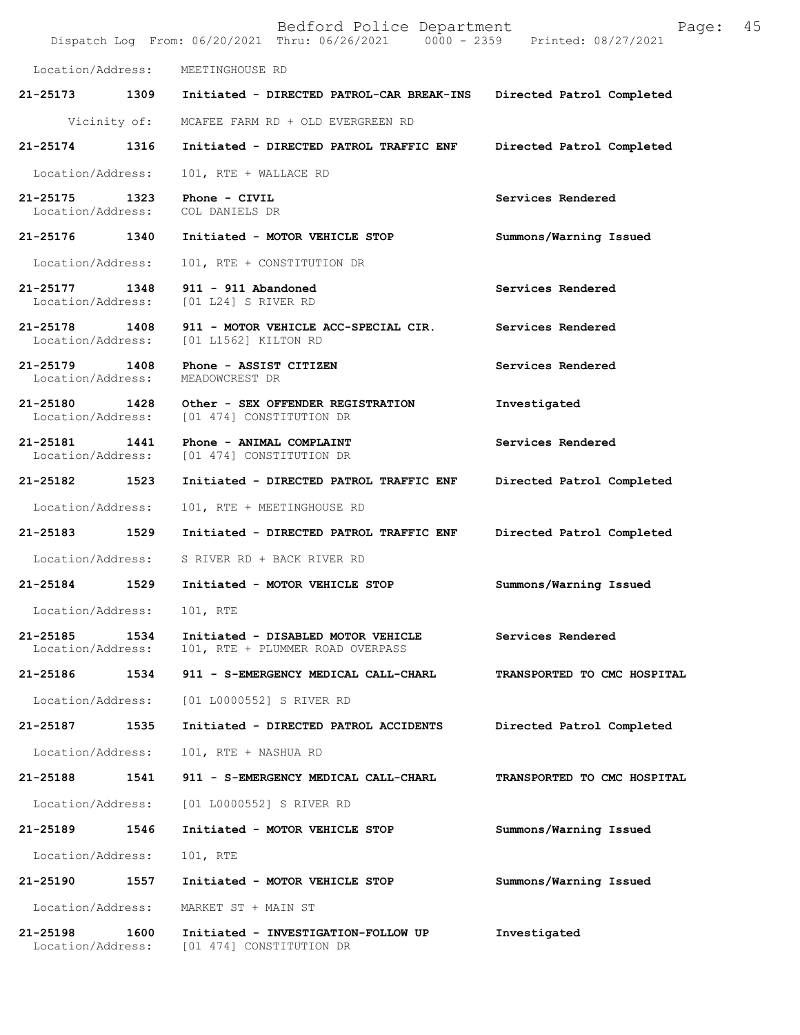|                                    |      | Bedford Police Department<br>Dispatch Log From: 06/20/2021 Thru: 06/26/2021 0000 - 2359 Printed: 08/27/2021 | Page:                       | 45 |
|------------------------------------|------|-------------------------------------------------------------------------------------------------------------|-----------------------------|----|
| Location/Address:                  |      | MEETINGHOUSE RD                                                                                             |                             |    |
|                                    |      | 21-25173 1309 Initiated - DIRECTED PATROL-CAR BREAK-INS                                                     | Directed Patrol Completed   |    |
| Vicinity of:                       |      | MCAFEE FARM RD + OLD EVERGREEN RD                                                                           |                             |    |
| 21-25174                           | 1316 | Initiated - DIRECTED PATROL TRAFFIC ENF                                                                     | Directed Patrol Completed   |    |
| Location/Address:                  |      | 101, RTE + WALLACE RD                                                                                       |                             |    |
| 21-25175 1323<br>Location/Address: |      | Phone - CIVIL<br>COL DANIELS DR                                                                             | Services Rendered           |    |
| 21-25176 1340                      |      | Initiated - MOTOR VEHICLE STOP                                                                              | Summons/Warning Issued      |    |
| Location/Address:                  |      | 101, RTE + CONSTITUTION DR                                                                                  |                             |    |
| 21-25177 1348<br>Location/Address: |      | 911 - 911 Abandoned<br>[01 L24] S RIVER RD                                                                  | Services Rendered           |    |
| 21-25178 1408<br>Location/Address: |      | 911 - MOTOR VEHICLE ACC-SPECIAL CIR.<br>[01 L1562] KILTON RD                                                | Services Rendered           |    |
| 21-25179 1408<br>Location/Address: |      | Phone - ASSIST CITIZEN<br>MEADOWCREST DR                                                                    | Services Rendered           |    |
| 21-25180 1428<br>Location/Address: |      | Other - SEX OFFENDER REGISTRATION<br>[01 474] CONSTITUTION DR                                               | Investigated                |    |
| 21-25181<br>Location/Address:      | 1441 | Phone - ANIMAL COMPLAINT<br>[01 474] CONSTITUTION DR                                                        | Services Rendered           |    |
| 21-25182 1523                      |      | Initiated - DIRECTED PATROL TRAFFIC ENF                                                                     | Directed Patrol Completed   |    |
| Location/Address:                  |      | 101, RTE + MEETINGHOUSE RD                                                                                  |                             |    |
| 21-25183                           | 1529 | Initiated - DIRECTED PATROL TRAFFIC ENF                                                                     | Directed Patrol Completed   |    |
| Location/Address:                  |      | S RIVER RD + BACK RIVER RD                                                                                  |                             |    |
| 21-25184                           | 1529 | Initiated - MOTOR VEHICLE STOP                                                                              | Summons/Warning Issued      |    |
| Location/Address:                  |      | 101, RTE                                                                                                    |                             |    |
| $21 - 25185$<br>Location/Address:  | 1534 | Initiated - DISABLED MOTOR VEHICLE<br>101, RTE + PLUMMER ROAD OVERPASS                                      | Services Rendered           |    |
| 21-25186                           | 1534 | 911 - S-EMERGENCY MEDICAL CALL-CHARL                                                                        | TRANSPORTED TO CMC HOSPITAL |    |
| Location/Address:                  |      | [01 L0000552] S RIVER RD                                                                                    |                             |    |
| 21-25187                           | 1535 | Initiated - DIRECTED PATROL ACCIDENTS                                                                       | Directed Patrol Completed   |    |
| Location/Address:                  |      | 101, RTE + NASHUA RD                                                                                        |                             |    |
| 21-25188                           | 1541 | 911 - S-EMERGENCY MEDICAL CALL-CHARL                                                                        | TRANSPORTED TO CMC HOSPITAL |    |
| Location/Address:                  |      | [01 L0000552] S RIVER RD                                                                                    |                             |    |
| 21-25189                           | 1546 | Initiated - MOTOR VEHICLE STOP                                                                              | Summons/Warning Issued      |    |
| Location/Address:                  |      | 101, RTE                                                                                                    |                             |    |
| 21-25190                           | 1557 | Initiated - MOTOR VEHICLE STOP                                                                              | Summons/Warning Issued      |    |
| Location/Address:                  |      | MARKET ST + MAIN ST                                                                                         |                             |    |
| 21-25198<br>Location/Address:      | 1600 | Initiated - INVESTIGATION-FOLLOW UP<br>[01 474] CONSTITUTION DR                                             | Investigated                |    |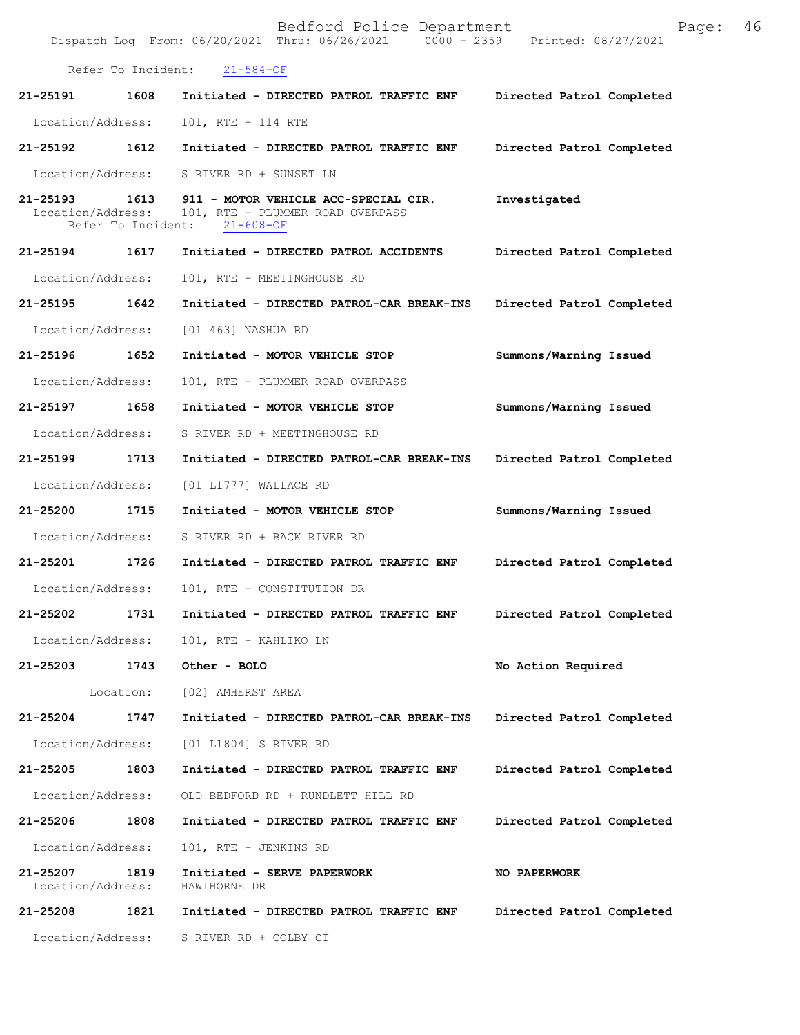|                               |                            | Bedford Police Department<br>Dispatch Log From: 06/20/2021 Thru: 06/26/2021 0000 - 2359 Printed: 08/27/2021 | 46<br>Page:               |
|-------------------------------|----------------------------|-------------------------------------------------------------------------------------------------------------|---------------------------|
|                               | Refer To Incident:         | $21 - 584 - OF$                                                                                             |                           |
| 21-25191                      | 1608                       | Initiated - DIRECTED PATROL TRAFFIC ENF                                                                     | Directed Patrol Completed |
| Location/Address:             |                            | 101, RTE + 114 RTE                                                                                          |                           |
| 21-25192 1612                 |                            | Initiated - DIRECTED PATROL TRAFFIC ENF                                                                     | Directed Patrol Completed |
| Location/Address:             |                            | S RIVER RD + SUNSET LN                                                                                      |                           |
| 21-25193<br>Location/Address: | 1613<br>Refer To Incident: | 911 - MOTOR VEHICLE ACC-SPECIAL CIR.<br>101, RTE + PLUMMER ROAD OVERPASS<br>$21 - 608 - OF$                 | Investigated              |
| 21-25194                      | 1617                       | Initiated - DIRECTED PATROL ACCIDENTS                                                                       | Directed Patrol Completed |
| Location/Address:             |                            | 101, RTE + MEETINGHOUSE RD                                                                                  |                           |
| 21-25195                      | 1642                       | Initiated - DIRECTED PATROL-CAR BREAK-INS                                                                   | Directed Patrol Completed |
| Location/Address:             |                            | [01 463] NASHUA RD                                                                                          |                           |
| 21-25196                      | 1652                       | Initiated - MOTOR VEHICLE STOP                                                                              | Summons/Warning Issued    |
| Location/Address:             |                            | 101, RTE + PLUMMER ROAD OVERPASS                                                                            |                           |
| 21-25197                      | 1658                       | Initiated - MOTOR VEHICLE STOP                                                                              | Summons/Warning Issued    |
| Location/Address:             |                            | S RIVER RD + MEETINGHOUSE RD                                                                                |                           |
| 21-25199                      | 1713                       | Initiated - DIRECTED PATROL-CAR BREAK-INS                                                                   | Directed Patrol Completed |
| Location/Address:             |                            | [01 L1777] WALLACE RD                                                                                       |                           |
| 21-25200                      | 1715                       | Initiated - MOTOR VEHICLE STOP                                                                              | Summons/Warning Issued    |
| Location/Address:             |                            | S RIVER RD + BACK RIVER RD                                                                                  |                           |
| 21-25201                      | 1726                       | Initiated - DIRECTED PATROL TRAFFIC ENF                                                                     | Directed Patrol Completed |
| Location/Address:             |                            | 101, RTE + CONSTITUTION DR                                                                                  |                           |
| 21-25202                      | 1731                       | Initiated - DIRECTED PATROL TRAFFIC ENF                                                                     | Directed Patrol Completed |
| Location/Address:             |                            | 101, RTE + KAHLIKO LN                                                                                       |                           |
| 21-25203                      | 1743                       | Other - BOLO                                                                                                | No Action Required        |
|                               | Location:                  | [02] AMHERST AREA                                                                                           |                           |
| 21-25204                      | 1747                       | Initiated - DIRECTED PATROL-CAR BREAK-INS                                                                   | Directed Patrol Completed |
| Location/Address:             |                            | [01 L1804] S RIVER RD                                                                                       |                           |
| 21-25205                      | 1803                       | Initiated - DIRECTED PATROL TRAFFIC ENF                                                                     | Directed Patrol Completed |
| Location/Address:             |                            | OLD BEDFORD RD + RUNDLETT HILL RD                                                                           |                           |
| 21-25206                      | 1808                       | Initiated - DIRECTED PATROL TRAFFIC ENF                                                                     | Directed Patrol Completed |
| Location/Address:             |                            | 101, RTE + JENKINS RD                                                                                       |                           |
| 21-25207<br>Location/Address: | 1819                       | Initiated - SERVE PAPERWORK<br>HAWTHORNE DR                                                                 | NO PAPERWORK              |
| 21-25208                      | 1821                       | Initiated - DIRECTED PATROL TRAFFIC ENF                                                                     | Directed Patrol Completed |
| Location/Address:             |                            | S RIVER RD + COLBY CT                                                                                       |                           |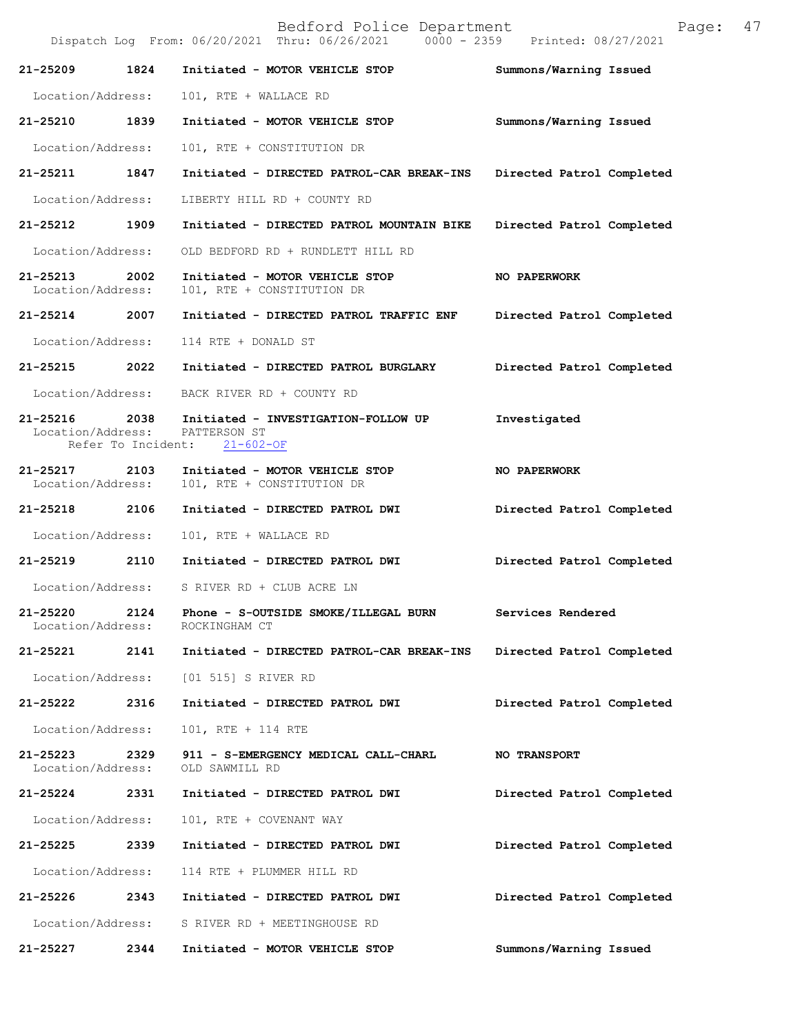Bedford Police Department Page: 47 Dispatch Log From: 06/20/2021 Thru: 06/26/2021 **21-25209 1824 Initiated - MOTOR VEHICLE STOP Summons/Warning Issued**  Location/Address: 101, RTE + WALLACE RD **21-25210 1839 Initiated - MOTOR VEHICLE STOP Summons/Warning Issued**  Location/Address: 101, RTE + CONSTITUTION DR **21-25211 1847 Initiated - DIRECTED PATROL-CAR BREAK-INS Directed Patrol Completed**  Location/Address: LIBERTY HILL RD + COUNTY RD **21-25212 1909 Initiated - DIRECTED PATROL MOUNTAIN BIKE Directed Patrol Completed**  Location/Address: OLD BEDFORD RD + RUNDLETT HILL RD **21-25213 2002 Initiated - MOTOR VEHICLE STOP NO PAPERWORK**  Location/Address: 101, RTE + CONSTITUTION DR **21-25214 2007 Initiated - DIRECTED PATROL TRAFFIC ENF Directed Patrol Completed**  Location/Address: 114 RTE + DONALD ST **21-25215 2022 Initiated - DIRECTED PATROL BURGLARY Directed Patrol Completed**  Location/Address: BACK RIVER RD + COUNTY RD **21-25216 2038 Initiated - INVESTIGATION-FOLLOW UP Investigated**  Location/Address: PATTERSON ST<br>Refer To Incident: 21-602-OF Refer To Incident: 21-25217 2103 Initiated - MOTOR VEHICLE STOP NO PAPERWORK Location/Address: 101, RTE + CONSTITUTION DR 101, RTE + CONSTITUTION DR **21-25218 2106 Initiated - DIRECTED PATROL DWI Directed Patrol Completed**  Location/Address: 101, RTE + WALLACE RD **21-25219 2110 Initiated - DIRECTED PATROL DWI Directed Patrol Completed**  Location/Address: S RIVER RD + CLUB ACRE LN **21-25220 2124 Phone - S-OUTSIDE SMOKE/ILLEGAL BURN Services Rendered**  Location/Address: ROCKINGHAM CT **21-25221 2141 Initiated - DIRECTED PATROL-CAR BREAK-INS Directed Patrol Completed**  Location/Address: [01 515] S RIVER RD **21-25222 2316 Initiated - DIRECTED PATROL DWI Directed Patrol Completed**  Location/Address: 101, RTE + 114 RTE **21-25223 2329 911 - S-EMERGENCY MEDICAL CALL-CHARL NO TRANSPORT**  Location/Address: OLD SAWMILL RD **21-25224 2331 Initiated - DIRECTED PATROL DWI Directed Patrol Completed**  Location/Address: 101, RTE + COVENANT WAY **21-25225 2339 Initiated - DIRECTED PATROL DWI Directed Patrol Completed**  Location/Address: 114 RTE + PLUMMER HILL RD **21-25226 2343 Initiated - DIRECTED PATROL DWI Directed Patrol Completed**  Location/Address: S RIVER RD + MEETINGHOUSE RD **21-25227 2344 Initiated - MOTOR VEHICLE STOP Summons/Warning Issued**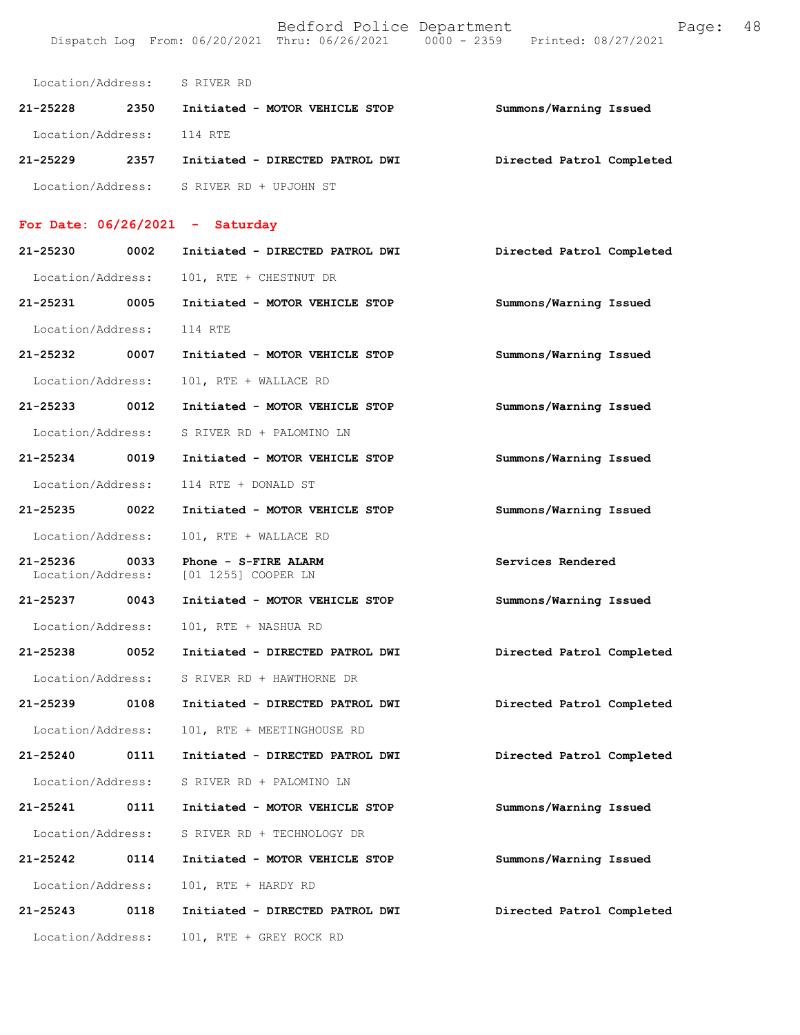Location/Address: S RIVER RD **21-25228 2350 Initiated - MOTOR VEHICLE STOP Summons/Warning Issued**  Location/Address: 114 RTE **21-25229 2357 Initiated - DIRECTED PATROL DWI Directed Patrol Completed**  Location/Address: S RIVER RD + UPJOHN ST

## **For Date: 06/26/2021 - Saturday**

| 21-25230 0002                      |      | Initiated - DIRECTED PATROL DWI             | Directed Patrol Completed |
|------------------------------------|------|---------------------------------------------|---------------------------|
| Location/Address:                  |      | 101, RTE + CHESTNUT DR                      |                           |
| 21-25231 0005                      |      | Initiated - MOTOR VEHICLE STOP              | Summons/Warning Issued    |
| Location/Address:                  |      | 114 RTE                                     |                           |
| 21-25232 0007                      |      | Initiated - MOTOR VEHICLE STOP              | Summons/Warning Issued    |
| Location/Address:                  |      | 101, RTE + WALLACE RD                       |                           |
| 21-25233 0012                      |      | Initiated - MOTOR VEHICLE STOP              | Summons/Warning Issued    |
| Location/Address:                  |      | S RIVER RD + PALOMINO LN                    |                           |
| 21-25234 0019                      |      | Initiated - MOTOR VEHICLE STOP              | Summons/Warning Issued    |
| Location/Address:                  |      | 114 RTE + DONALD ST                         |                           |
| 21-25235 0022                      |      | Initiated - MOTOR VEHICLE STOP              | Summons/Warning Issued    |
| Location/Address:                  |      | 101, RTE + WALLACE RD                       |                           |
| 21-25236 0033<br>Location/Address: |      | Phone - S-FIRE ALARM<br>[01 1255] COOPER LN | Services Rendered         |
| 21-25237 0043                      |      | Initiated - MOTOR VEHICLE STOP              | Summons/Warning Issued    |
| Location/Address:                  |      | 101, RTE + NASHUA RD                        |                           |
| 21-25238 0052                      |      | Initiated - DIRECTED PATROL DWI             | Directed Patrol Completed |
| Location/Address:                  |      | S RIVER RD + HAWTHORNE DR                   |                           |
| 21-25239 0108                      |      | Initiated - DIRECTED PATROL DWI             | Directed Patrol Completed |
| Location/Address:                  |      | 101, RTE + MEETINGHOUSE RD                  |                           |
| 21-25240 0111                      |      | Initiated - DIRECTED PATROL DWI             | Directed Patrol Completed |
| Location/Address:                  |      | S RIVER RD + PALOMINO LN                    |                           |
| 21-25241 0111                      |      | Initiated - MOTOR VEHICLE STOP              | Summons/Warning Issued    |
| Location/Address:                  |      | S RIVER RD + TECHNOLOGY DR                  |                           |
| 21-25242                           | 0114 | Initiated - MOTOR VEHICLE STOP              | Summons/Warning Issued    |
| Location/Address:                  |      | 101, RTE + HARDY RD                         |                           |
| 21-25243                           | 0118 | Initiated - DIRECTED PATROL DWI             | Directed Patrol Completed |
| Location/Address:                  |      | 101, RTE + GREY ROCK RD                     |                           |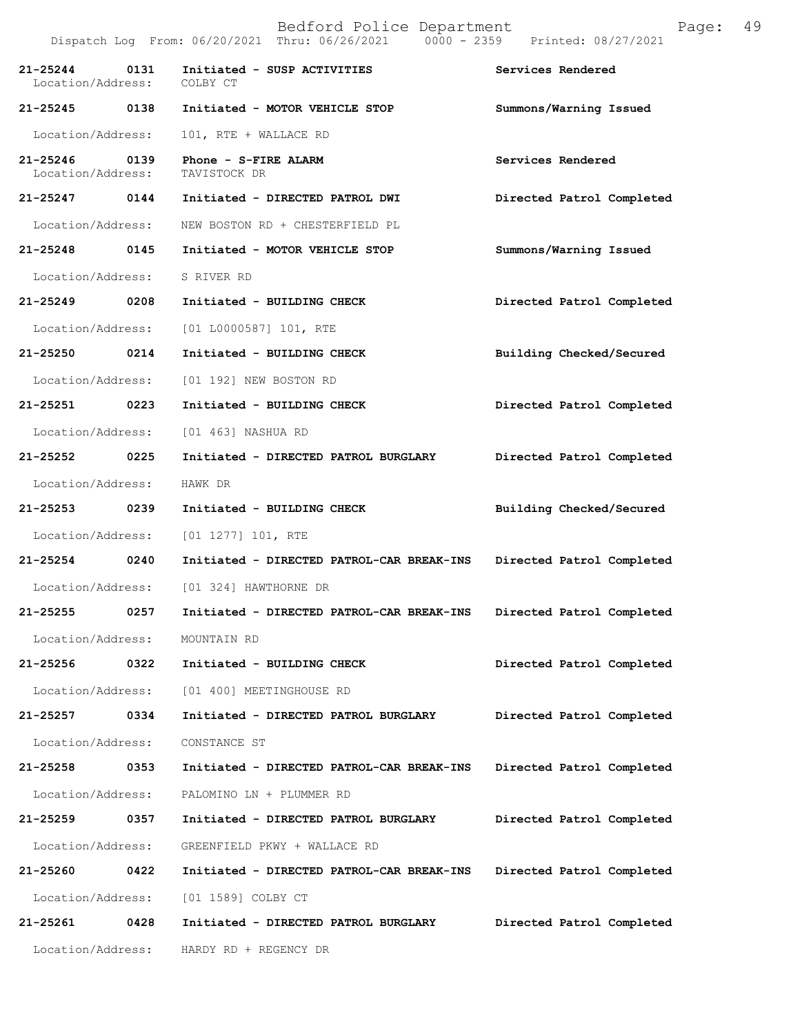|                                   |      | $0000 - 2359$<br>Dispatch Log From: 06/20/2021 Thru: 06/26/2021 | Printed: 08/27/2021       |
|-----------------------------------|------|-----------------------------------------------------------------|---------------------------|
| $21 - 25244$<br>Location/Address: | 0131 | Initiated - SUSP ACTIVITIES<br>COLBY CT                         | Services Rendered         |
| 21-25245 0138                     |      | Initiated - MOTOR VEHICLE STOP                                  | Summons/Warning Issued    |
| Location/Address:                 |      | 101, RTE + WALLACE RD                                           |                           |
| 21-25246<br>Location/Address:     | 0139 | Phone - S-FIRE ALARM<br>TAVISTOCK DR                            | Services Rendered         |
| 21-25247 0144                     |      | Initiated - DIRECTED PATROL DWI                                 | Directed Patrol Completed |
| Location/Address:                 |      | NEW BOSTON RD + CHESTERFIELD PL                                 |                           |
| 21-25248 0145                     |      | Initiated - MOTOR VEHICLE STOP                                  | Summons/Warning Issued    |
| Location/Address:                 |      | S RIVER RD                                                      |                           |
| 21-25249                          | 0208 | Initiated - BUILDING CHECK                                      | Directed Patrol Completed |
| Location/Address:                 |      | [01 L0000587] 101, RTE                                          |                           |
| 21-25250 0214                     |      | Initiated - BUILDING CHECK                                      | Building Checked/Secured  |
| Location/Address:                 |      | [01 192] NEW BOSTON RD                                          |                           |
| 21-25251 0223                     |      | Initiated - BUILDING CHECK                                      | Directed Patrol Completed |
| Location/Address:                 |      | [01 463] NASHUA RD                                              |                           |
| 21-25252                          | 0225 | Initiated - DIRECTED PATROL BURGLARY                            | Directed Patrol Completed |
| Location/Address:                 |      | HAWK DR                                                         |                           |
| 21-25253 0239                     |      | Initiated - BUILDING CHECK                                      | Building Checked/Secured  |
| Location/Address:                 |      | $[01 1277] 101$ , RTE                                           |                           |
| 21-25254 0240                     |      | Initiated - DIRECTED PATROL-CAR BREAK-INS                       | Directed Patrol Completed |
| Location/Address:                 |      | [01 324] HAWTHORNE DR                                           |                           |
| 21-25255                          | 0257 | Initiated - DIRECTED PATROL-CAR BREAK-INS                       | Directed Patrol Completed |
| Location/Address:                 |      | MOUNTAIN RD                                                     |                           |
| 21-25256                          | 0322 | Initiated - BUILDING CHECK                                      | Directed Patrol Completed |
| Location/Address:                 |      | [01 400] MEETINGHOUSE RD                                        |                           |
| 21-25257                          | 0334 | Initiated - DIRECTED PATROL BURGLARY                            | Directed Patrol Completed |
| Location/Address:                 |      | CONSTANCE ST                                                    |                           |
| 21-25258                          | 0353 | Initiated - DIRECTED PATROL-CAR BREAK-INS                       | Directed Patrol Completed |
| Location/Address:                 |      | PALOMINO LN + PLUMMER RD                                        |                           |
| 21-25259                          | 0357 | Initiated - DIRECTED PATROL BURGLARY                            | Directed Patrol Completed |
| Location/Address:                 |      | GREENFIELD PKWY + WALLACE RD                                    |                           |
| 21-25260                          | 0422 | Initiated - DIRECTED PATROL-CAR BREAK-INS                       | Directed Patrol Completed |
| Location/Address:                 |      | [01 1589] COLBY CT                                              |                           |
| 21-25261                          | 0428 | Initiated - DIRECTED PATROL BURGLARY                            | Directed Patrol Completed |
| Location/Address:                 |      | HARDY RD + REGENCY DR                                           |                           |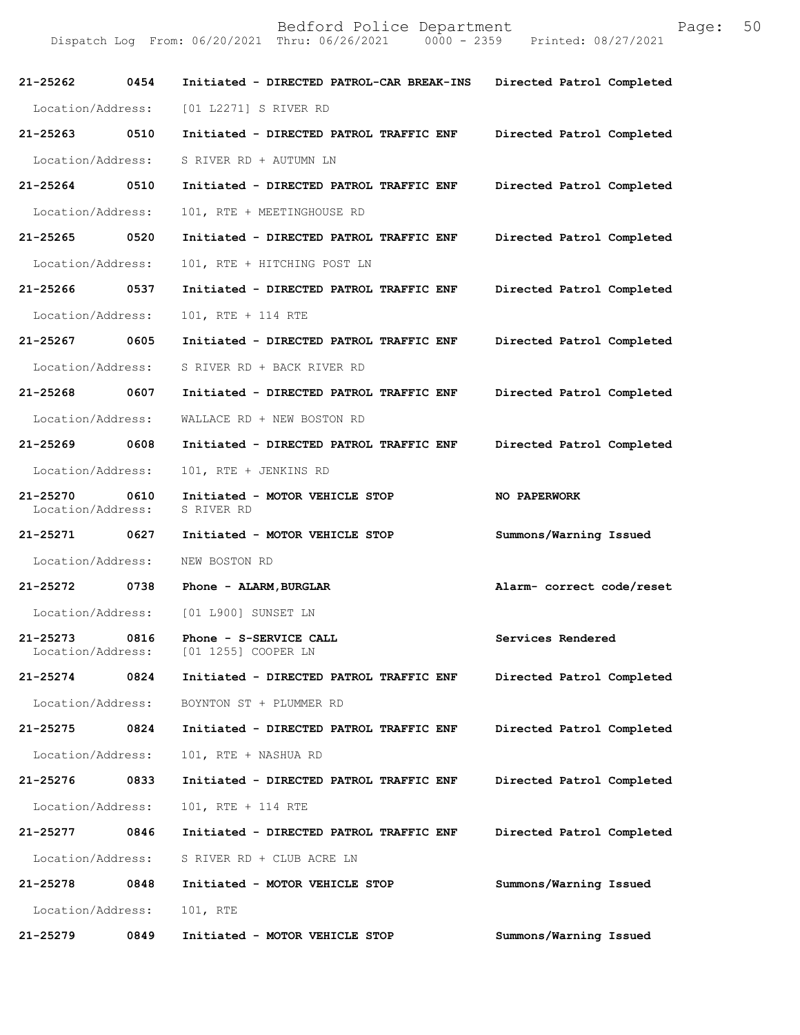| 21-25262 0454                      |      | Initiated - DIRECTED PATROL-CAR BREAK-INS             | Directed Patrol Completed |
|------------------------------------|------|-------------------------------------------------------|---------------------------|
| Location/Address:                  |      | [01 L2271] S RIVER RD                                 |                           |
| 21-25263                           | 0510 | Initiated - DIRECTED PATROL TRAFFIC ENF               | Directed Patrol Completed |
| Location/Address:                  |      | S RIVER RD + AUTUMN LN                                |                           |
| 21-25264 0510                      |      | Initiated - DIRECTED PATROL TRAFFIC ENF               | Directed Patrol Completed |
| Location/Address:                  |      | 101, RTE + MEETINGHOUSE RD                            |                           |
| 21-25265 0520                      |      | Initiated - DIRECTED PATROL TRAFFIC ENF               | Directed Patrol Completed |
| Location/Address:                  |      | 101, RTE + HITCHING POST LN                           |                           |
| 21-25266 0537                      |      | Initiated - DIRECTED PATROL TRAFFIC ENF               | Directed Patrol Completed |
| Location/Address:                  |      | 101, RTE + 114 RTE                                    |                           |
| 21-25267 0605                      |      | Initiated - DIRECTED PATROL TRAFFIC ENF               | Directed Patrol Completed |
| Location/Address:                  |      | S RIVER RD + BACK RIVER RD                            |                           |
| 21-25268 0607                      |      | Initiated - DIRECTED PATROL TRAFFIC ENF               | Directed Patrol Completed |
| Location/Address:                  |      | WALLACE RD + NEW BOSTON RD                            |                           |
| 21-25269 0608                      |      | Initiated - DIRECTED PATROL TRAFFIC ENF               | Directed Patrol Completed |
| Location/Address:                  |      | 101, RTE + JENKINS RD                                 |                           |
| 21-25270 0610<br>Location/Address: |      | Initiated - MOTOR VEHICLE STOP<br>S RIVER RD          | <b>NO PAPERWORK</b>       |
| 21-25271 0627                      |      | Initiated - MOTOR VEHICLE STOP                        | Summons/Warning Issued    |
| Location/Address:                  |      | NEW BOSTON RD                                         |                           |
| 21-25272 0738                      |      | Phone - ALARM,BURGLAR                                 | Alarm- correct code/reset |
|                                    |      | Location/Address: [01 L900] SUNSET LN                 |                           |
|                                    |      | Location/Address: [01 1255] COOPER LN                 | Services Rendered         |
| 21-25274                           | 0824 | Initiated - DIRECTED PATROL TRAFFIC ENF               | Directed Patrol Completed |
|                                    |      | Location/Address: BOYNTON ST + PLUMMER RD             |                           |
|                                    |      | 21-25275 0824 Initiated - DIRECTED PATROL TRAFFIC ENF | Directed Patrol Completed |
| Location/Address:                  |      | 101, RTE + NASHUA RD                                  |                           |
| 21-25276                           | 0833 | Initiated - DIRECTED PATROL TRAFFIC ENF               | Directed Patrol Completed |
| Location/Address:                  |      | 101, RTE + 114 RTE                                    |                           |
| 21-25277                           | 0846 | Initiated - DIRECTED PATROL TRAFFIC ENF               | Directed Patrol Completed |
|                                    |      | Location/Address: S RIVER RD + CLUB ACRE LN           |                           |
| 21-25278                           | 0848 | Initiated - MOTOR VEHICLE STOP                        | Summons/Warning Issued    |
| Location/Address:                  |      | 101, RTE                                              |                           |
| 21-25279 0849                      |      | Initiated - MOTOR VEHICLE STOP                        | Summons/Warning Issued    |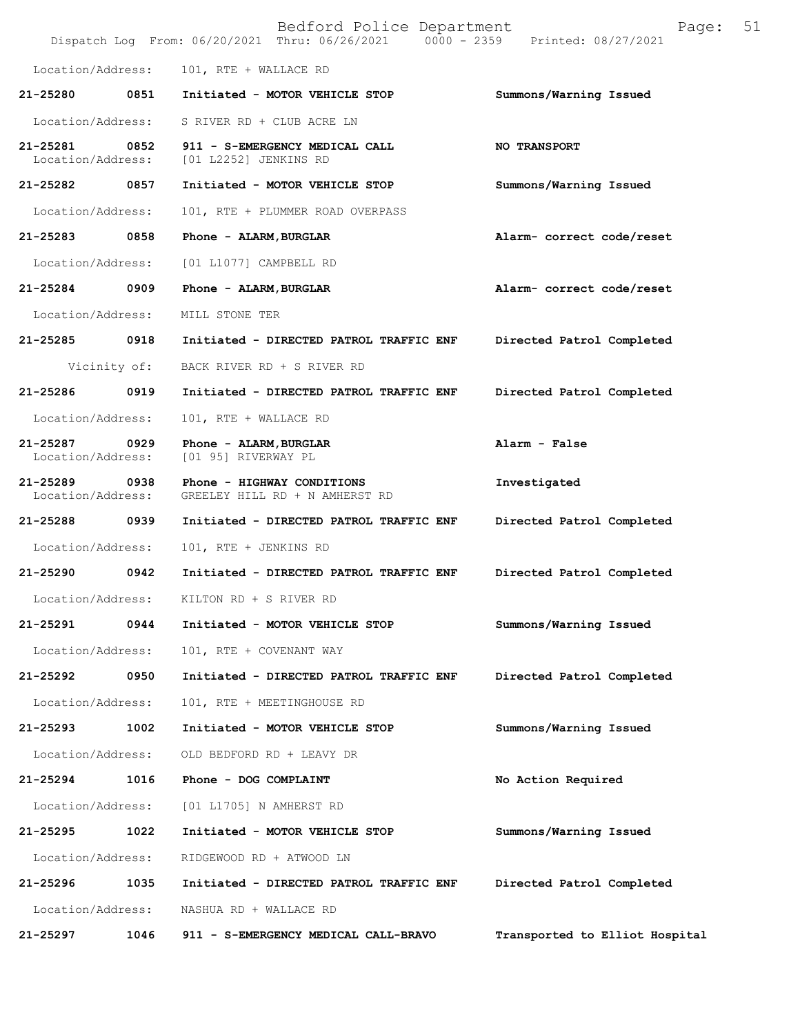|                               |              | Bedford Police Department<br>Dispatch Log From: 06/20/2021 Thru: 06/26/2021 0000 - 2359 | 51<br>Page:<br>Printed: 08/27/2021 |
|-------------------------------|--------------|-----------------------------------------------------------------------------------------|------------------------------------|
| Location/Address:             |              | 101, RTE + WALLACE RD                                                                   |                                    |
| 21-25280                      | 0851         | Initiated - MOTOR VEHICLE STOP                                                          | Summons/Warning Issued             |
| Location/Address:             |              | S RIVER RD + CLUB ACRE LN                                                               |                                    |
| 21-25281<br>Location/Address: | 0852         | 911 - S-EMERGENCY MEDICAL CALL<br>[01 L2252] JENKINS RD                                 | <b>NO TRANSPORT</b>                |
| 21-25282                      | 0857         | Initiated - MOTOR VEHICLE STOP                                                          | Summons/Warning Issued             |
| Location/Address:             |              | 101, RTE + PLUMMER ROAD OVERPASS                                                        |                                    |
| 21-25283                      | 0858         | Phone - ALARM, BURGLAR                                                                  | Alarm- correct code/reset          |
| Location/Address:             |              | [01 L1077] CAMPBELL RD                                                                  |                                    |
| 21-25284                      | 0909         | Phone - ALARM, BURGLAR                                                                  | Alarm- correct code/reset          |
| Location/Address:             |              | MILL STONE TER                                                                          |                                    |
| 21-25285                      | 0918         | Initiated - DIRECTED PATROL TRAFFIC ENF                                                 | Directed Patrol Completed          |
|                               | Vicinity of: | BACK RIVER RD + S RIVER RD                                                              |                                    |
| 21-25286                      | 0919         | Initiated - DIRECTED PATROL TRAFFIC ENF                                                 | Directed Patrol Completed          |
| Location/Address:             |              | 101, RTE + WALLACE RD                                                                   |                                    |
| 21-25287<br>Location/Address: | 0929         | Phone - ALARM, BURGLAR<br>[01 95] RIVERWAY PL                                           | Alarm - False                      |
| 21-25289<br>Location/Address: | 0938         | Phone - HIGHWAY CONDITIONS<br>GREELEY HILL RD + N AMHERST RD                            | Investigated                       |
| 21-25288                      | 0939         | Initiated - DIRECTED PATROL TRAFFIC ENF                                                 | Directed Patrol Completed          |
| Location/Address:             |              | 101, RTE + JENKINS RD                                                                   |                                    |
| 21-25290                      | 0942         | Initiated - DIRECTED PATROL TRAFFIC ENF                                                 | Directed Patrol Completed          |
| Location/Address:             |              | KILTON RD + S RIVER RD                                                                  |                                    |
| 21-25291                      | 0944         | Initiated - MOTOR VEHICLE STOP                                                          | Summons/Warning Issued             |
| Location/Address:             |              | 101, RTE + COVENANT WAY                                                                 |                                    |
| 21-25292                      | 0950         | Initiated - DIRECTED PATROL TRAFFIC ENF                                                 | Directed Patrol Completed          |
| Location/Address:             |              | 101, RTE + MEETINGHOUSE RD                                                              |                                    |
| 21-25293                      | 1002         | Initiated - MOTOR VEHICLE STOP                                                          | Summons/Warning Issued             |
| Location/Address:             |              | OLD BEDFORD RD + LEAVY DR                                                               |                                    |
| 21-25294                      | 1016         | Phone - DOG COMPLAINT                                                                   | No Action Required                 |
| Location/Address:             |              | [01 L1705] N AMHERST RD                                                                 |                                    |
| 21-25295                      | 1022         | Initiated - MOTOR VEHICLE STOP                                                          | Summons/Warning Issued             |
| Location/Address:             |              | RIDGEWOOD RD + ATWOOD LN                                                                |                                    |
| 21-25296                      | 1035         | Initiated - DIRECTED PATROL TRAFFIC ENF                                                 | Directed Patrol Completed          |
| Location/Address:             |              | NASHUA RD + WALLACE RD                                                                  |                                    |
| 21-25297                      | 1046         | 911 - S-EMERGENCY MEDICAL CALL-BRAVO                                                    | Transported to Elliot Hospital     |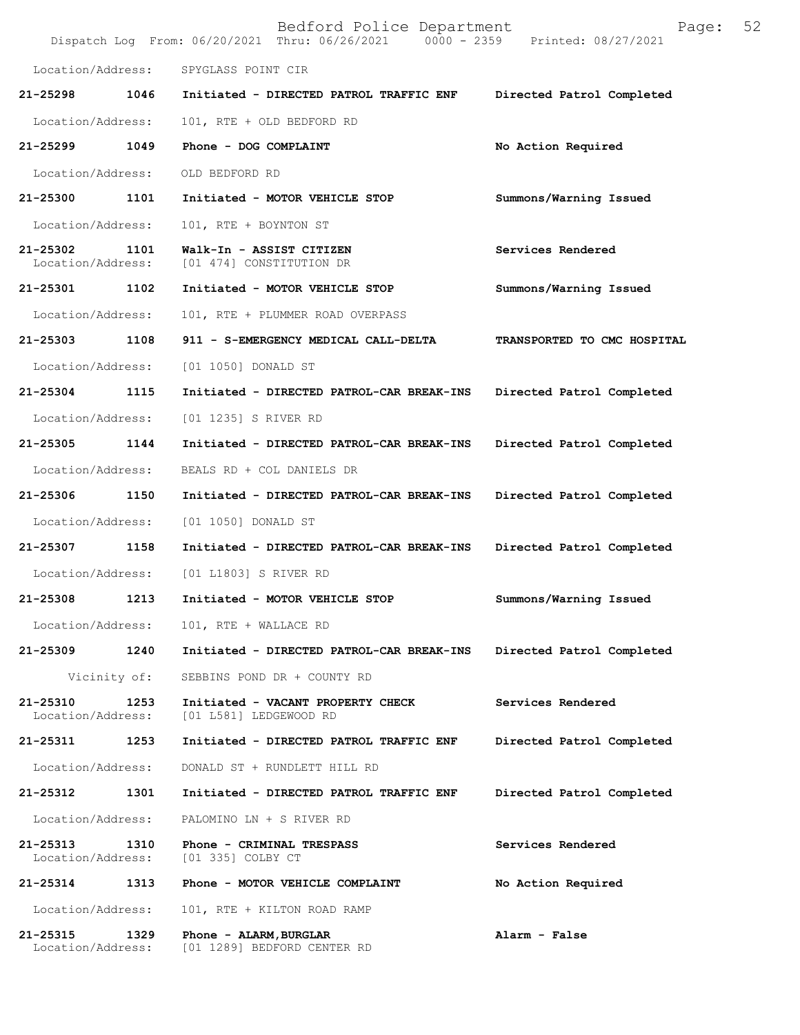|                               |              | Bedford Police Department<br>Dispatch Log From: 06/20/2021 Thru: 06/26/2021 0000 - 2359 Printed: 08/27/2021 | Page:                       | 52 |
|-------------------------------|--------------|-------------------------------------------------------------------------------------------------------------|-----------------------------|----|
| Location/Address:             |              | SPYGLASS POINT CIR                                                                                          |                             |    |
| 21-25298                      | 1046         | Initiated - DIRECTED PATROL TRAFFIC ENF                                                                     | Directed Patrol Completed   |    |
| Location/Address:             |              | 101, RTE + OLD BEDFORD RD                                                                                   |                             |    |
| 21-25299                      | 1049         | Phone - DOG COMPLAINT                                                                                       | No Action Required          |    |
| Location/Address:             |              | OLD BEDFORD RD                                                                                              |                             |    |
| 21-25300                      | 1101         | Initiated - MOTOR VEHICLE STOP                                                                              | Summons/Warning Issued      |    |
| Location/Address:             |              | 101, RTE + BOYNTON ST                                                                                       |                             |    |
| 21-25302<br>Location/Address: | 1101         | Walk-In - ASSIST CITIZEN<br>[01 474] CONSTITUTION DR                                                        | Services Rendered           |    |
| 21-25301 1102                 |              | Initiated - MOTOR VEHICLE STOP                                                                              | Summons/Warning Issued      |    |
| Location/Address:             |              | 101, RTE + PLUMMER ROAD OVERPASS                                                                            |                             |    |
| 21-25303                      | 1108         | 911 - S-EMERGENCY MEDICAL CALL-DELTA                                                                        | TRANSPORTED TO CMC HOSPITAL |    |
| Location/Address:             |              | [01 1050] DONALD ST                                                                                         |                             |    |
| 21-25304                      | 1115         | Initiated - DIRECTED PATROL-CAR BREAK-INS                                                                   | Directed Patrol Completed   |    |
| Location/Address:             |              | [01 1235] S RIVER RD                                                                                        |                             |    |
| 21-25305                      | 1144         | Initiated - DIRECTED PATROL-CAR BREAK-INS                                                                   | Directed Patrol Completed   |    |
| Location/Address:             |              | BEALS RD + COL DANIELS DR                                                                                   |                             |    |
| 21-25306                      | 1150         | Initiated - DIRECTED PATROL-CAR BREAK-INS                                                                   | Directed Patrol Completed   |    |
| Location/Address:             |              | [01 1050] DONALD ST                                                                                         |                             |    |
| 21-25307                      | 1158         | Initiated - DIRECTED PATROL-CAR BREAK-INS                                                                   | Directed Patrol Completed   |    |
| Location/Address:             |              | [01 L1803] S RIVER RD                                                                                       |                             |    |
| 21-25308                      | 1213         | Initiated - MOTOR VEHICLE STOP                                                                              | Summons/Warning Issued      |    |
| Location/Address:             |              | 101, RTE + WALLACE RD                                                                                       |                             |    |
| 21-25309                      | 1240         | Initiated - DIRECTED PATROL-CAR BREAK-INS                                                                   | Directed Patrol Completed   |    |
|                               | Vicinity of: | SEBBINS POND DR + COUNTY RD                                                                                 |                             |    |
| 21-25310<br>Location/Address: | 1253         | Initiated - VACANT PROPERTY CHECK<br>[01 L581] LEDGEWOOD RD                                                 | Services Rendered           |    |
| 21-25311 1253                 |              | Initiated - DIRECTED PATROL TRAFFIC ENF                                                                     | Directed Patrol Completed   |    |
| Location/Address:             |              | DONALD ST + RUNDLETT HILL RD                                                                                |                             |    |
| 21-25312                      | 1301         | Initiated - DIRECTED PATROL TRAFFIC ENF                                                                     | Directed Patrol Completed   |    |
| Location/Address:             |              | PALOMINO LN + S RIVER RD                                                                                    |                             |    |
| 21-25313<br>Location/Address: | 1310         | Phone - CRIMINAL TRESPASS<br>[01 335] COLBY CT                                                              | Services Rendered           |    |
| 21-25314                      | 1313         | Phone - MOTOR VEHICLE COMPLAINT                                                                             | No Action Required          |    |
| Location/Address:             |              | 101, RTE + KILTON ROAD RAMP                                                                                 |                             |    |
| 21-25315<br>Location/Address: | 1329         | Phone - ALARM, BURGLAR<br>[01 1289] BEDFORD CENTER RD                                                       | Alarm - False               |    |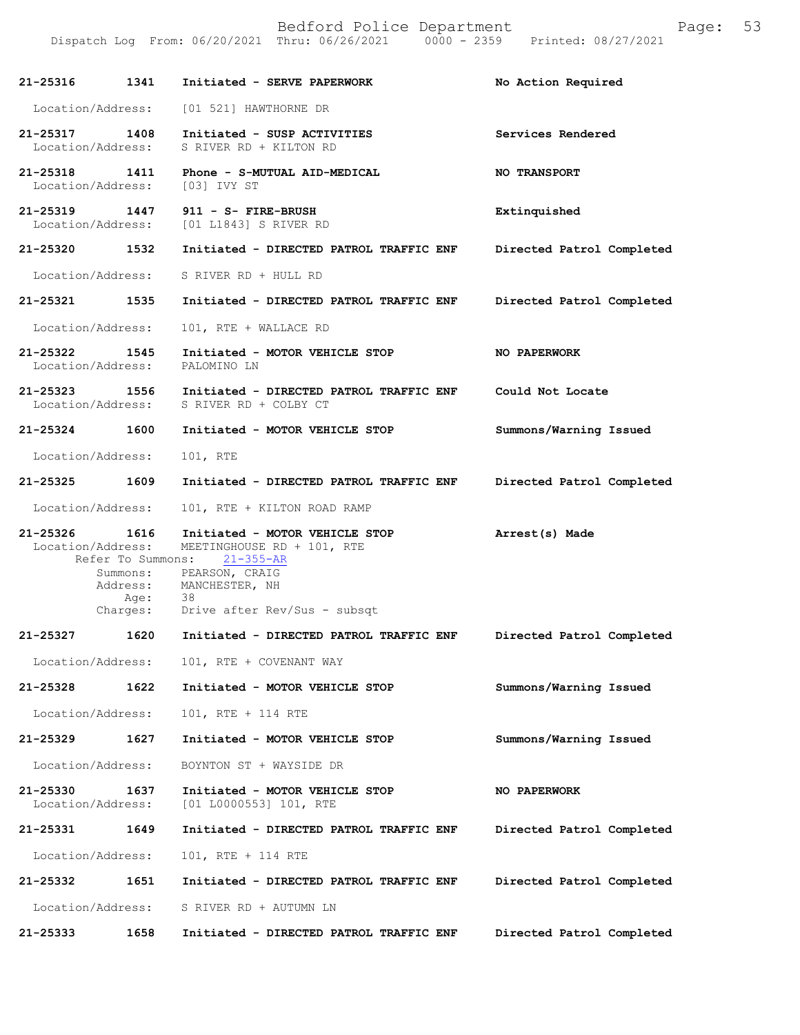Dispatch Log From: 06/20/2021 Thru: 06/26/2021 0000 - 2359 Printed: 08/27/2021

| 21-25316 1341                      |      | Initiated - SERVE PAPERWORK                                                                                                                                                                      | No Action Required        |
|------------------------------------|------|--------------------------------------------------------------------------------------------------------------------------------------------------------------------------------------------------|---------------------------|
| Location/Address:                  |      | [01 521] HAWTHORNE DR                                                                                                                                                                            |                           |
| 21-25317 1408<br>Location/Address: |      | Initiated - SUSP ACTIVITIES<br>S RIVER RD + KILTON RD                                                                                                                                            | Services Rendered         |
| 21-25318 1411<br>Location/Address: |      | Phone - S-MUTUAL AID-MEDICAL<br>[03] IVY ST                                                                                                                                                      | <b>NO TRANSPORT</b>       |
| 21-25319 1447                      |      | 911 - S- FIRE-BRUSH<br>Location/Address: [01 L1843] S RIVER RD                                                                                                                                   | Extinquished              |
| 21-25320 1532                      |      | Initiated - DIRECTED PATROL TRAFFIC ENF                                                                                                                                                          | Directed Patrol Completed |
| Location/Address:                  |      | S RIVER RD + HULL RD                                                                                                                                                                             |                           |
| 21-25321 1535                      |      | Initiated - DIRECTED PATROL TRAFFIC ENF                                                                                                                                                          | Directed Patrol Completed |
| Location/Address:                  |      | 101, RTE + WALLACE RD                                                                                                                                                                            |                           |
| 21-25322 1545<br>Location/Address: |      | Initiated - MOTOR VEHICLE STOP<br>PALOMINO LN                                                                                                                                                    | <b>NO PAPERWORK</b>       |
| 21-25323 1556<br>Location/Address: |      | Initiated - DIRECTED PATROL TRAFFIC ENF<br>S RIVER RD + COLBY CT                                                                                                                                 | Could Not Locate          |
| 21-25324 1600                      |      | Initiated - MOTOR VEHICLE STOP                                                                                                                                                                   | Summons/Warning Issued    |
| Location/Address:                  |      | 101, RTE                                                                                                                                                                                         |                           |
| 21-25325 1609                      |      | Initiated - DIRECTED PATROL TRAFFIC ENF                                                                                                                                                          | Directed Patrol Completed |
| Location/Address:                  |      | 101, RTE + KILTON ROAD RAMP                                                                                                                                                                      |                           |
| 21-25326 1616<br>Location/Address: | Age: | Initiated - MOTOR VEHICLE STOP<br>MEETINGHOUSE RD + 101, RTE<br>Refer To Summons: 21-355-AR<br>Summons: PEARSON, CRAIG<br>Address: MANCHESTER, NH<br>38<br>Charges: Drive after Rev/Sus - subsqt | Arrest(s) Made            |
| 21-25327 1620                      |      | Initiated - DIRECTED PATROL TRAFFIC ENF                                                                                                                                                          | Directed Patrol Completed |
| Location/Address:                  |      | 101, RTE + COVENANT WAY                                                                                                                                                                          |                           |
| 21-25328                           | 1622 | Initiated - MOTOR VEHICLE STOP                                                                                                                                                                   | Summons/Warning Issued    |
| Location/Address:                  |      | 101, RTE + 114 RTE                                                                                                                                                                               |                           |
| 21-25329                           | 1627 | Initiated - MOTOR VEHICLE STOP                                                                                                                                                                   | Summons/Warning Issued    |
| Location/Address:                  |      | BOYNTON ST + WAYSIDE DR                                                                                                                                                                          |                           |
| 21-25330<br>Location/Address:      | 1637 | Initiated - MOTOR VEHICLE STOP<br>[01 L0000553] 101, RTE                                                                                                                                         | NO PAPERWORK              |
| 21-25331                           | 1649 | Initiated - DIRECTED PATROL TRAFFIC ENF                                                                                                                                                          | Directed Patrol Completed |
| Location/Address:                  |      | 101, RTE + 114 RTE                                                                                                                                                                               |                           |
| 21-25332                           | 1651 | Initiated - DIRECTED PATROL TRAFFIC ENF                                                                                                                                                          | Directed Patrol Completed |
| Location/Address:                  |      | S RIVER RD + AUTUMN LN                                                                                                                                                                           |                           |

**Directed Patrol Completed 21-25333 1658 Initiated - DIRECTED PATROL TRAFFIC ENF**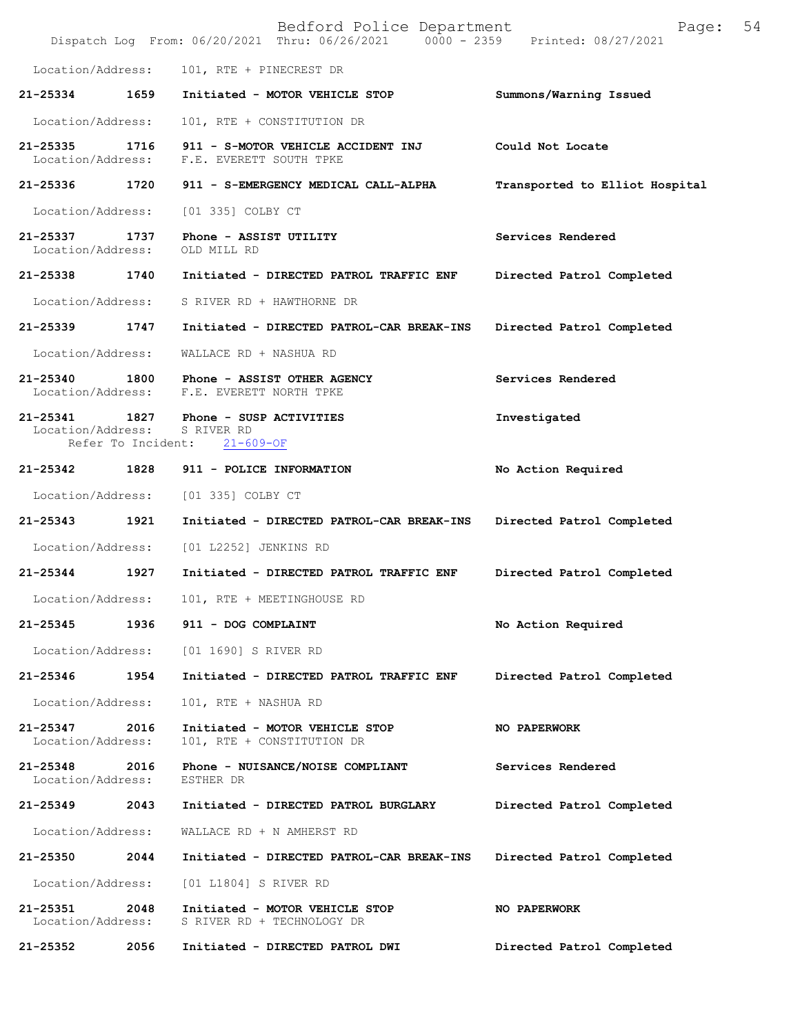|                               |                    | Bedford Police Department<br>Dispatch Log From: 06/20/2021 Thru: 06/26/2021 0000 - 2359 | Page:<br>Printed: 08/27/2021   | 54 |
|-------------------------------|--------------------|-----------------------------------------------------------------------------------------|--------------------------------|----|
| Location/Address:             |                    | 101, RTE + PINECREST DR                                                                 |                                |    |
| 21-25334                      | 1659               | Initiated - MOTOR VEHICLE STOP                                                          | Summons/Warning Issued         |    |
| Location/Address:             |                    | 101, RTE + CONSTITUTION DR                                                              |                                |    |
| 21-25335<br>Location/Address: | 1716               | 911 - S-MOTOR VEHICLE ACCIDENT INJ<br>F.E. EVERETT SOUTH TPKE                           | Could Not Locate               |    |
| 21-25336 1720                 |                    | 911 - S-EMERGENCY MEDICAL CALL-ALPHA                                                    | Transported to Elliot Hospital |    |
| Location/Address:             |                    | [01 335] COLBY CT                                                                       |                                |    |
| 21-25337<br>Location/Address: | 1737               | Phone - ASSIST UTILITY<br>OLD MILL RD                                                   | Services Rendered              |    |
| 21-25338                      | 1740               | Initiated - DIRECTED PATROL TRAFFIC ENF                                                 | Directed Patrol Completed      |    |
| Location/Address:             |                    | S RIVER RD + HAWTHORNE DR                                                               |                                |    |
| 21-25339                      | 1747               | Initiated - DIRECTED PATROL-CAR BREAK-INS                                               | Directed Patrol Completed      |    |
| Location/Address:             |                    | WALLACE RD + NASHUA RD                                                                  |                                |    |
| 21-25340<br>Location/Address: | 1800               | Phone - ASSIST OTHER AGENCY<br>F.E. EVERETT NORTH TPKE                                  | Services Rendered              |    |
| Location/Address:             |                    | 21-25341 1827 Phone - SUSP ACTIVITIES<br>S RIVER RD                                     | Investigated                   |    |
|                               | Refer To Incident: | $21 - 609 - OF$                                                                         |                                |    |
| 21-25342                      | 1828               | 911 - POLICE INFORMATION                                                                | No Action Required             |    |
| Location/Address:             |                    | [01 335] COLBY CT                                                                       |                                |    |
| 21-25343                      | 1921               | Initiated - DIRECTED PATROL-CAR BREAK-INS                                               | Directed Patrol Completed      |    |
| Location/Address:             |                    | [01 L2252] JENKINS RD                                                                   |                                |    |
| 21-25344                      | 1927               | Initiated - DIRECTED PATROL TRAFFIC ENF                                                 | Directed Patrol Completed      |    |
| Location/Address:             |                    | 101, RTE + MEETINGHOUSE RD                                                              |                                |    |
| 21-25345                      | 1936               | 911 - DOG COMPLAINT                                                                     | No Action Required             |    |
| Location/Address:             |                    | [01 1690] S RIVER RD                                                                    |                                |    |
| 21-25346                      | 1954               | Initiated - DIRECTED PATROL TRAFFIC ENF                                                 | Directed Patrol Completed      |    |
| Location/Address:             |                    | 101, RTE + NASHUA RD                                                                    |                                |    |
| 21-25347<br>Location/Address: | 2016               | Initiated - MOTOR VEHICLE STOP<br>101, RTE + CONSTITUTION DR                            | <b>NO PAPERWORK</b>            |    |
| 21-25348<br>Location/Address: | 2016               | Phone - NUISANCE/NOISE COMPLIANT<br>ESTHER DR                                           | Services Rendered              |    |
| 21-25349                      | 2043               | Initiated - DIRECTED PATROL BURGLARY                                                    | Directed Patrol Completed      |    |
| Location/Address:             |                    | WALLACE RD + N AMHERST RD                                                               |                                |    |
| 21-25350                      | 2044               | Initiated - DIRECTED PATROL-CAR BREAK-INS                                               | Directed Patrol Completed      |    |
| Location/Address:             |                    | [01 L1804] S RIVER RD                                                                   |                                |    |
| 21-25351<br>Location/Address: | 2048               | Initiated - MOTOR VEHICLE STOP<br>S RIVER RD + TECHNOLOGY DR                            | NO PAPERWORK                   |    |
| 21-25352                      | 2056               | Initiated - DIRECTED PATROL DWI                                                         | Directed Patrol Completed      |    |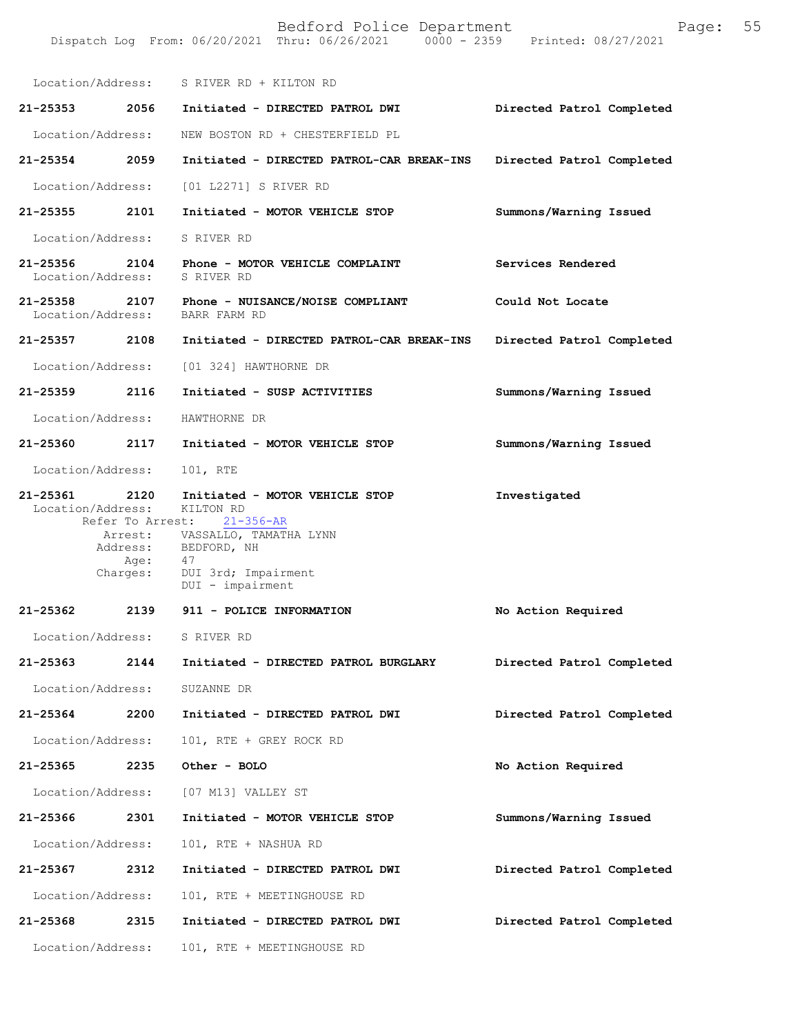|                               |                          | Location/Address: S RIVER RD + KILTON RD                                                                                                                                                               |                           |
|-------------------------------|--------------------------|--------------------------------------------------------------------------------------------------------------------------------------------------------------------------------------------------------|---------------------------|
| 21-25353 2056                 |                          | Initiated - DIRECTED PATROL DWI                                                                                                                                                                        | Directed Patrol Completed |
| Location/Address:             |                          | NEW BOSTON RD + CHESTERFIELD PL                                                                                                                                                                        |                           |
| 21-25354                      | 2059                     | Initiated - DIRECTED PATROL-CAR BREAK-INS                                                                                                                                                              | Directed Patrol Completed |
| Location/Address:             |                          | [01 L2271] S RIVER RD                                                                                                                                                                                  |                           |
| 21-25355 2101                 |                          | Initiated - MOTOR VEHICLE STOP                                                                                                                                                                         | Summons/Warning Issued    |
| Location/Address:             |                          | S RIVER RD                                                                                                                                                                                             |                           |
| 21-25356<br>Location/Address: | 2104                     | Phone - MOTOR VEHICLE COMPLAINT<br>S RIVER RD                                                                                                                                                          | Services Rendered         |
|                               |                          | 21-25358 2107 Phone - NUISANCE/NOISE COMPLIANT<br>Location/Address: BARR FARM RD                                                                                                                       | Could Not Locate          |
| 21-25357 2108                 |                          | Initiated - DIRECTED PATROL-CAR BREAK-INS                                                                                                                                                              | Directed Patrol Completed |
| Location/Address:             |                          | [01 324] HAWTHORNE DR                                                                                                                                                                                  |                           |
| 21-25359 2116                 |                          | Initiated - SUSP ACTIVITIES                                                                                                                                                                            | Summons/Warning Issued    |
| Location/Address:             |                          | HAWTHORNE DR                                                                                                                                                                                           |                           |
| 21-25360 2117                 |                          | Initiated - MOTOR VEHICLE STOP                                                                                                                                                                         | Summons/Warning Issued    |
| Location/Address:             |                          | 101, RTE                                                                                                                                                                                               |                           |
| 21-25361                      | 2120<br>Age:<br>Charges: | Initiated - MOTOR VEHICLE STOP<br>Location/Address: KILTON RD<br>Refer To Arrest: 21-356-AR<br>Arrest: VASSALLO, TAMATHA LYNN<br>Address: BEDFORD, NH<br>47<br>DUI 3rd; Impairment<br>DUI - impairment | Investigated              |
|                               |                          | 21-25362 2139 911 - POLICE INFORMATION                                                                                                                                                                 | No Action Required        |
|                               |                          | Location/Address: S RIVER RD                                                                                                                                                                           |                           |
| 21-25363                      | 2144                     | Initiated - DIRECTED PATROL BURGLARY                                                                                                                                                                   | Directed Patrol Completed |
| Location/Address:             |                          | SUZANNE DR                                                                                                                                                                                             |                           |
| 21-25364                      | 2200                     | Initiated - DIRECTED PATROL DWI                                                                                                                                                                        | Directed Patrol Completed |
| Location/Address:             |                          | 101, RTE + GREY ROCK RD                                                                                                                                                                                |                           |
| 21-25365                      | 2235                     | Other - BOLO                                                                                                                                                                                           | No Action Required        |
| Location/Address:             |                          | [07 M13] VALLEY ST                                                                                                                                                                                     |                           |
| 21-25366                      | 2301                     | Initiated - MOTOR VEHICLE STOP                                                                                                                                                                         | Summons/Warning Issued    |
| Location/Address:             |                          | 101, RTE + NASHUA RD                                                                                                                                                                                   |                           |
| 21-25367                      | 2312                     | Initiated - DIRECTED PATROL DWI                                                                                                                                                                        | Directed Patrol Completed |
| Location/Address:             |                          | 101, RTE + MEETINGHOUSE RD                                                                                                                                                                             |                           |
| 21-25368                      | 2315                     | Initiated - DIRECTED PATROL DWI                                                                                                                                                                        | Directed Patrol Completed |
| Location/Address:             |                          | 101, RTE + MEETINGHOUSE RD                                                                                                                                                                             |                           |